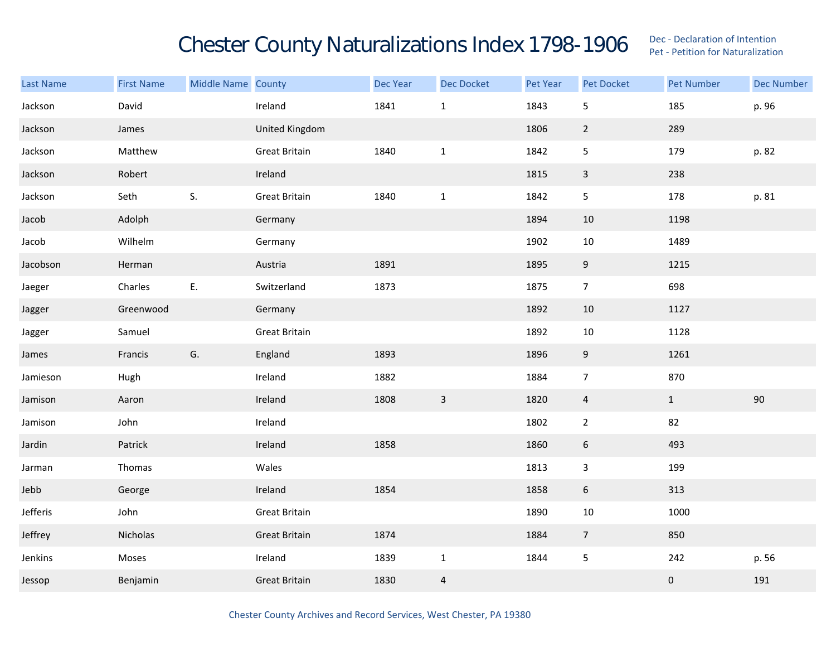## Chester County Naturalizations Index 1798-1906 Dec - Declaration of Intention Contention

| <b>Last Name</b> | <b>First Name</b> | Middle Name County |                      | Dec Year | <b>Dec Docket</b> | Pet Year | Pet Docket       | <b>Pet Number</b> | <b>Dec Number</b> |
|------------------|-------------------|--------------------|----------------------|----------|-------------------|----------|------------------|-------------------|-------------------|
| Jackson          | David             |                    | Ireland              | 1841     | $\mathbf{1}$      | 1843     | 5                | 185               | p. 96             |
| Jackson          | James             |                    | United Kingdom       |          |                   | 1806     | $\overline{2}$   | 289               |                   |
| Jackson          | Matthew           |                    | <b>Great Britain</b> | 1840     | $\mathbf 1$       | 1842     | 5                | 179               | p. 82             |
| Jackson          | Robert            |                    | Ireland              |          |                   | 1815     | $\mathbf{3}$     | 238               |                   |
| Jackson          | Seth              | S.                 | <b>Great Britain</b> | 1840     | $\mathbf 1$       | 1842     | 5                | 178               | p. 81             |
| Jacob            | Adolph            |                    | Germany              |          |                   | 1894     | $10\,$           | 1198              |                   |
| Jacob            | Wilhelm           |                    | Germany              |          |                   | 1902     | $10\,$           | 1489              |                   |
| Jacobson         | Herman            |                    | Austria              | 1891     |                   | 1895     | 9                | 1215              |                   |
| Jaeger           | Charles           | E.                 | Switzerland          | 1873     |                   | 1875     | $\overline{7}$   | 698               |                   |
| Jagger           | Greenwood         |                    | Germany              |          |                   | 1892     | 10               | 1127              |                   |
| Jagger           | Samuel            |                    | Great Britain        |          |                   | 1892     | $10\,$           | 1128              |                   |
| James            | Francis           | G.                 | England              | 1893     |                   | 1896     | $\overline{9}$   | 1261              |                   |
| Jamieson         | Hugh              |                    | Ireland              | 1882     |                   | 1884     | $\overline{7}$   | 870               |                   |
| Jamison          | Aaron             |                    | Ireland              | 1808     | $\overline{3}$    | 1820     | $\overline{4}$   | $\mathbf{1}$      | $90\,$            |
| Jamison          | John              |                    | Ireland              |          |                   | 1802     | $\overline{2}$   | 82                |                   |
| Jardin           | Patrick           |                    | Ireland              | 1858     |                   | 1860     | $\boldsymbol{6}$ | 493               |                   |
| Jarman           | Thomas            |                    | Wales                |          |                   | 1813     | $\mathbf{3}$     | 199               |                   |
| Jebb             | George            |                    | Ireland              | 1854     |                   | 1858     | $6\,$            | 313               |                   |
| Jefferis         | John              |                    | <b>Great Britain</b> |          |                   | 1890     | $10\,$           | 1000              |                   |
| Jeffrey          | Nicholas          |                    | <b>Great Britain</b> | 1874     |                   | 1884     | $\overline{7}$   | 850               |                   |
| Jenkins          | Moses             |                    | Ireland              | 1839     | $\mathbf{1}$      | 1844     | $\overline{5}$   | 242               | p. 56             |
| Jessop           | Benjamin          |                    | <b>Great Britain</b> | 1830     | $\overline{4}$    |          |                  | $\pmb{0}$         | 191               |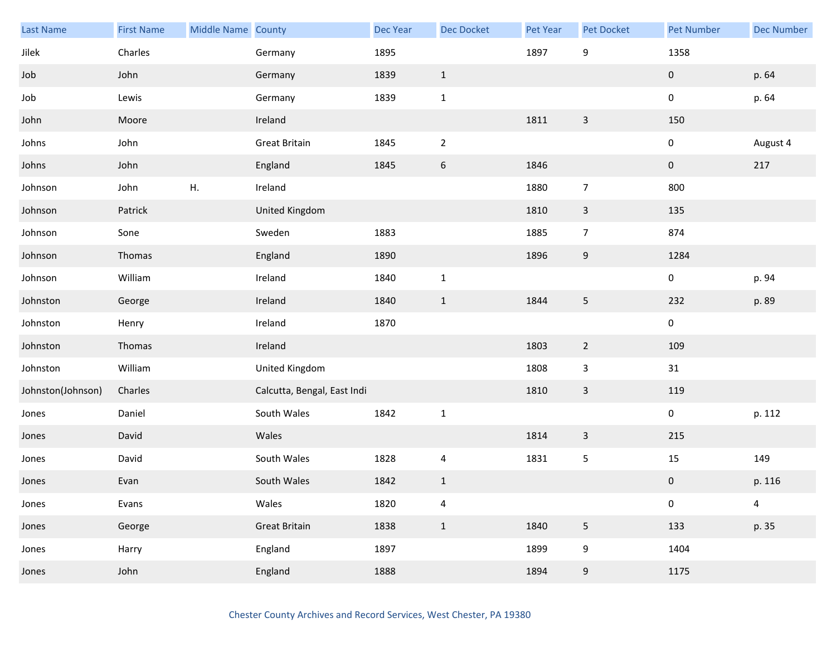| <b>Last Name</b>  | <b>First Name</b> | Middle Name County |                             | Dec Year | <b>Dec Docket</b>       | Pet Year | Pet Docket              | <b>Pet Number</b> | <b>Dec Number</b>       |
|-------------------|-------------------|--------------------|-----------------------------|----------|-------------------------|----------|-------------------------|-------------------|-------------------------|
| Jilek             | Charles           |                    | Germany                     | 1895     |                         | 1897     | 9                       | 1358              |                         |
| Job               | John              |                    | Germany                     | 1839     | $\mathbf{1}$            |          |                         | $\pmb{0}$         | p. 64                   |
| Job               | Lewis             |                    | Germany                     | 1839     | $\mathbf 1$             |          |                         | 0                 | p. 64                   |
| John              | Moore             |                    | Ireland                     |          |                         | 1811     | 3                       | 150               |                         |
| Johns             | John              |                    | <b>Great Britain</b>        | 1845     | $\overline{2}$          |          |                         | 0                 | August 4                |
| Johns             | John              |                    | England                     | 1845     | $\,$ 6 $\,$             | 1846     |                         | $\pmb{0}$         | 217                     |
| Johnson           | John              | Η.                 | Ireland                     |          |                         | 1880     | $\overline{7}$          | 800               |                         |
| Johnson           | Patrick           |                    | United Kingdom              |          |                         | 1810     | 3                       | 135               |                         |
| Johnson           | Sone              |                    | Sweden                      | 1883     |                         | 1885     | $\overline{7}$          | 874               |                         |
| Johnson           | Thomas            |                    | England                     | 1890     |                         | 1896     | $\boldsymbol{9}$        | 1284              |                         |
| Johnson           | William           |                    | Ireland                     | 1840     | $1\,$                   |          |                         | 0                 | p. 94                   |
| Johnston          | George            |                    | Ireland                     | 1840     | $\mathbf{1}$            | 1844     | 5                       | 232               | p. 89                   |
| Johnston          | Henry             |                    | Ireland                     | 1870     |                         |          |                         | $\pmb{0}$         |                         |
| Johnston          | Thomas            |                    | Ireland                     |          |                         | 1803     | $\overline{2}$          | 109               |                         |
| Johnston          | William           |                    | United Kingdom              |          |                         | 1808     | $\overline{\mathbf{3}}$ | 31                |                         |
| Johnston(Johnson) | Charles           |                    | Calcutta, Bengal, East Indi |          |                         | 1810     | $\mathbf{3}$            | 119               |                         |
| Jones             | Daniel            |                    | South Wales                 | 1842     | $\mathbf 1$             |          |                         | $\pmb{0}$         | p. 112                  |
| Jones             | David             |                    | Wales                       |          |                         | 1814     | 3                       | 215               |                         |
| Jones             | David             |                    | South Wales                 | 1828     | 4                       | 1831     | 5                       | 15                | 149                     |
| Jones             | Evan              |                    | South Wales                 | 1842     | $\mathbf 1$             |          |                         | $\pmb{0}$         | p. 116                  |
| Jones             | Evans             |                    | Wales                       | 1820     | $\overline{\mathbf{4}}$ |          |                         | 0                 | $\overline{\mathbf{4}}$ |
| Jones             | George            |                    | <b>Great Britain</b>        | 1838     | $\mathbf{1}$            | 1840     | $\overline{5}$          | 133               | p. 35                   |
| Jones             | Harry             |                    | England                     | 1897     |                         | 1899     | 9                       | 1404              |                         |
| Jones             | John              |                    | England                     | 1888     |                         | 1894     | $\boldsymbol{9}$        | 1175              |                         |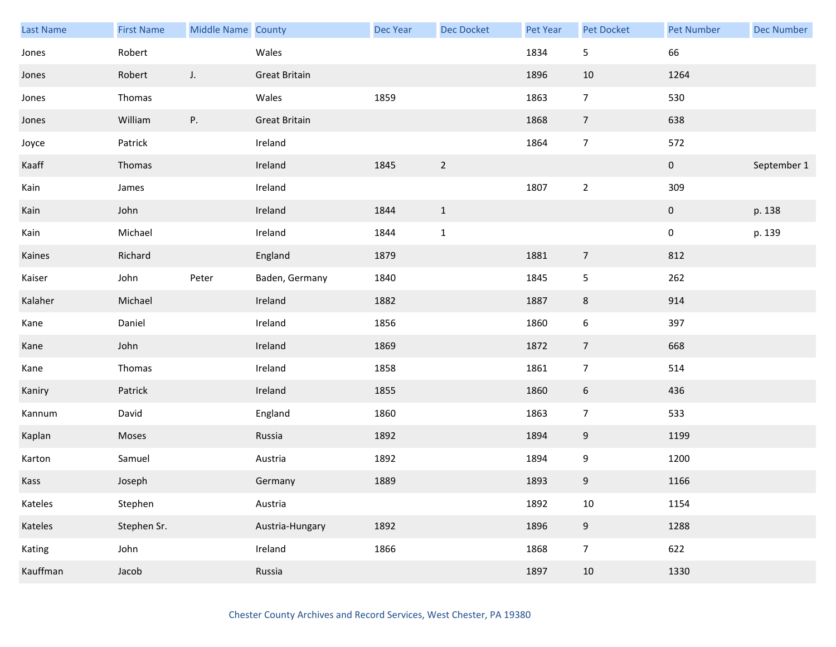| Last Name | <b>First Name</b> | Middle Name County |                      | Dec Year | <b>Dec Docket</b> | Pet Year | Pet Docket     | Pet Number     | <b>Dec Number</b> |
|-----------|-------------------|--------------------|----------------------|----------|-------------------|----------|----------------|----------------|-------------------|
| Jones     | Robert            |                    | Wales                |          |                   | 1834     | 5              | 66             |                   |
| Jones     | Robert            | J.                 | <b>Great Britain</b> |          |                   | 1896     | 10             | 1264           |                   |
| Jones     | Thomas            |                    | Wales                | 1859     |                   | 1863     | $\overline{7}$ | 530            |                   |
| Jones     | William           | Ρ.                 | <b>Great Britain</b> |          |                   | 1868     | $\overline{7}$ | 638            |                   |
| Joyce     | Patrick           |                    | Ireland              |          |                   | 1864     | $\overline{7}$ | 572            |                   |
| Kaaff     | Thomas            |                    | Ireland              | 1845     | $\overline{2}$    |          |                | $\mathbf 0$    | September 1       |
| Kain      | James             |                    | Ireland              |          |                   | 1807     | $\overline{2}$ | 309            |                   |
| Kain      | John              |                    | Ireland              | 1844     | $\mathbf{1}$      |          |                | $\overline{0}$ | p. 138            |
| Kain      | Michael           |                    | Ireland              | 1844     | $\mathbf{1}$      |          |                | 0              | p. 139            |
| Kaines    | Richard           |                    | England              | 1879     |                   | 1881     | $\overline{7}$ | 812            |                   |
| Kaiser    | John              | Peter              | Baden, Germany       | 1840     |                   | 1845     | 5              | 262            |                   |
| Kalaher   | Michael           |                    | Ireland              | 1882     |                   | 1887     | 8              | 914            |                   |
| Kane      | Daniel            |                    | Ireland              | 1856     |                   | 1860     | 6              | 397            |                   |
| Kane      | John              |                    | Ireland              | 1869     |                   | 1872     | $\overline{7}$ | 668            |                   |
| Kane      | Thomas            |                    | Ireland              | 1858     |                   | 1861     | $\overline{7}$ | 514            |                   |
| Kaniry    | Patrick           |                    | Ireland              | 1855     |                   | 1860     | 6              | 436            |                   |
| Kannum    | David             |                    | England              | 1860     |                   | 1863     | $\overline{7}$ | 533            |                   |
| Kaplan    | Moses             |                    | Russia               | 1892     |                   | 1894     | 9              | 1199           |                   |
| Karton    | Samuel            |                    | Austria              | 1892     |                   | 1894     | 9              | 1200           |                   |
| Kass      | Joseph            |                    | Germany              | 1889     |                   | 1893     | 9              | 1166           |                   |
| Kateles   | Stephen           |                    | Austria              |          |                   | 1892     | $10\,$         | 1154           |                   |
| Kateles   | Stephen Sr.       |                    | Austria-Hungary      | 1892     |                   | 1896     | $9\,$          | 1288           |                   |
| Kating    | John              |                    | Ireland              | 1866     |                   | 1868     | $\overline{7}$ | 622            |                   |
| Kauffman  | Jacob             |                    | Russia               |          |                   | 1897     | 10             | 1330           |                   |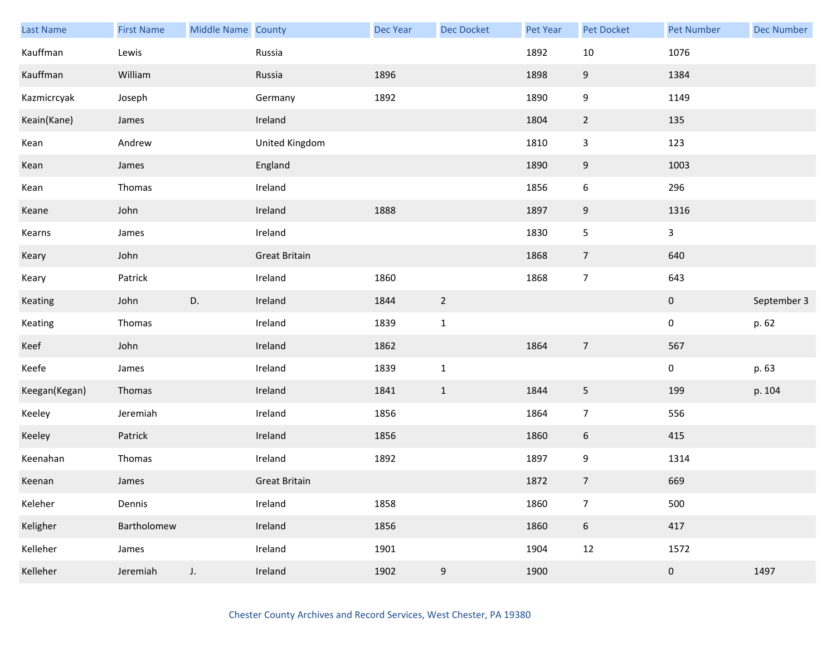| Last Name     | <b>First Name</b> | <b>Middle Name County</b> |                      | <b>Dec Year</b> | Dec Docket     | Pet Year | <b>Pet Docket</b> | <b>Pet Number</b> | <b>Dec Number</b> |
|---------------|-------------------|---------------------------|----------------------|-----------------|----------------|----------|-------------------|-------------------|-------------------|
| Kauffman      | Lewis             |                           | Russia               |                 |                | 1892     | $10\,$            | 1076              |                   |
| Kauffman      | William           |                           | Russia               | 1896            |                | 1898     | $\boldsymbol{9}$  | 1384              |                   |
| Kazmicrcyak   | Joseph            |                           | Germany              | 1892            |                | 1890     | $\boldsymbol{9}$  | 1149              |                   |
| Keain(Kane)   | James             |                           | Ireland              |                 |                | 1804     | $\overline{2}$    | 135               |                   |
| Kean          | Andrew            |                           | United Kingdom       |                 |                | 1810     | $\mathbf{3}$      | 123               |                   |
| Kean          | James             |                           | England              |                 |                | 1890     | $\boldsymbol{9}$  | 1003              |                   |
| Kean          | Thomas            |                           | Ireland              |                 |                | 1856     | $\boldsymbol{6}$  | 296               |                   |
| Keane         | John              |                           | Ireland              | 1888            |                | 1897     | 9                 | 1316              |                   |
| Kearns        | James             |                           | Ireland              |                 |                | 1830     | 5                 | $\mathbf{3}$      |                   |
| Keary         | John              |                           | <b>Great Britain</b> |                 |                | 1868     | $\overline{7}$    | 640               |                   |
| Keary         | Patrick           |                           | Ireland              | 1860            |                | 1868     | $\overline{7}$    | 643               |                   |
| Keating       | John              | D.                        | Ireland              | 1844            | $\overline{2}$ |          |                   | $\pmb{0}$         | September 3       |
| Keating       | Thomas            |                           | Ireland              | 1839            | $\mathbf{1}$   |          |                   | $\pmb{0}$         | p. 62             |
| Keef          | John              |                           | Ireland              | 1862            |                | 1864     | $\overline{7}$    | 567               |                   |
| Keefe         | James             |                           | Ireland              | 1839            | $\mathbf{1}$   |          |                   | $\pmb{0}$         | p. 63             |
| Keegan(Kegan) | Thomas            |                           | Ireland              | 1841            | $\mathbf{1}$   | 1844     | 5                 | 199               | p. 104            |
| Keeley        | Jeremiah          |                           | Ireland              | 1856            |                | 1864     | $\overline{7}$    | 556               |                   |
| Keeley        | Patrick           |                           | Ireland              | 1856            |                | 1860     | $\boldsymbol{6}$  | 415               |                   |
| Keenahan      | Thomas            |                           | Ireland              | 1892            |                | 1897     | 9                 | 1314              |                   |
| Keenan        | James             |                           | <b>Great Britain</b> |                 |                | 1872     | $\overline{7}$    | 669               |                   |
| Keleher       | Dennis            |                           | Ireland              | 1858            |                | 1860     | $\overline{7}$    | 500               |                   |
| Keligher      | Bartholomew       |                           | Ireland              | 1856            |                | 1860     | $6\,$             | 417               |                   |
| Kelleher      | James             |                           | Ireland              | 1901            |                | 1904     | 12                | 1572              |                   |
| Kelleher      | Jeremiah          | $J_{\star}$               | Ireland              | 1902            | 9              | 1900     |                   | $\pmb{0}$         | 1497              |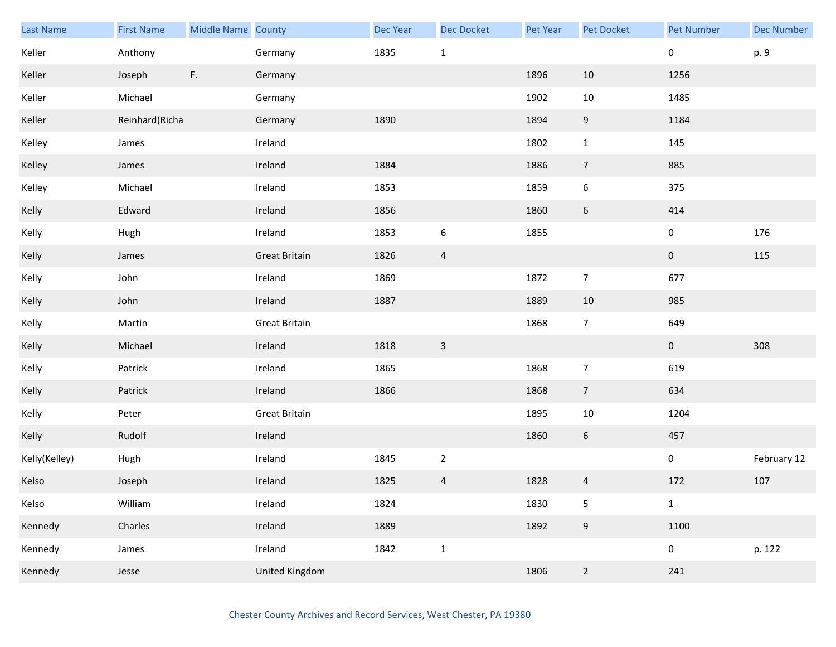| Last Name     | <b>First Name</b> | Middle Name County |                      | Dec Year | Dec Docket       | Pet Year | Pet Docket       | <b>Pet Number</b> | <b>Dec Number</b> |
|---------------|-------------------|--------------------|----------------------|----------|------------------|----------|------------------|-------------------|-------------------|
| Keller        | Anthony           |                    | Germany              | 1835     | $\mathbf{1}$     |          |                  | 0                 | p. 9              |
| Keller        | Joseph            | F.                 | Germany              |          |                  | 1896     | 10               | 1256              |                   |
| Keller        | Michael           |                    | Germany              |          |                  | 1902     | $10\,$           | 1485              |                   |
| Keller        | Reinhard(Richa    |                    | Germany              | 1890     |                  | 1894     | 9                | 1184              |                   |
| Kelley        | James             |                    | Ireland              |          |                  | 1802     | $\mathbf{1}$     | 145               |                   |
| Kelley        | James             |                    | Ireland              | 1884     |                  | 1886     | $\overline{7}$   | 885               |                   |
| Kelley        | Michael           |                    | Ireland              | 1853     |                  | 1859     | 6                | 375               |                   |
| Kelly         | Edward            |                    | Ireland              | 1856     |                  | 1860     | $\boldsymbol{6}$ | 414               |                   |
| Kelly         | Hugh              |                    | Ireland              | 1853     | $\boldsymbol{6}$ | 1855     |                  | 0                 | 176               |
| Kelly         | James             |                    | <b>Great Britain</b> | 1826     | $\overline{4}$   |          |                  | $\mathbf{0}$      | $115\,$           |
| Kelly         | John              |                    | Ireland              | 1869     |                  | 1872     | $\overline{7}$   | 677               |                   |
| Kelly         | John              |                    | Ireland              | 1887     |                  | 1889     | 10               | 985               |                   |
| Kelly         | Martin            |                    | <b>Great Britain</b> |          |                  | 1868     | $\overline{7}$   | 649               |                   |
| Kelly         | Michael           |                    | Ireland              | 1818     | $\overline{3}$   |          |                  | $\overline{0}$    | 308               |
| Kelly         | Patrick           |                    | Ireland              | 1865     |                  | 1868     | $\overline{7}$   | 619               |                   |
| Kelly         | Patrick           |                    | Ireland              | 1866     |                  | 1868     | $\overline{7}$   | 634               |                   |
| Kelly         | Peter             |                    | <b>Great Britain</b> |          |                  | 1895     | $10\,$           | 1204              |                   |
| Kelly         | Rudolf            |                    | Ireland              |          |                  | 1860     | $6\phantom{.}6$  | 457               |                   |
| Kelly(Kelley) | Hugh              |                    | Ireland              | 1845     | $\overline{2}$   |          |                  | $\mathbf 0$       | February 12       |
| Kelso         | Joseph            |                    | Ireland              | 1825     | $\overline{a}$   | 1828     | 4                | 172               | 107               |
| Kelso         | William           |                    | Ireland              | 1824     |                  | 1830     | $\mathsf S$      | $\mathbf{1}$      |                   |
| Kennedy       | Charles           |                    | Ireland              | 1889     |                  | 1892     | $9\,$            | 1100              |                   |
| Kennedy       | James             |                    | Ireland              | 1842     | $\mathbf 1$      |          |                  | $\mathbf 0$       | p. 122            |
| Kennedy       | Jesse             |                    | United Kingdom       |          |                  | 1806     | $\overline{2}$   | 241               |                   |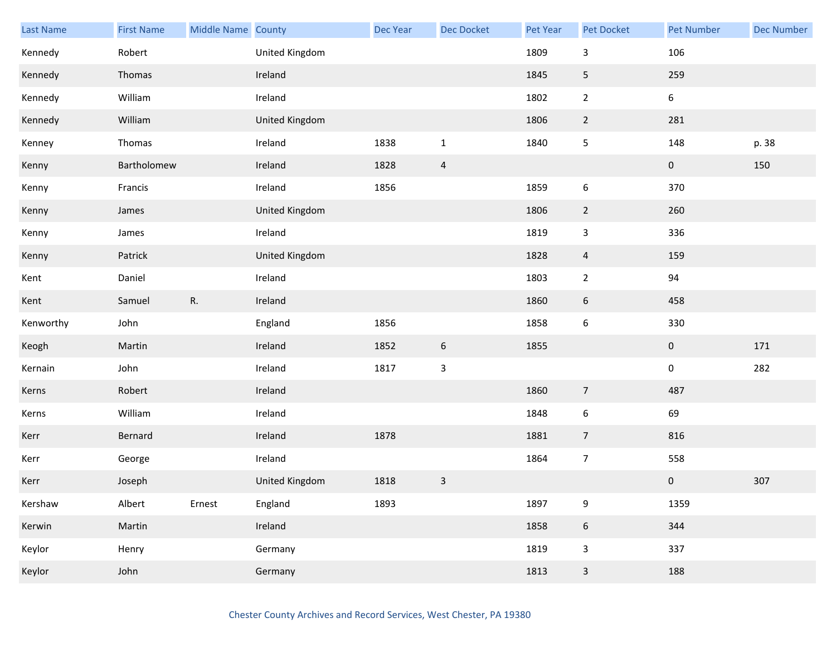| Last Name | <b>First Name</b> | Middle Name County |                | Dec Year | <b>Dec Docket</b> | Pet Year | Pet Docket       | <b>Pet Number</b> | <b>Dec Number</b> |
|-----------|-------------------|--------------------|----------------|----------|-------------------|----------|------------------|-------------------|-------------------|
| Kennedy   | Robert            |                    | United Kingdom |          |                   | 1809     | 3                | 106               |                   |
| Kennedy   | Thomas            |                    | Ireland        |          |                   | 1845     | $\overline{5}$   | 259               |                   |
| Kennedy   | William           |                    | Ireland        |          |                   | 1802     | $\overline{2}$   | $\boldsymbol{6}$  |                   |
| Kennedy   | William           |                    | United Kingdom |          |                   | 1806     | $\overline{2}$   | 281               |                   |
| Kenney    | Thomas            |                    | Ireland        | 1838     | $\mathbf{1}$      | 1840     | 5                | 148               | p. 38             |
| Kenny     | Bartholomew       |                    | Ireland        | 1828     | $\overline{a}$    |          |                  | $\pmb{0}$         | 150               |
| Kenny     | Francis           |                    | Ireland        | 1856     |                   | 1859     | $\boldsymbol{6}$ | 370               |                   |
| Kenny     | James             |                    | United Kingdom |          |                   | 1806     | $\overline{2}$   | 260               |                   |
| Kenny     | James             |                    | Ireland        |          |                   | 1819     | $\mathbf{3}$     | 336               |                   |
| Kenny     | Patrick           |                    | United Kingdom |          |                   | 1828     | $\overline{4}$   | 159               |                   |
| Kent      | Daniel            |                    | Ireland        |          |                   | 1803     | $\overline{2}$   | 94                |                   |
| Kent      | Samuel            | R.                 | Ireland        |          |                   | 1860     | $6\phantom{.}6$  | 458               |                   |
| Kenworthy | John              |                    | England        | 1856     |                   | 1858     | 6                | 330               |                   |
| Keogh     | Martin            |                    | Ireland        | 1852     | 6                 | 1855     |                  | $\mathbf 0$       | 171               |
| Kernain   | John              |                    | Ireland        | 1817     | $\mathsf 3$       |          |                  | $\pmb{0}$         | 282               |
| Kerns     | Robert            |                    | Ireland        |          |                   | 1860     | $\overline{7}$   | 487               |                   |
| Kerns     | William           |                    | Ireland        |          |                   | 1848     | $\boldsymbol{6}$ | 69                |                   |
| Kerr      | Bernard           |                    | Ireland        | 1878     |                   | 1881     | $\overline{7}$   | 816               |                   |
| Kerr      | George            |                    | Ireland        |          |                   | 1864     | $\overline{7}$   | 558               |                   |
| Kerr      | Joseph            |                    | United Kingdom | 1818     | $\mathbf{3}$      |          |                  | $\pmb{0}$         | 307               |
| Kershaw   | Albert            | Ernest             | England        | 1893     |                   | 1897     | 9                | 1359              |                   |
| Kerwin    | Martin            |                    | Ireland        |          |                   | 1858     | $6\phantom{.}6$  | 344               |                   |
| Keylor    | Henry             |                    | Germany        |          |                   | 1819     | $\mathbf{3}$     | 337               |                   |
| Keylor    | John              |                    | Germany        |          |                   | 1813     | $\mathsf{3}$     | 188               |                   |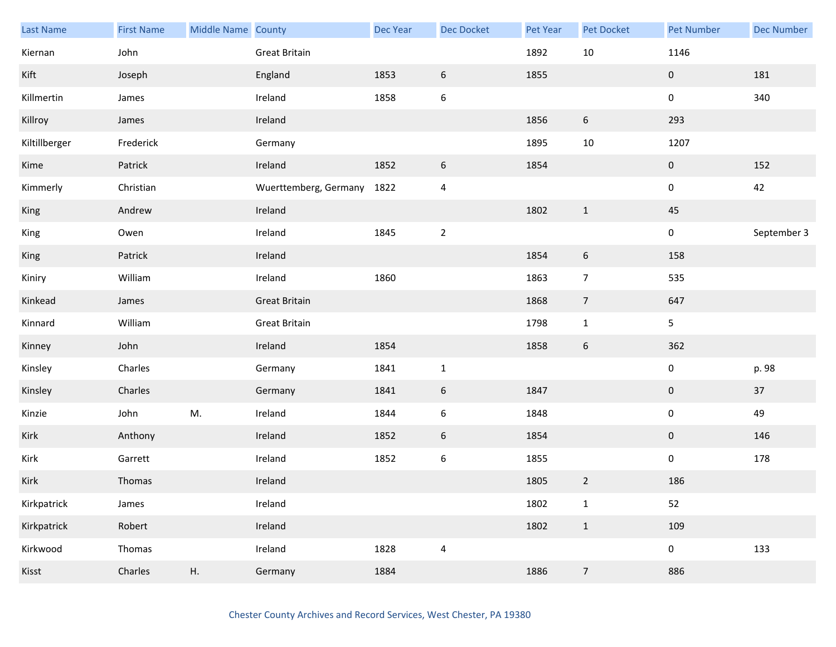| Last Name     | <b>First Name</b> | Middle Name County |                       | Dec Year | <b>Dec Docket</b> | Pet Year | Pet Docket     | <b>Pet Number</b> | <b>Dec Number</b> |
|---------------|-------------------|--------------------|-----------------------|----------|-------------------|----------|----------------|-------------------|-------------------|
| Kiernan       | John              |                    | <b>Great Britain</b>  |          |                   | 1892     | 10             | 1146              |                   |
| Kift          | Joseph            |                    | England               | 1853     | $\boldsymbol{6}$  | 1855     |                | $\mathbf 0$       | 181               |
| Killmertin    | James             |                    | Ireland               | 1858     | $\boldsymbol{6}$  |          |                | 0                 | 340               |
| Killroy       | James             |                    | Ireland               |          |                   | 1856     | 6              | 293               |                   |
| Kiltillberger | Frederick         |                    | Germany               |          |                   | 1895     | $10\,$         | 1207              |                   |
| Kime          | Patrick           |                    | Ireland               | 1852     | $\boldsymbol{6}$  | 1854     |                | $\pmb{0}$         | 152               |
| Kimmerly      | Christian         |                    | Wuerttemberg, Germany | 1822     | 4                 |          |                | 0                 | 42                |
| King          | Andrew            |                    | Ireland               |          |                   | 1802     | $\mathbf{1}$   | 45                |                   |
| King          | Owen              |                    | Ireland               | 1845     | $\mathbf 2$       |          |                | 0                 | September 3       |
| King          | Patrick           |                    | Ireland               |          |                   | 1854     | 6              | 158               |                   |
| Kiniry        | William           |                    | Ireland               | 1860     |                   | 1863     | $\overline{7}$ | 535               |                   |
| Kinkead       | James             |                    | <b>Great Britain</b>  |          |                   | 1868     | $\overline{7}$ | 647               |                   |
| Kinnard       | William           |                    | Great Britain         |          |                   | 1798     | $\mathbf 1$    | 5                 |                   |
| Kinney        | John              |                    | Ireland               | 1854     |                   | 1858     | 6              | 362               |                   |
| Kinsley       | Charles           |                    | Germany               | 1841     | $\mathbf 1$       |          |                | $\pmb{0}$         | p. 98             |
| Kinsley       | Charles           |                    | Germany               | 1841     | $\boldsymbol{6}$  | 1847     |                | 0                 | 37                |
| Kinzie        | John              | M.                 | Ireland               | 1844     | $\boldsymbol{6}$  | 1848     |                | 0                 | 49                |
| Kirk          | Anthony           |                    | Ireland               | 1852     | 6                 | 1854     |                | $\mathbf 0$       | 146               |
| Kirk          | Garrett           |                    | Ireland               | 1852     | $\boldsymbol{6}$  | 1855     |                | 0                 | 178               |
| Kirk          | Thomas            |                    | Ireland               |          |                   | 1805     | $\overline{2}$ | 186               |                   |
| Kirkpatrick   | James             |                    | Ireland               |          |                   | 1802     | $\mathbf 1$    | 52                |                   |
| Kirkpatrick   | Robert            |                    | Ireland               |          |                   | 1802     | $\mathbf{1}$   | 109               |                   |
| Kirkwood      | Thomas            |                    | Ireland               | 1828     | $\overline{4}$    |          |                | $\mathbf 0$       | 133               |
| Kisst         | Charles           | Η.                 | Germany               | 1884     |                   | 1886     | $\overline{7}$ | 886               |                   |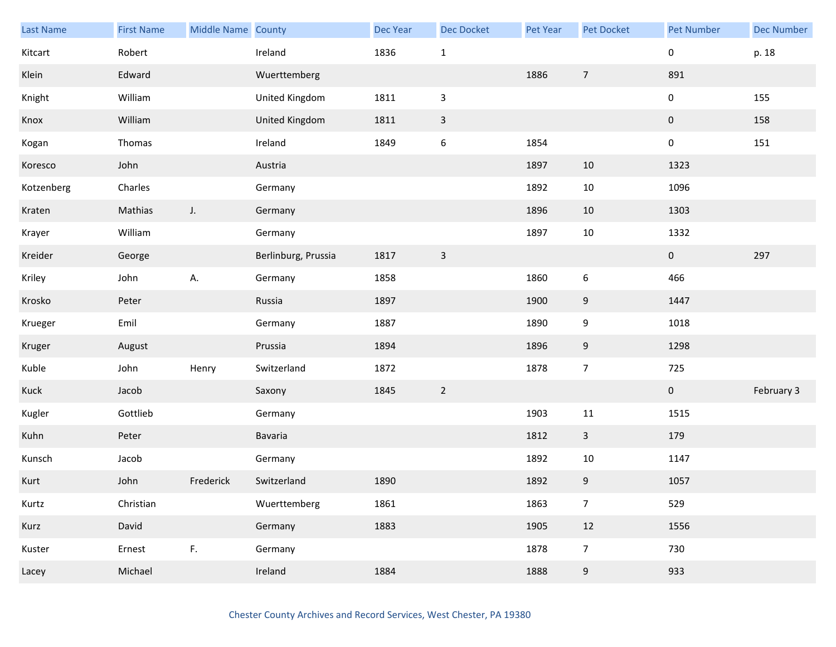| Last Name  | <b>First Name</b> | Middle Name County |                     | Dec Year | <b>Dec Docket</b> | Pet Year | Pet Docket     | <b>Pet Number</b> | <b>Dec Number</b> |
|------------|-------------------|--------------------|---------------------|----------|-------------------|----------|----------------|-------------------|-------------------|
| Kitcart    | Robert            |                    | Ireland             | 1836     | $\mathbf 1$       |          |                | 0                 | p. 18             |
| Klein      | Edward            |                    | Wuerttemberg        |          |                   | 1886     | $\overline{7}$ | 891               |                   |
| Knight     | William           |                    | United Kingdom      | 1811     | $\mathsf{3}$      |          |                | 0                 | 155               |
| Knox       | William           |                    | United Kingdom      | 1811     | $\mathsf{3}$      |          |                | $\mathbf 0$       | 158               |
| Kogan      | Thomas            |                    | Ireland             | 1849     | $\boldsymbol{6}$  | 1854     |                | 0                 | 151               |
| Koresco    | John              |                    | Austria             |          |                   | 1897     | 10             | 1323              |                   |
| Kotzenberg | Charles           |                    | Germany             |          |                   | 1892     | $10\,$         | 1096              |                   |
| Kraten     | Mathias           | $J_{\star}$        | Germany             |          |                   | 1896     | 10             | 1303              |                   |
| Krayer     | William           |                    | Germany             |          |                   | 1897     | $10\,$         | 1332              |                   |
| Kreider    | George            |                    | Berlinburg, Prussia | 1817     | $\mathsf 3$       |          |                | $\overline{0}$    | 297               |
| Kriley     | John              | А.                 | Germany             | 1858     |                   | 1860     | 6              | 466               |                   |
| Krosko     | Peter             |                    | Russia              | 1897     |                   | 1900     | 9              | 1447              |                   |
| Krueger    | Emil              |                    | Germany             | 1887     |                   | 1890     | 9              | 1018              |                   |
| Kruger     | August            |                    | Prussia             | 1894     |                   | 1896     | 9              | 1298              |                   |
| Kuble      | John              | Henry              | Switzerland         | 1872     |                   | 1878     | $\overline{7}$ | 725               |                   |
| Kuck       | Jacob             |                    | Saxony              | 1845     | $\sqrt{2}$        |          |                | $\mathbf 0$       | February 3        |
| Kugler     | Gottlieb          |                    | Germany             |          |                   | 1903     | $11\,$         | 1515              |                   |
| Kuhn       | Peter             |                    | Bavaria             |          |                   | 1812     | $\overline{3}$ | 179               |                   |
| Kunsch     | Jacob             |                    | Germany             |          |                   | 1892     | $10\,$         | 1147              |                   |
| Kurt       | John              | Frederick          | Switzerland         | 1890     |                   | 1892     | 9              | 1057              |                   |
| Kurtz      | Christian         |                    | Wuerttemberg        | 1861     |                   | 1863     | $\overline{7}$ | 529               |                   |
| Kurz       | David             |                    | Germany             | 1883     |                   | 1905     | $12\,$         | 1556              |                   |
| Kuster     | Ernest            | F.                 | Germany             |          |                   | 1878     | $\overline{7}$ | 730               |                   |
| Lacey      | Michael           |                    | Ireland             | 1884     |                   | 1888     | 9              | 933               |                   |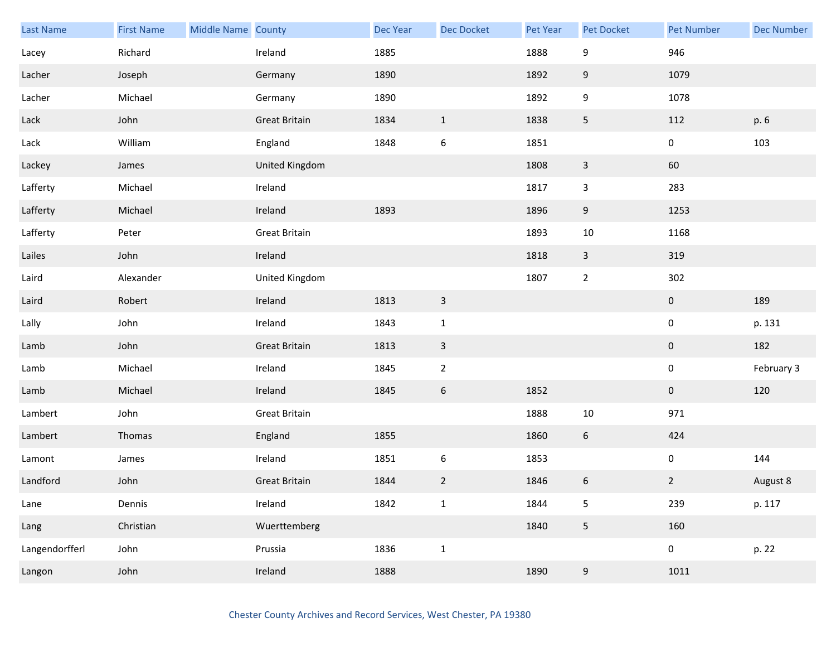| Last Name      | <b>First Name</b> | Middle Name County |                      | Dec Year | <b>Dec Docket</b> | Pet Year | Pet Docket              | <b>Pet Number</b> | <b>Dec Number</b> |
|----------------|-------------------|--------------------|----------------------|----------|-------------------|----------|-------------------------|-------------------|-------------------|
| Lacey          | Richard           |                    | Ireland              | 1885     |                   | 1888     | 9                       | 946               |                   |
| Lacher         | Joseph            |                    | Germany              | 1890     |                   | 1892     | 9                       | 1079              |                   |
| Lacher         | Michael           |                    | Germany              | 1890     |                   | 1892     | 9                       | 1078              |                   |
| Lack           | John              |                    | <b>Great Britain</b> | 1834     | $\mathbf{1}$      | 1838     | 5                       | 112               | p. 6              |
| Lack           | William           |                    | England              | 1848     | $\boldsymbol{6}$  | 1851     |                         | $\mathbf 0$       | 103               |
| Lackey         | James             |                    | United Kingdom       |          |                   | 1808     | $\mathsf{3}$            | 60                |                   |
| Lafferty       | Michael           |                    | Ireland              |          |                   | 1817     | 3                       | 283               |                   |
| Lafferty       | Michael           |                    | Ireland              | 1893     |                   | 1896     | 9                       | 1253              |                   |
| Lafferty       | Peter             |                    | <b>Great Britain</b> |          |                   | 1893     | $10\,$                  | 1168              |                   |
| Lailes         | John              |                    | Ireland              |          |                   | 1818     | $\mathbf{3}$            | 319               |                   |
| Laird          | Alexander         |                    | United Kingdom       |          |                   | 1807     | $\overline{2}$          | 302               |                   |
| Laird          | Robert            |                    | Ireland              | 1813     | $\mathsf{3}$      |          |                         | $\mathbf{0}$      | 189               |
| Lally          | John              |                    | Ireland              | 1843     | $\mathbf 1$       |          |                         | 0                 | p. 131            |
| Lamb           | John              |                    | <b>Great Britain</b> | 1813     | $\mathbf{3}$      |          |                         | $\mathbf 0$       | 182               |
| Lamb           | Michael           |                    | Ireland              | 1845     | $\overline{2}$    |          |                         | $\mathbf 0$       | February 3        |
| Lamb           | Michael           |                    | Ireland              | 1845     | $\boldsymbol{6}$  | 1852     |                         | $\mathbf 0$       | 120               |
| Lambert        | John              |                    | <b>Great Britain</b> |          |                   | 1888     | $10\,$                  | 971               |                   |
| Lambert        | Thomas            |                    | England              | 1855     |                   | 1860     | $6\phantom{.}6$         | 424               |                   |
| Lamont         | James             |                    | Ireland              | 1851     | $\boldsymbol{6}$  | 1853     |                         | $\boldsymbol{0}$  | 144               |
| Landford       | John              |                    | <b>Great Britain</b> | 1844     | $\overline{2}$    | 1846     | $\boldsymbol{6}$        | $\overline{2}$    | August 8          |
| Lane           | Dennis            |                    | Ireland              | 1842     | $\mathbf 1$       | 1844     | 5                       | 239               | p. 117            |
| Lang           | Christian         |                    | Wuerttemberg         |          |                   | 1840     | $\overline{\mathbf{5}}$ | 160               |                   |
| Langendorfferl | John              |                    | Prussia              | 1836     | $\mathbf{1}$      |          |                         | $\mathbf 0$       | p. 22             |
| Langon         | John              |                    | Ireland              | 1888     |                   | 1890     | $\boldsymbol{9}$        | 1011              |                   |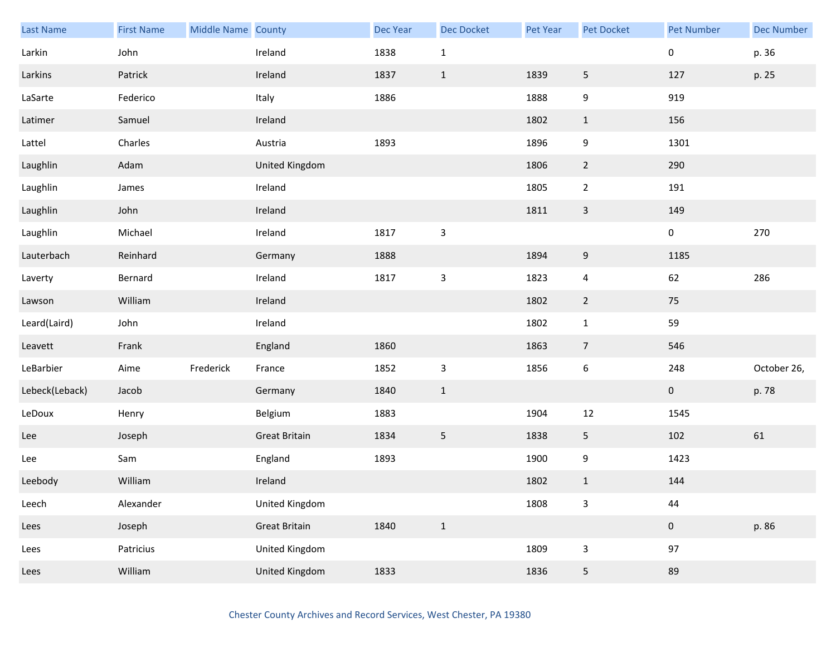| <b>Last Name</b> | <b>First Name</b> | Middle Name County |                      | Dec Year | <b>Dec Docket</b>         | Pet Year | Pet Docket       | <b>Pet Number</b> | <b>Dec Number</b> |
|------------------|-------------------|--------------------|----------------------|----------|---------------------------|----------|------------------|-------------------|-------------------|
| Larkin           | John              |                    | Ireland              | 1838     | $\mathbf{1}$              |          |                  | 0                 | p. 36             |
| Larkins          | Patrick           |                    | Ireland              | 1837     | $\mathbf{1}$              | 1839     | 5                | 127               | p. 25             |
| LaSarte          | Federico          |                    | Italy                | 1886     |                           | 1888     | 9                | 919               |                   |
| Latimer          | Samuel            |                    | Ireland              |          |                           | 1802     | $\mathbf{1}$     | 156               |                   |
| Lattel           | Charles           |                    | Austria              | 1893     |                           | 1896     | 9                | 1301              |                   |
| Laughlin         | Adam              |                    | United Kingdom       |          |                           | 1806     | $\overline{2}$   | 290               |                   |
| Laughlin         | James             |                    | Ireland              |          |                           | 1805     | $\overline{2}$   | 191               |                   |
| Laughlin         | John              |                    | Ireland              |          |                           | 1811     | $\mathbf{3}$     | 149               |                   |
| Laughlin         | Michael           |                    | Ireland              | 1817     | $\mathbf{3}$              |          |                  | $\pmb{0}$         | 270               |
| Lauterbach       | Reinhard          |                    | Germany              | 1888     |                           | 1894     | $\boldsymbol{9}$ | 1185              |                   |
| Laverty          | Bernard           |                    | Ireland              | 1817     | $\mathsf 3$               | 1823     | $\overline{4}$   | 62                | 286               |
| Lawson           | William           |                    | Ireland              |          |                           | 1802     | $\overline{2}$   | 75                |                   |
| Leard(Laird)     | John              |                    | Ireland              |          |                           | 1802     | $\mathbf{1}$     | 59                |                   |
| Leavett          | Frank             |                    | England              | 1860     |                           | 1863     | $\overline{7}$   | 546               |                   |
| LeBarbier        | Aime              | Frederick          | France               | 1852     | $\ensuremath{\mathsf{3}}$ | 1856     | $\boldsymbol{6}$ | 248               | October 26,       |
| Lebeck(Leback)   | Jacob             |                    | Germany              | 1840     | $\mathbf{1}$              |          |                  | $\mathbf{0}$      | p. 78             |
| LeDoux           | Henry             |                    | Belgium              | 1883     |                           | 1904     | 12               | 1545              |                   |
| Lee              | Joseph            |                    | <b>Great Britain</b> | 1834     | $5\phantom{.0}$           | 1838     | 5                | 102               | 61                |
| Lee              | Sam               |                    | England              | 1893     |                           | 1900     | 9                | 1423              |                   |
| Leebody          | William           |                    | Ireland              |          |                           | 1802     | $\mathbf 1$      | 144               |                   |
| Leech            | Alexander         |                    | United Kingdom       |          |                           | 1808     | 3                | 44                |                   |
| Lees             | Joseph            |                    | <b>Great Britain</b> | 1840     | $1\,$                     |          |                  | $\pmb{0}$         | p. 86             |
| Lees             | Patricius         |                    | United Kingdom       |          |                           | 1809     | 3                | 97                |                   |
| Lees             | William           |                    | United Kingdom       | 1833     |                           | 1836     | 5                | 89                |                   |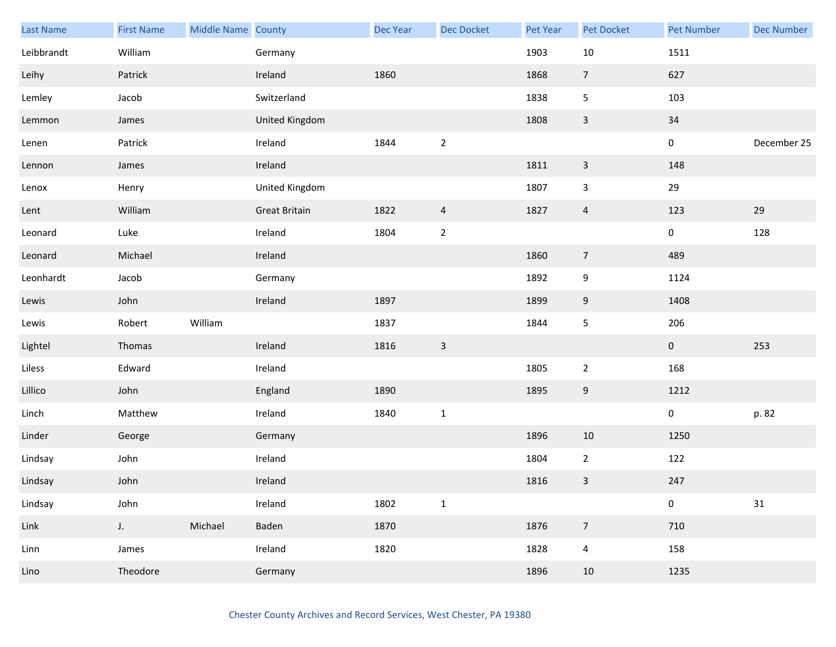| Last Name  | <b>First Name</b> | Middle Name County |                      | Dec Year | <b>Dec Docket</b> | Pet Year | Pet Docket       | <b>Pet Number</b> | <b>Dec Number</b> |
|------------|-------------------|--------------------|----------------------|----------|-------------------|----------|------------------|-------------------|-------------------|
| Leibbrandt | William           |                    | Germany              |          |                   | 1903     | 10               | 1511              |                   |
| Leihy      | Patrick           |                    | Ireland              | 1860     |                   | 1868     | $\overline{7}$   | 627               |                   |
| Lemley     | Jacob             |                    | Switzerland          |          |                   | 1838     | 5                | 103               |                   |
| Lemmon     | James             |                    | United Kingdom       |          |                   | 1808     | $\mathbf{3}$     | 34                |                   |
| Lenen      | Patrick           |                    | Ireland              | 1844     | $\overline{2}$    |          |                  | $\mathbf 0$       | December 25       |
| Lennon     | James             |                    | Ireland              |          |                   | 1811     | $\mathsf 3$      | 148               |                   |
| Lenox      | Henry             |                    | United Kingdom       |          |                   | 1807     | 3                | 29                |                   |
| Lent       | William           |                    | <b>Great Britain</b> | 1822     | $\overline{a}$    | 1827     | $\overline{4}$   | 123               | 29                |
| Leonard    | Luke              |                    | Ireland              | 1804     | $\overline{2}$    |          |                  | $\mathbf 0$       | 128               |
| Leonard    | Michael           |                    | Ireland              |          |                   | 1860     | $\overline{7}$   | 489               |                   |
| Leonhardt  | Jacob             |                    | Germany              |          |                   | 1892     | $\boldsymbol{9}$ | 1124              |                   |
| Lewis      | John              |                    | Ireland              | 1897     |                   | 1899     | 9                | 1408              |                   |
| Lewis      | Robert            | William            |                      | 1837     |                   | 1844     | $\mathsf S$      | 206               |                   |
| Lightel    | Thomas            |                    | Ireland              | 1816     | $\mathsf{3}$      |          |                  | $\mathbf{0}$      | 253               |
| Liless     | Edward            |                    | Ireland              |          |                   | 1805     | $\overline{2}$   | 168               |                   |
| Lillico    | John              |                    | England              | 1890     |                   | 1895     | $9\,$            | 1212              |                   |
| Linch      | Matthew           |                    | Ireland              | 1840     | $\mathbf 1$       |          |                  | $\pmb{0}$         | p. 82             |
| Linder     | George            |                    | Germany              |          |                   | 1896     | 10               | 1250              |                   |
| Lindsay    | John              |                    | Ireland              |          |                   | 1804     | $\overline{2}$   | 122               |                   |
| Lindsay    | John              |                    | Ireland              |          |                   | 1816     | 3                | 247               |                   |
| Lindsay    | John              |                    | Ireland              | 1802     | $\mathbf 1$       |          |                  | $\pmb{0}$         | 31                |
| Link       | $J_{\star}$       | Michael            | Baden                | 1870     |                   | 1876     | $\overline{7}$   | 710               |                   |
| Linn       | James             |                    | Ireland              | 1820     |                   | 1828     | $\overline{4}$   | 158               |                   |
| Lino       | Theodore          |                    | Germany              |          |                   | 1896     | 10               | 1235              |                   |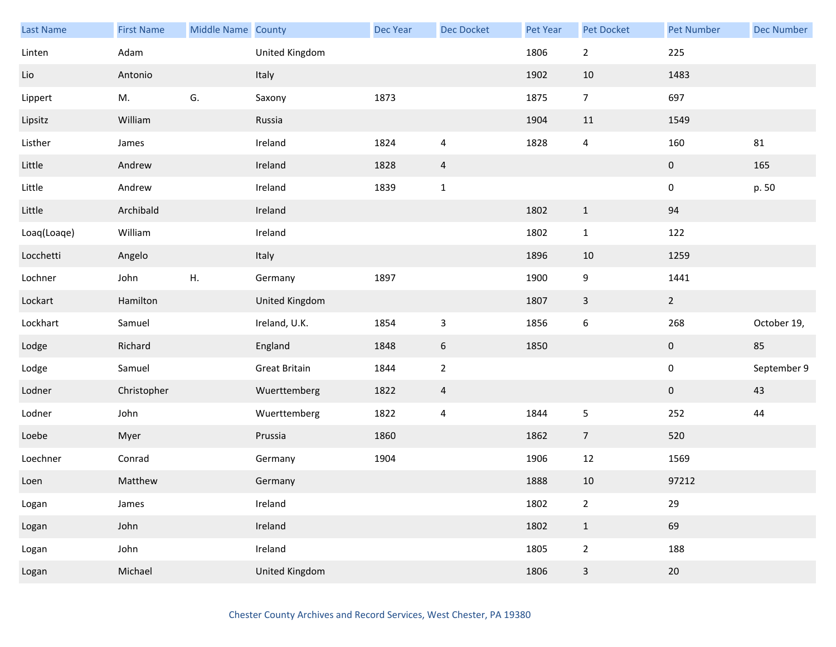| Last Name   | <b>First Name</b> | Middle Name County |                      | Dec Year | <b>Dec Docket</b>       | Pet Year | Pet Docket              | <b>Pet Number</b> | <b>Dec Number</b> |
|-------------|-------------------|--------------------|----------------------|----------|-------------------------|----------|-------------------------|-------------------|-------------------|
| Linten      | Adam              |                    | United Kingdom       |          |                         | 1806     | $\overline{2}$          | 225               |                   |
| Lio         | Antonio           |                    | Italy                |          |                         | 1902     | 10                      | 1483              |                   |
| Lippert     | M.                | G.                 | Saxony               | 1873     |                         | 1875     | $\overline{7}$          | 697               |                   |
| Lipsitz     | William           |                    | Russia               |          |                         | 1904     | 11                      | 1549              |                   |
| Listher     | James             |                    | Ireland              | 1824     | $\overline{4}$          | 1828     | $\overline{4}$          | 160               | 81                |
| Little      | Andrew            |                    | Ireland              | 1828     | $\overline{a}$          |          |                         | $\mathbf 0$       | 165               |
| Little      | Andrew            |                    | Ireland              | 1839     | $\mathbf 1$             |          |                         | 0                 | p. 50             |
| Little      | Archibald         |                    | Ireland              |          |                         | 1802     | $\mathbf{1}$            | 94                |                   |
| Loaq(Loaqe) | William           |                    | Ireland              |          |                         | 1802     | $\mathbf{1}$            | 122               |                   |
| Locchetti   | Angelo            |                    | Italy                |          |                         | 1896     | 10                      | 1259              |                   |
| Lochner     | John              | Η.                 | Germany              | 1897     |                         | 1900     | 9                       | 1441              |                   |
| Lockart     | Hamilton          |                    | United Kingdom       |          |                         | 1807     | $\overline{\mathbf{3}}$ | $\overline{2}$    |                   |
| Lockhart    | Samuel            |                    | Ireland, U.K.        | 1854     | $\mathsf 3$             | 1856     | 6                       | 268               | October 19,       |
| Lodge       | Richard           |                    | England              | 1848     | $\boldsymbol{6}$        | 1850     |                         | $\mathbf{0}$      | 85                |
| Lodge       | Samuel            |                    | <b>Great Britain</b> | 1844     | $\mathbf 2$             |          |                         | $\pmb{0}$         | September 9       |
| Lodner      | Christopher       |                    | Wuerttemberg         | 1822     | $\overline{a}$          |          |                         | $\mathbf{0}$      | 43                |
| Lodner      | John              |                    | Wuerttemberg         | 1822     | $\overline{\mathbf{r}}$ | 1844     | 5                       | 252               | 44                |
| Loebe       | Myer              |                    | Prussia              | 1860     |                         | 1862     | $\overline{7}$          | 520               |                   |
| Loechner    | Conrad            |                    | Germany              | 1904     |                         | 1906     | 12                      | 1569              |                   |
| Loen        | Matthew           |                    | Germany              |          |                         | 1888     | $10\,$                  | 97212             |                   |
| Logan       | James             |                    | Ireland              |          |                         | 1802     | $\overline{2}$          | 29                |                   |
| Logan       | John              |                    | Ireland              |          |                         | 1802     | $\mathbf{1}$            | 69                |                   |
| Logan       | John              |                    | Ireland              |          |                         | 1805     | $\overline{2}$          | 188               |                   |
| Logan       | Michael           |                    | United Kingdom       |          |                         | 1806     | $\overline{\mathbf{3}}$ | $20\,$            |                   |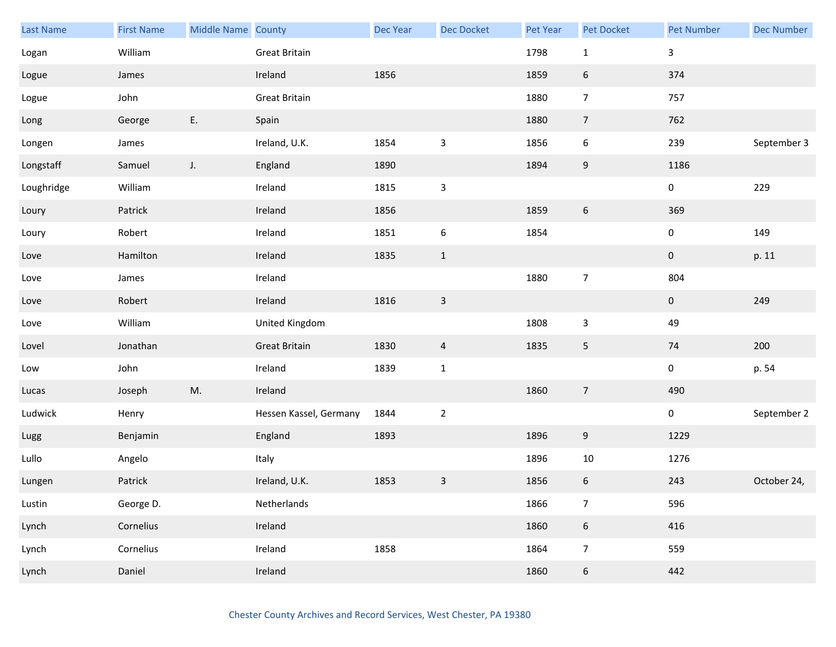| Last Name  | <b>First Name</b> | Middle Name County |                        | Dec Year | <b>Dec Docket</b>         | Pet Year | Pet Docket       | <b>Pet Number</b> | <b>Dec Number</b> |
|------------|-------------------|--------------------|------------------------|----------|---------------------------|----------|------------------|-------------------|-------------------|
| Logan      | William           |                    | Great Britain          |          |                           | 1798     | $\mathbf{1}$     | $\mathsf{3}$      |                   |
| Logue      | James             |                    | Ireland                | 1856     |                           | 1859     | 6                | 374               |                   |
| Logue      | John              |                    | Great Britain          |          |                           | 1880     | $\overline{7}$   | 757               |                   |
| Long       | George            | E.                 | Spain                  |          |                           | 1880     | $\overline{7}$   | 762               |                   |
| Longen     | James             |                    | Ireland, U.K.          | 1854     | $\mathsf 3$               | 1856     | 6                | 239               | September 3       |
| Longstaff  | Samuel            | $J_{\star}$        | England                | 1890     |                           | 1894     | $\boldsymbol{9}$ | 1186              |                   |
| Loughridge | William           |                    | Ireland                | 1815     | $\ensuremath{\mathsf{3}}$ |          |                  | 0                 | 229               |
| Loury      | Patrick           |                    | Ireland                | 1856     |                           | 1859     | 6                | 369               |                   |
| Loury      | Robert            |                    | Ireland                | 1851     | $\boldsymbol{6}$          | 1854     |                  | 0                 | 149               |
| Love       | Hamilton          |                    | Ireland                | 1835     | $\mathbf{1}$              |          |                  | $\pmb{0}$         | p. 11             |
| Love       | James             |                    | Ireland                |          |                           | 1880     | $\overline{7}$   | 804               |                   |
| Love       | Robert            |                    | Ireland                | 1816     | $\mathbf{3}$              |          |                  | $\mathbf 0$       | 249               |
| Love       | William           |                    | United Kingdom         |          |                           | 1808     | 3                | 49                |                   |
| Lovel      | Jonathan          |                    | <b>Great Britain</b>   | 1830     | $\overline{4}$            | 1835     | 5                | 74                | 200               |
| Low        | John              |                    | Ireland                | 1839     | $\mathbf 1$               |          |                  | $\pmb{0}$         | p. 54             |
| Lucas      | Joseph            | M.                 | Ireland                |          |                           | 1860     | $\overline{7}$   | 490               |                   |
| Ludwick    | Henry             |                    | Hessen Kassel, Germany | 1844     | $\overline{2}$            |          |                  | 0                 | September 2       |
| Lugg       | Benjamin          |                    | England                | 1893     |                           | 1896     | 9                | 1229              |                   |
| Lullo      | Angelo            |                    | Italy                  |          |                           | 1896     | 10               | 1276              |                   |
| Lungen     | Patrick           |                    | Ireland, U.K.          | 1853     | $\mathsf 3$               | 1856     | 6                | 243               | October 24,       |
| Lustin     | George D.         |                    | Netherlands            |          |                           | 1866     | $\overline{7}$   | 596               |                   |
| Lynch      | Cornelius         |                    | Ireland                |          |                           | 1860     | $6\phantom{.}6$  | 416               |                   |
| Lynch      | Cornelius         |                    | Ireland                | 1858     |                           | 1864     | $\overline{7}$   | 559               |                   |
| Lynch      | Daniel            |                    | Ireland                |          |                           | 1860     | $\boldsymbol{6}$ | 442               |                   |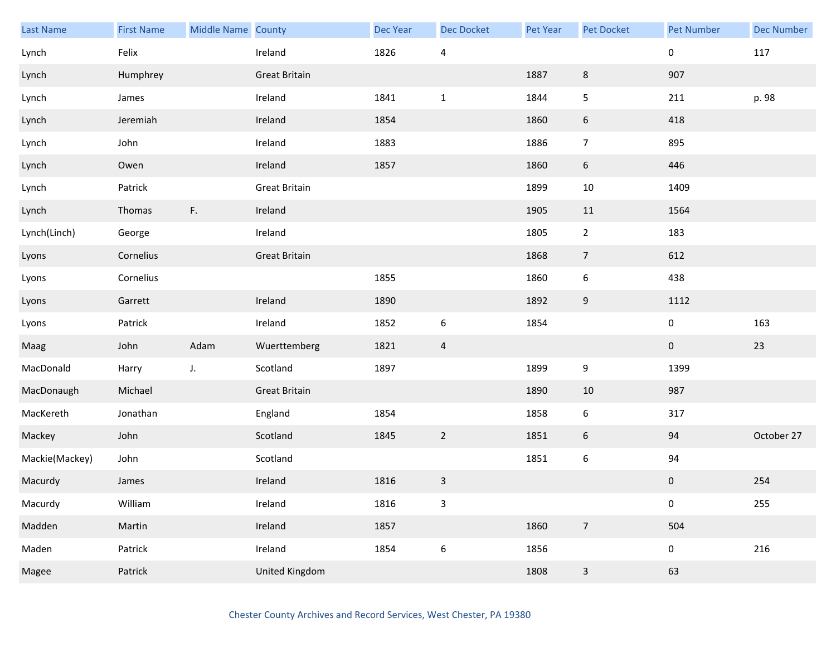| Last Name      | <b>First Name</b> | Middle Name County |                       | Dec Year | <b>Dec Docket</b>         | <b>Pet Year</b> | Pet Docket      | <b>Pet Number</b> | <b>Dec Number</b> |
|----------------|-------------------|--------------------|-----------------------|----------|---------------------------|-----------------|-----------------|-------------------|-------------------|
| Lynch          | Felix             |                    | Ireland               | 1826     | $\overline{\mathbf{4}}$   |                 |                 | 0                 | 117               |
| Lynch          | Humphrey          |                    | <b>Great Britain</b>  |          |                           | 1887            | 8               | 907               |                   |
| Lynch          | James             |                    | Ireland               | 1841     | $\mathbf{1}$              | 1844            | 5               | 211               | p. 98             |
| Lynch          | Jeremiah          |                    | Ireland               | 1854     |                           | 1860            | 6               | 418               |                   |
| Lynch          | John              |                    | Ireland               | 1883     |                           | 1886            | $\overline{7}$  | 895               |                   |
| Lynch          | Owen              |                    | Ireland               | 1857     |                           | 1860            | $6\phantom{.}6$ | 446               |                   |
| Lynch          | Patrick           |                    | <b>Great Britain</b>  |          |                           | 1899            | 10              | 1409              |                   |
| Lynch          | Thomas            | F.                 | Ireland               |          |                           | 1905            | 11              | 1564              |                   |
| Lynch(Linch)   | George            |                    | Ireland               |          |                           | 1805            | $\overline{2}$  | 183               |                   |
| Lyons          | Cornelius         |                    | <b>Great Britain</b>  |          |                           | 1868            | $\overline{7}$  | 612               |                   |
| Lyons          | Cornelius         |                    |                       | 1855     |                           | 1860            | 6               | 438               |                   |
| Lyons          | Garrett           |                    | Ireland               | 1890     |                           | 1892            | 9               | 1112              |                   |
| Lyons          | Patrick           |                    | Ireland               | 1852     | $\boldsymbol{6}$          | 1854            |                 | 0                 | 163               |
| Maag           | John              | Adam               | Wuerttemberg          | 1821     | $\overline{a}$            |                 |                 | $\mathbf 0$       | 23                |
| MacDonald      | Harry             | J.                 | Scotland              | 1897     |                           | 1899            | 9               | 1399              |                   |
| MacDonaugh     | Michael           |                    | <b>Great Britain</b>  |          |                           | 1890            | 10              | 987               |                   |
| MacKereth      | Jonathan          |                    | England               | 1854     |                           | 1858            | 6               | 317               |                   |
| Mackey         | John              |                    | Scotland              | 1845     | $\overline{2}$            | 1851            | 6               | 94                | October 27        |
| Mackie(Mackey) | John              |                    | Scotland              |          |                           | 1851            | 6               | 94                |                   |
| Macurdy        | James             |                    | Ireland               | 1816     | $\ensuremath{\mathsf{3}}$ |                 |                 | $\pmb{0}$         | 254               |
| Macurdy        | William           |                    | Ireland               | 1816     | $\mathbf{3}$              |                 |                 | 0                 | 255               |
| Madden         | Martin            |                    | Ireland               | 1857     |                           | 1860            | $\overline{7}$  | 504               |                   |
| Maden          | Patrick           |                    | Ireland               | 1854     | $\boldsymbol{6}$          | 1856            |                 | 0                 | 216               |
| Magee          | Patrick           |                    | <b>United Kingdom</b> |          |                           | 1808            | $\mathsf{3}$    | 63                |                   |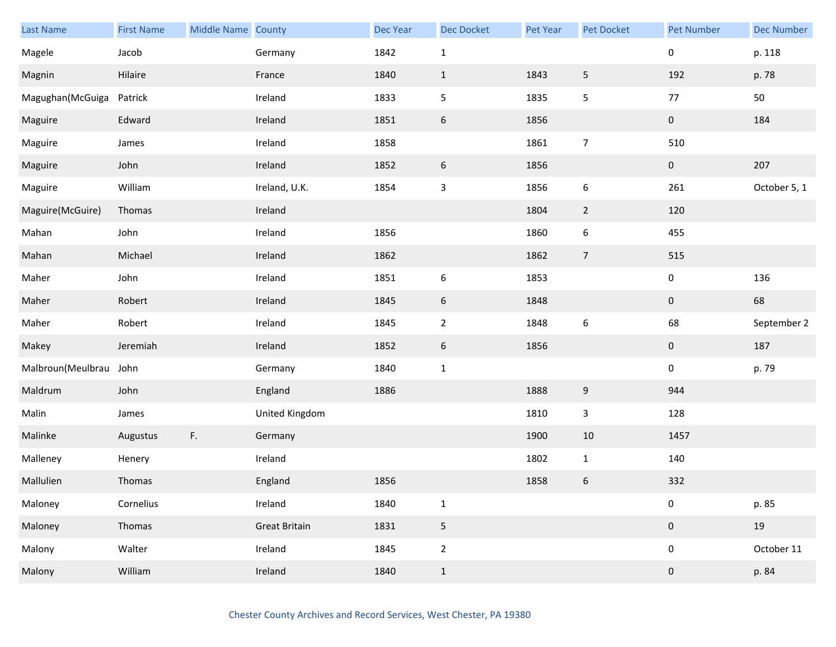| <b>Last Name</b>       | <b>First Name</b> | Middle Name County |                      | Dec Year | Dec Docket                | Pet Year | Pet Docket       | <b>Pet Number</b> | <b>Dec Number</b> |
|------------------------|-------------------|--------------------|----------------------|----------|---------------------------|----------|------------------|-------------------|-------------------|
| Magele                 | Jacob             |                    | Germany              | 1842     | $1\,$                     |          |                  | 0                 | p. 118            |
| Magnin                 | Hilaire           |                    | France               | 1840     | $1\,$                     | 1843     | 5                | 192               | p. 78             |
| Magughan(McGuiga       | Patrick           |                    | Ireland              | 1833     | 5                         | 1835     | 5                | 77                | 50                |
| Maguire                | Edward            |                    | Ireland              | 1851     | $\boldsymbol{6}$          | 1856     |                  | $\mathbf 0$       | 184               |
| Maguire                | James             |                    | Ireland              | 1858     |                           | 1861     | $\overline{7}$   | 510               |                   |
| Maguire                | John              |                    | Ireland              | 1852     | $\boldsymbol{6}$          | 1856     |                  | $\mathbf 0$       | 207               |
| Maguire                | William           |                    | Ireland, U.K.        | 1854     | $\ensuremath{\mathsf{3}}$ | 1856     | $\boldsymbol{6}$ | 261               | October 5, 1      |
| Maguire(McGuire)       | Thomas            |                    | Ireland              |          |                           | 1804     | $\overline{2}$   | 120               |                   |
| Mahan                  | John              |                    | Ireland              | 1856     |                           | 1860     | 6                | 455               |                   |
| Mahan                  | Michael           |                    | Ireland              | 1862     |                           | 1862     | $\overline{7}$   | 515               |                   |
| Maher                  | John              |                    | Ireland              | 1851     | $\boldsymbol{6}$          | 1853     |                  | 0                 | 136               |
| Maher                  | Robert            |                    | Ireland              | 1845     | 6                         | 1848     |                  | $\mathbf 0$       | 68                |
| Maher                  | Robert            |                    | Ireland              | 1845     | $\sqrt{2}$                | 1848     | $\boldsymbol{6}$ | 68                | September 2       |
| Makey                  | Jeremiah          |                    | Ireland              | 1852     | 6                         | 1856     |                  | $\mathbf 0$       | 187               |
| Malbroun(Meulbrau John |                   |                    | Germany              | 1840     | $\mathbf 1$               |          |                  | $\mathbf 0$       | p. 79             |
| Maldrum                | John              |                    | England              | 1886     |                           | 1888     | $\boldsymbol{9}$ | 944               |                   |
| Malin                  | James             |                    | United Kingdom       |          |                           | 1810     | $\mathbf{3}$     | 128               |                   |
| Malinke                | Augustus          | F.                 | Germany              |          |                           | 1900     | 10               | 1457              |                   |
| Malleney               | Henery            |                    | Ireland              |          |                           | 1802     | $\mathbf{1}$     | 140               |                   |
| Mallulien              | Thomas            |                    | England              | 1856     |                           | 1858     | 6                | 332               |                   |
| Maloney                | Cornelius         |                    | Ireland              | 1840     | $\mathbf 1$               |          |                  | $\pmb{0}$         | p. 85             |
| Maloney                | Thomas            |                    | <b>Great Britain</b> | 1831     | 5                         |          |                  | $\pmb{0}$         | 19                |
| Malony                 | Walter            |                    | Ireland              | 1845     | $\overline{2}$            |          |                  | $\boldsymbol{0}$  | October 11        |
| Malony                 | William           |                    | Ireland              | 1840     | $\,1$                     |          |                  | $\pmb{0}$         | p. 84             |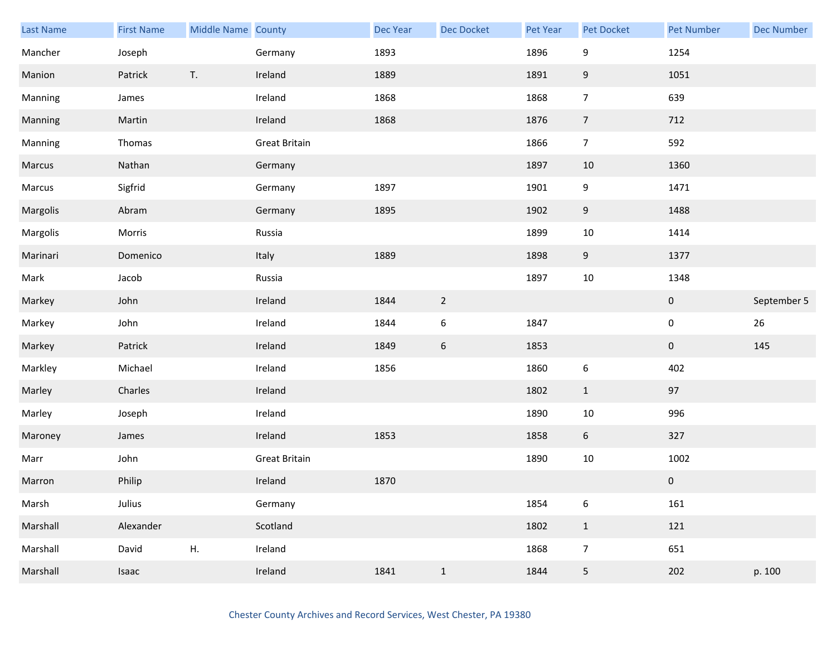| Last Name | <b>First Name</b> | Middle Name County |                      | Dec Year | Dec Docket       | <b>Pet Year</b> | <b>Pet Docket</b> | <b>Pet Number</b> | <b>Dec Number</b> |
|-----------|-------------------|--------------------|----------------------|----------|------------------|-----------------|-------------------|-------------------|-------------------|
| Mancher   | Joseph            |                    | Germany              | 1893     |                  | 1896            | 9                 | 1254              |                   |
| Manion    | Patrick           | T.                 | Ireland              | 1889     |                  | 1891            | $\boldsymbol{9}$  | 1051              |                   |
| Manning   | James             |                    | Ireland              | 1868     |                  | 1868            | $\overline{7}$    | 639               |                   |
| Manning   | Martin            |                    | Ireland              | 1868     |                  | 1876            | $\overline{7}$    | 712               |                   |
| Manning   | Thomas            |                    | <b>Great Britain</b> |          |                  | 1866            | $\overline{7}$    | 592               |                   |
| Marcus    | Nathan            |                    | Germany              |          |                  | 1897            | $10\,$            | 1360              |                   |
| Marcus    | Sigfrid           |                    | Germany              | 1897     |                  | 1901            | 9                 | 1471              |                   |
| Margolis  | Abram             |                    | Germany              | 1895     |                  | 1902            | 9                 | 1488              |                   |
| Margolis  | Morris            |                    | Russia               |          |                  | 1899            | $10\,$            | 1414              |                   |
| Marinari  | Domenico          |                    | Italy                | 1889     |                  | 1898            | $\boldsymbol{9}$  | 1377              |                   |
| Mark      | Jacob             |                    | Russia               |          |                  | 1897            | 10                | 1348              |                   |
| Markey    | John              |                    | Ireland              | 1844     | $\overline{2}$   |                 |                   | $\pmb{0}$         | September 5       |
| Markey    | John              |                    | Ireland              | 1844     | $\boldsymbol{6}$ | 1847            |                   | $\pmb{0}$         | 26                |
| Markey    | Patrick           |                    | Ireland              | 1849     | 6                | 1853            |                   | $\boldsymbol{0}$  | 145               |
| Markley   | Michael           |                    | Ireland              | 1856     |                  | 1860            | $\boldsymbol{6}$  | 402               |                   |
| Marley    | Charles           |                    | Ireland              |          |                  | 1802            | $\mathbf{1}$      | 97                |                   |
| Marley    | Joseph            |                    | Ireland              |          |                  | 1890            | $10\,$            | 996               |                   |
| Maroney   | James             |                    | Ireland              | 1853     |                  | 1858            | 6                 | 327               |                   |
| Marr      | John              |                    | <b>Great Britain</b> |          |                  | 1890            | $10\,$            | 1002              |                   |
| Marron    | Philip            |                    | Ireland              | 1870     |                  |                 |                   | $\pmb{0}$         |                   |
| Marsh     | Julius            |                    | Germany              |          |                  | 1854            | 6                 | 161               |                   |
| Marshall  | Alexander         |                    | Scotland             |          |                  | 1802            | $\mathbf{1}$      | 121               |                   |
| Marshall  | David             | Η.                 | Ireland              |          |                  | 1868            | $\overline{7}$    | 651               |                   |
| Marshall  | Isaac             |                    | Ireland              | 1841     | $\mathbf{1}$     | 1844            | 5                 | 202               | p. 100            |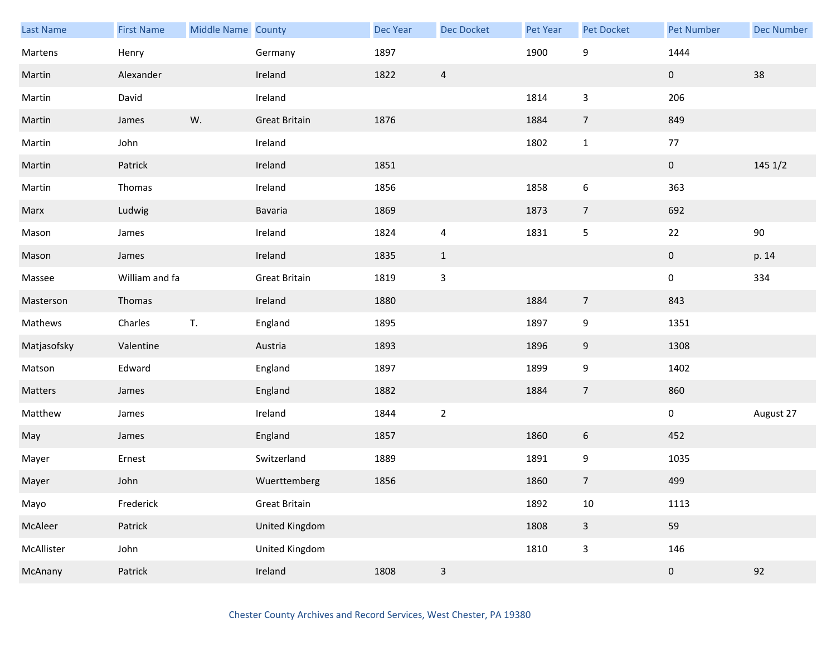| Last Name   | <b>First Name</b> | Middle Name County |                      | <b>Dec Year</b> | <b>Dec Docket</b> | Pet Year | Pet Docket              | <b>Pet Number</b> | <b>Dec Number</b> |
|-------------|-------------------|--------------------|----------------------|-----------------|-------------------|----------|-------------------------|-------------------|-------------------|
| Martens     | Henry             |                    | Germany              | 1897            |                   | 1900     | 9                       | 1444              |                   |
| Martin      | Alexander         |                    | Ireland              | 1822            | $\overline{4}$    |          |                         | $\mathbf 0$       | 38                |
| Martin      | David             |                    | Ireland              |                 |                   | 1814     | $\mathbf{3}$            | 206               |                   |
| Martin      | James             | W.                 | <b>Great Britain</b> | 1876            |                   | 1884     | $\overline{7}$          | 849               |                   |
| Martin      | John              |                    | Ireland              |                 |                   | 1802     | $\mathbf{1}$            | $77\,$            |                   |
| Martin      | Patrick           |                    | Ireland              | 1851            |                   |          |                         | $\pmb{0}$         | 145 1/2           |
| Martin      | Thomas            |                    | Ireland              | 1856            |                   | 1858     | 6                       | 363               |                   |
| Marx        | Ludwig            |                    | Bavaria              | 1869            |                   | 1873     | $\overline{7}$          | 692               |                   |
| Mason       | James             |                    | Ireland              | 1824            | $\overline{4}$    | 1831     | 5                       | 22                | $90\,$            |
| Mason       | James             |                    | Ireland              | 1835            | $\mathbf{1}$      |          |                         | $\pmb{0}$         | p. 14             |
| Massee      | William and fa    |                    | <b>Great Britain</b> | 1819            | $\mathsf 3$       |          |                         | 0                 | 334               |
| Masterson   | Thomas            |                    | Ireland              | 1880            |                   | 1884     | $\overline{7}$          | 843               |                   |
| Mathews     | Charles           | T.                 | England              | 1895            |                   | 1897     | 9                       | 1351              |                   |
| Matjasofsky | Valentine         |                    | Austria              | 1893            |                   | 1896     | 9                       | 1308              |                   |
| Matson      | Edward            |                    | England              | 1897            |                   | 1899     | 9                       | 1402              |                   |
| Matters     | James             |                    | England              | 1882            |                   | 1884     | $\overline{7}$          | 860               |                   |
| Matthew     | James             |                    | Ireland              | 1844            | $\overline{2}$    |          |                         | $\pmb{0}$         | August 27         |
| May         | James             |                    | England              | 1857            |                   | 1860     | 6                       | 452               |                   |
| Mayer       | Ernest            |                    | Switzerland          | 1889            |                   | 1891     | 9                       | 1035              |                   |
| Mayer       | John              |                    | Wuerttemberg         | 1856            |                   | 1860     | $\overline{7}$          | 499               |                   |
| Mayo        | Frederick         |                    | <b>Great Britain</b> |                 |                   | 1892     | $10\,$                  | 1113              |                   |
| McAleer     | Patrick           |                    | United Kingdom       |                 |                   | 1808     | $\overline{\mathbf{3}}$ | 59                |                   |
| McAllister  | John              |                    | United Kingdom       |                 |                   | 1810     | $\mathsf{3}$            | 146               |                   |
| McAnany     | Patrick           |                    | Ireland              | 1808            | $\mathsf 3$       |          |                         | $\pmb{0}$         | 92                |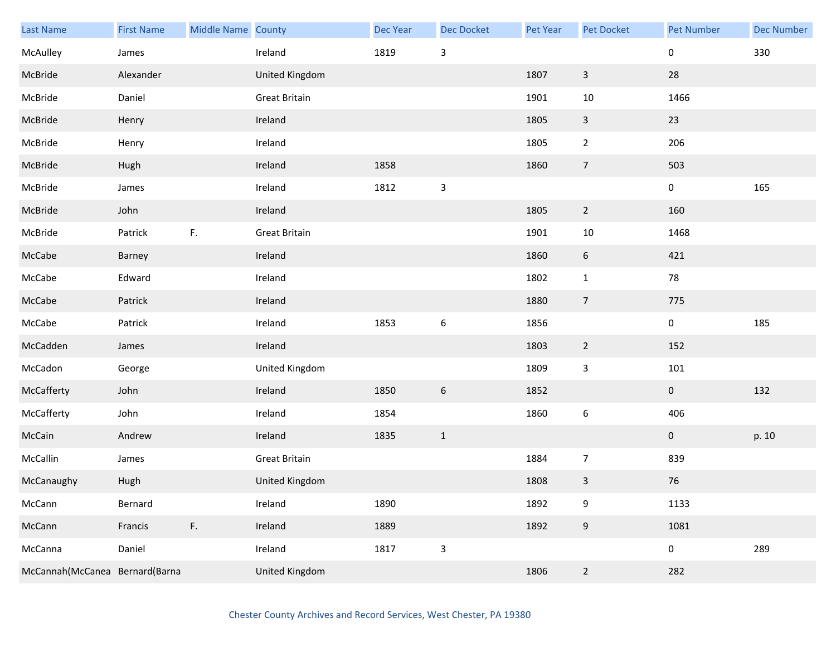| Last Name                      | <b>First Name</b> | Middle Name County |                      | Dec Year | Dec Docket                | Pet Year | Pet Docket       | <b>Pet Number</b> | <b>Dec Number</b> |
|--------------------------------|-------------------|--------------------|----------------------|----------|---------------------------|----------|------------------|-------------------|-------------------|
| McAulley                       | James             |                    | Ireland              | 1819     | $\mathsf 3$               |          |                  | $\pmb{0}$         | 330               |
| McBride                        | Alexander         |                    | United Kingdom       |          |                           | 1807     | $\mathbf{3}$     | 28                |                   |
| McBride                        | Daniel            |                    | <b>Great Britain</b> |          |                           | 1901     | $10\,$           | 1466              |                   |
| McBride                        | Henry             |                    | Ireland              |          |                           | 1805     | $\mathbf{3}$     | 23                |                   |
| McBride                        | Henry             |                    | Ireland              |          |                           | 1805     | $\overline{2}$   | 206               |                   |
| McBride                        | Hugh              |                    | Ireland              | 1858     |                           | 1860     | $\boldsymbol{7}$ | 503               |                   |
| McBride                        | James             |                    | Ireland              | 1812     | $\mathsf 3$               |          |                  | $\pmb{0}$         | 165               |
| McBride                        | John              |                    | Ireland              |          |                           | 1805     | $\overline{2}$   | 160               |                   |
| McBride                        | Patrick           | F.                 | <b>Great Britain</b> |          |                           | 1901     | $10\,$           | 1468              |                   |
| McCabe                         | Barney            |                    | Ireland              |          |                           | 1860     | $\boldsymbol{6}$ | 421               |                   |
| McCabe                         | Edward            |                    | Ireland              |          |                           | 1802     | $\mathbf{1}$     | 78                |                   |
| McCabe                         | Patrick           |                    | Ireland              |          |                           | 1880     | $\overline{7}$   | 775               |                   |
| McCabe                         | Patrick           |                    | Ireland              | 1853     | $\boldsymbol{6}$          | 1856     |                  | $\pmb{0}$         | 185               |
| McCadden                       | James             |                    | Ireland              |          |                           | 1803     | $\overline{2}$   | 152               |                   |
| McCadon                        | George            |                    | United Kingdom       |          |                           | 1809     | $\mathbf{3}$     | 101               |                   |
| McCafferty                     | John              |                    | Ireland              | 1850     | 6                         | 1852     |                  | $\bf{0}$          | 132               |
| McCafferty                     | John              |                    | Ireland              | 1854     |                           | 1860     | $\boldsymbol{6}$ | 406               |                   |
| McCain                         | Andrew            |                    | Ireland              | 1835     | $\mathbf{1}$              |          |                  | $\mathbf 0$       | p. 10             |
| McCallin                       | James             |                    | <b>Great Britain</b> |          |                           | 1884     | $\overline{7}$   | 839               |                   |
| McCanaughy                     | Hugh              |                    | United Kingdom       |          |                           | 1808     | $\mathbf{3}$     | 76                |                   |
| McCann                         | Bernard           |                    | Ireland              | 1890     |                           | 1892     | 9                | 1133              |                   |
| McCann                         | Francis           | F.                 | Ireland              | 1889     |                           | 1892     | $\boldsymbol{9}$ | 1081              |                   |
| McCanna                        | Daniel            |                    | Ireland              | 1817     | $\ensuremath{\mathsf{3}}$ |          |                  | $\pmb{0}$         | 289               |
| McCannah(McCanea Bernard(Barna |                   |                    | United Kingdom       |          |                           | 1806     | $\overline{2}$   | 282               |                   |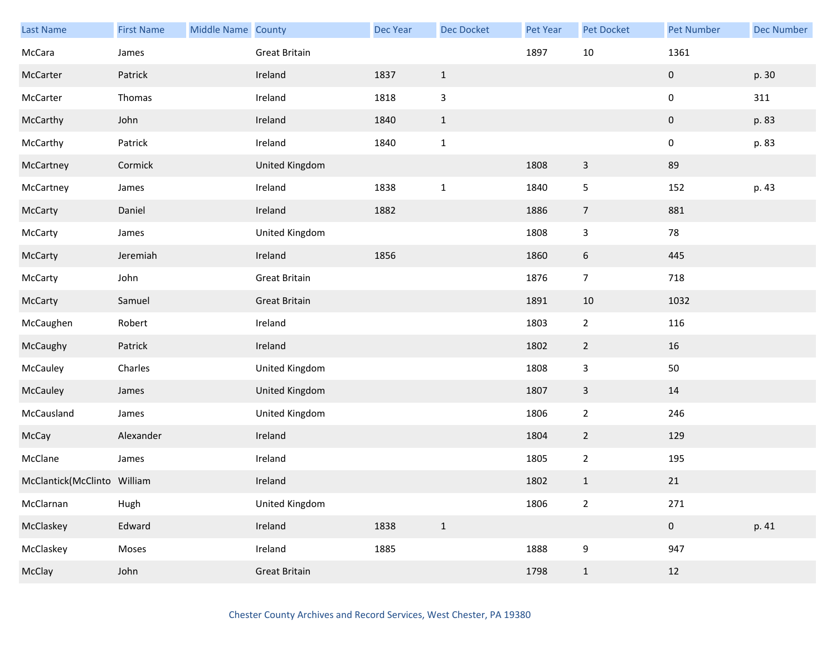| Last Name                   | <b>First Name</b> | Middle Name County |                      | Dec Year | <b>Dec Docket</b> | Pet Year | Pet Docket     | <b>Pet Number</b> | <b>Dec Number</b> |
|-----------------------------|-------------------|--------------------|----------------------|----------|-------------------|----------|----------------|-------------------|-------------------|
| McCara                      | James             |                    | <b>Great Britain</b> |          |                   | 1897     | 10             | 1361              |                   |
| McCarter                    | Patrick           |                    | Ireland              | 1837     | $\mathbf{1}$      |          |                | 0                 | p. 30             |
| McCarter                    | Thomas            |                    | Ireland              | 1818     | $\mathsf{3}$      |          |                | 0                 | 311               |
| McCarthy                    | John              |                    | Ireland              | 1840     | $1\,$             |          |                | $\pmb{0}$         | p. 83             |
| McCarthy                    | Patrick           |                    | Ireland              | 1840     | $1\,$             |          |                | $\mathbf 0$       | p. 83             |
| McCartney                   | Cormick           |                    | United Kingdom       |          |                   | 1808     | $\mathsf{3}$   | 89                |                   |
| McCartney                   | James             |                    | Ireland              | 1838     | $\mathbf{1}$      | 1840     | 5              | 152               | p. 43             |
| McCarty                     | Daniel            |                    | Ireland              | 1882     |                   | 1886     | $\overline{7}$ | 881               |                   |
| McCarty                     | James             |                    | United Kingdom       |          |                   | 1808     | 3              | 78                |                   |
| McCarty                     | Jeremiah          |                    | Ireland              | 1856     |                   | 1860     | 6              | 445               |                   |
| McCarty                     | John              |                    | <b>Great Britain</b> |          |                   | 1876     | $\overline{7}$ | 718               |                   |
| McCarty                     | Samuel            |                    | <b>Great Britain</b> |          |                   | 1891     | 10             | 1032              |                   |
| McCaughen                   | Robert            |                    | Ireland              |          |                   | 1803     | $\overline{2}$ | 116               |                   |
| McCaughy                    | Patrick           |                    | Ireland              |          |                   | 1802     | $\overline{2}$ | 16                |                   |
| McCauley                    | Charles           |                    | United Kingdom       |          |                   | 1808     | $\mathbf{3}$   | 50                |                   |
| McCauley                    | James             |                    | United Kingdom       |          |                   | 1807     | $\mathbf{3}$   | 14                |                   |
| McCausland                  | James             |                    | United Kingdom       |          |                   | 1806     | $\mathbf{2}$   | 246               |                   |
| McCay                       | Alexander         |                    | Ireland              |          |                   | 1804     | $\overline{2}$ | 129               |                   |
| McClane                     | James             |                    | Ireland              |          |                   | 1805     | $\overline{2}$ | 195               |                   |
| McClantick(McClinto William |                   |                    | Ireland              |          |                   | 1802     | $\mathbf{1}$   | $21\,$            |                   |
| McClarnan                   | Hugh              |                    | United Kingdom       |          |                   | 1806     | $\overline{2}$ | 271               |                   |
| McClaskey                   | Edward            |                    | Ireland              | 1838     | $\,1\,$           |          |                | $\pmb{0}$         | p. 41             |
| McClaskey                   | Moses             |                    | Ireland              | 1885     |                   | 1888     | 9              | 947               |                   |
| McClay                      | John              |                    | <b>Great Britain</b> |          |                   | 1798     | $\mathbf{1}$   | 12                |                   |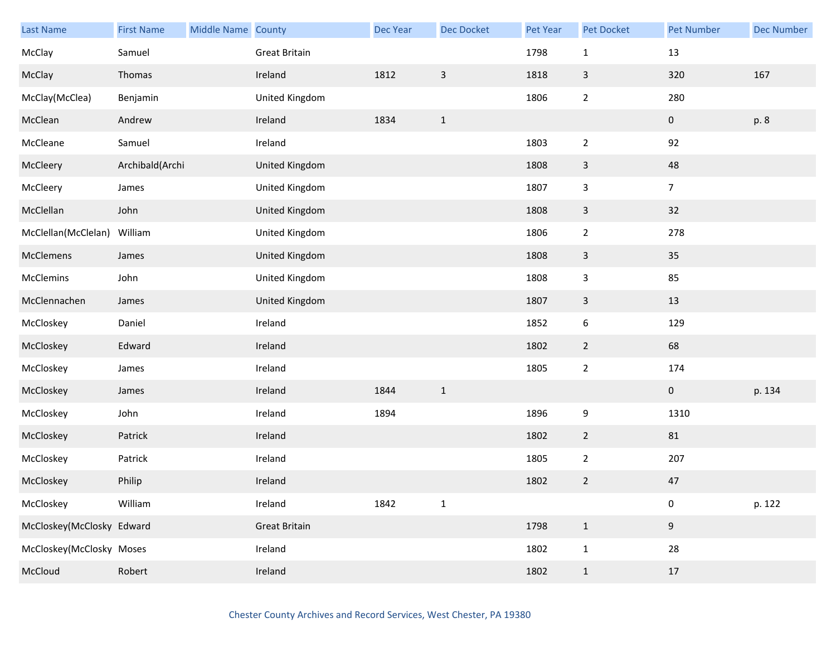| <b>Last Name</b>          | <b>First Name</b> | Middle Name County |                      | Dec Year | Dec Docket   | Pet Year | Pet Docket     | <b>Pet Number</b> | <b>Dec Number</b> |
|---------------------------|-------------------|--------------------|----------------------|----------|--------------|----------|----------------|-------------------|-------------------|
| McClay                    | Samuel            |                    | Great Britain        |          |              | 1798     | $\mathbf{1}$   | 13                |                   |
| McClay                    | Thomas            |                    | Ireland              | 1812     | $\mathsf{3}$ | 1818     | 3              | 320               | 167               |
| McClay(McClea)            | Benjamin          |                    | United Kingdom       |          |              | 1806     | $\overline{2}$ | 280               |                   |
| McClean                   | Andrew            |                    | Ireland              | 1834     | $\mathbf{1}$ |          |                | $\pmb{0}$         | p. 8              |
| McCleane                  | Samuel            |                    | Ireland              |          |              | 1803     | $\overline{2}$ | 92                |                   |
| McCleery                  | Archibald(Archi   |                    | United Kingdom       |          |              | 1808     | $\mathbf{3}$   | 48                |                   |
| McCleery                  | James             |                    | United Kingdom       |          |              | 1807     | 3              | $\overline{7}$    |                   |
| McClellan                 | John              |                    | United Kingdom       |          |              | 1808     | $\mathsf{3}$   | 32                |                   |
| McClellan(McClelan)       | William           |                    | United Kingdom       |          |              | 1806     | $\overline{2}$ | 278               |                   |
| McClemens                 | James             |                    | United Kingdom       |          |              | 1808     | 3              | 35                |                   |
| McClemins                 | John              |                    | United Kingdom       |          |              | 1808     | 3              | 85                |                   |
| McClennachen              | James             |                    | United Kingdom       |          |              | 1807     | 3              | 13                |                   |
| McCloskey                 | Daniel            |                    | Ireland              |          |              | 1852     | 6              | 129               |                   |
| McCloskey                 | Edward            |                    | Ireland              |          |              | 1802     | $\overline{2}$ | 68                |                   |
| McCloskey                 | James             |                    | Ireland              |          |              | 1805     | $\overline{2}$ | 174               |                   |
| McCloskey                 | James             |                    | Ireland              | 1844     | $\mathbf{1}$ |          |                | $\mathbf 0$       | p. 134            |
| McCloskey                 | John              |                    | Ireland              | 1894     |              | 1896     | 9              | 1310              |                   |
| McCloskey                 | Patrick           |                    | Ireland              |          |              | 1802     | $\overline{2}$ | 81                |                   |
| McCloskey                 | Patrick           |                    | Ireland              |          |              | 1805     | $\overline{2}$ | 207               |                   |
| McCloskey                 | Philip            |                    | Ireland              |          |              | 1802     | $\overline{2}$ | $47\,$            |                   |
| McCloskey                 | William           |                    | Ireland              | 1842     | $\mathbf 1$  |          |                | $\pmb{0}$         | p. 122            |
| McCloskey(McClosky Edward |                   |                    | <b>Great Britain</b> |          |              | 1798     | $\mathbf 1$    | 9                 |                   |
| McCloskey(McClosky Moses  |                   |                    | Ireland              |          |              | 1802     | $\mathbf{1}$   | 28                |                   |
| McCloud                   | Robert            |                    | Ireland              |          |              | 1802     | $\mathbf{1}$   | $17\,$            |                   |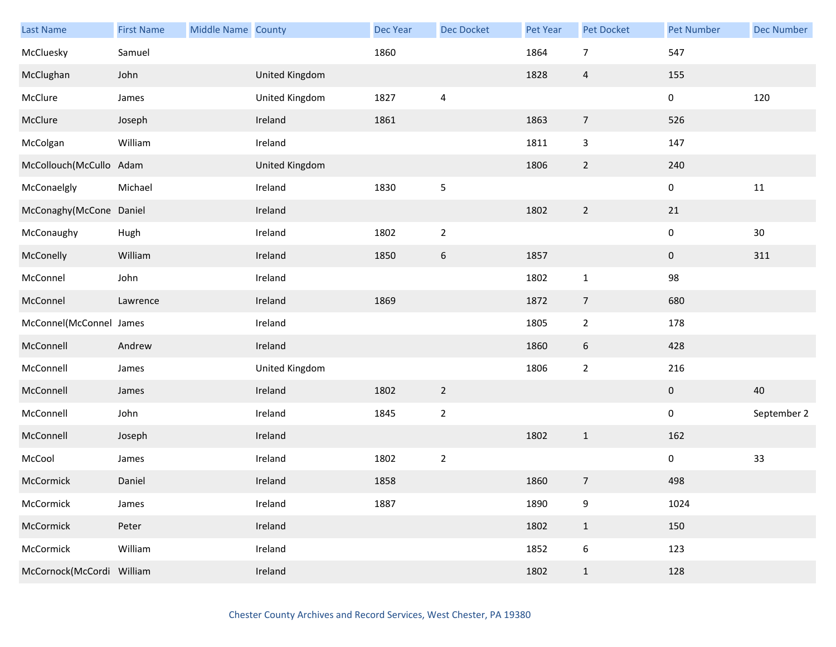| <b>Last Name</b>          | <b>First Name</b> | Middle Name County |                | Dec Year | Dec Docket       | Pet Year | Pet Docket              | <b>Pet Number</b> | <b>Dec Number</b> |
|---------------------------|-------------------|--------------------|----------------|----------|------------------|----------|-------------------------|-------------------|-------------------|
| McCluesky                 | Samuel            |                    |                | 1860     |                  | 1864     | $\overline{7}$          | 547               |                   |
| McClughan                 | John              |                    | United Kingdom |          |                  | 1828     | $\overline{\mathbf{4}}$ | 155               |                   |
| McClure                   | James             |                    | United Kingdom | 1827     | $\overline{4}$   |          |                         | $\pmb{0}$         | 120               |
| McClure                   | Joseph            |                    | Ireland        | 1861     |                  | 1863     | $\overline{7}$          | 526               |                   |
| McColgan                  | William           |                    | Ireland        |          |                  | 1811     | 3                       | 147               |                   |
| McCollouch(McCullo Adam   |                   |                    | United Kingdom |          |                  | 1806     | $\overline{2}$          | 240               |                   |
| McConaelgly               | Michael           |                    | Ireland        | 1830     | $\sqrt{5}$       |          |                         | 0                 | 11                |
| McConaghy(McCone Daniel   |                   |                    | Ireland        |          |                  | 1802     | $\overline{2}$          | $21\,$            |                   |
| McConaughy                | Hugh              |                    | Ireland        | 1802     | $\mathbf 2$      |          |                         | $\pmb{0}$         | $30\,$            |
| McConelly                 | William           |                    | Ireland        | 1850     | $\boldsymbol{6}$ | 1857     |                         | $\boldsymbol{0}$  | 311               |
| McConnel                  | John              |                    | Ireland        |          |                  | 1802     | $\mathbf 1$             | 98                |                   |
| McConnel                  | Lawrence          |                    | Ireland        | 1869     |                  | 1872     | $\overline{7}$          | 680               |                   |
| McConnel(McConnel James   |                   |                    | Ireland        |          |                  | 1805     | $\overline{2}$          | 178               |                   |
| McConnell                 | Andrew            |                    | Ireland        |          |                  | 1860     | 6                       | 428               |                   |
| McConnell                 | James             |                    | United Kingdom |          |                  | 1806     | $\overline{2}$          | 216               |                   |
| McConnell                 | James             |                    | Ireland        | 1802     | $\overline{2}$   |          |                         | $\bf{0}$          | 40                |
| McConnell                 | John              |                    | Ireland        | 1845     | $\mathbf 2$      |          |                         | $\pmb{0}$         | September 2       |
| McConnell                 | Joseph            |                    | Ireland        |          |                  | 1802     | $\mathbf{1}$            | 162               |                   |
| McCool                    | James             |                    | Ireland        | 1802     | $\mathbf 2$      |          |                         | $\pmb{0}$         | 33                |
| McCormick                 | Daniel            |                    | Ireland        | 1858     |                  | 1860     | $\overline{7}$          | 498               |                   |
| McCormick                 | James             |                    | Ireland        | 1887     |                  | 1890     | 9                       | 1024              |                   |
| McCormick                 | Peter             |                    | Ireland        |          |                  | 1802     | $\mathbf{1}$            | 150               |                   |
| McCormick                 | William           |                    | Ireland        |          |                  | 1852     | 6                       | 123               |                   |
| McCornock(McCordi William |                   |                    | Ireland        |          |                  | 1802     | $\mathbf{1}$            | 128               |                   |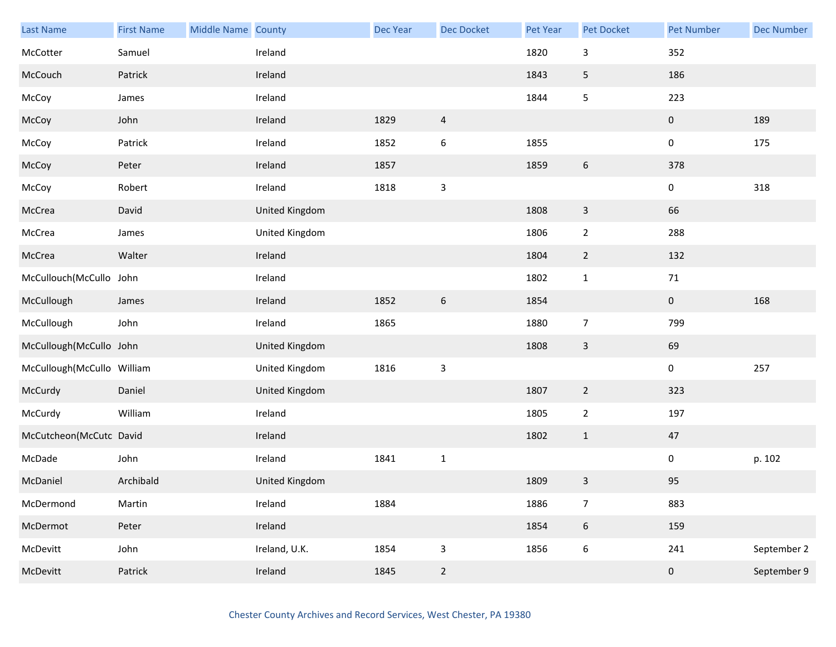| <b>Last Name</b>           | <b>First Name</b> | Middle Name County |                | Dec Year | Dec Docket     | Pet Year | Pet Docket       | <b>Pet Number</b> | <b>Dec Number</b> |
|----------------------------|-------------------|--------------------|----------------|----------|----------------|----------|------------------|-------------------|-------------------|
| McCotter                   | Samuel            |                    | Ireland        |          |                | 1820     | 3                | 352               |                   |
| McCouch                    | Patrick           |                    | Ireland        |          |                | 1843     | 5                | 186               |                   |
| McCoy                      | James             |                    | Ireland        |          |                | 1844     | 5                | 223               |                   |
| McCoy                      | John              |                    | Ireland        | 1829     | $\overline{4}$ |          |                  | $\mathbf 0$       | 189               |
| McCoy                      | Patrick           |                    | Ireland        | 1852     | $\,6\,$        | 1855     |                  | 0                 | 175               |
| McCoy                      | Peter             |                    | Ireland        | 1857     |                | 1859     | 6                | 378               |                   |
| McCoy                      | Robert            |                    | Ireland        | 1818     | $\mathbf{3}$   |          |                  | 0                 | 318               |
| McCrea                     | David             |                    | United Kingdom |          |                | 1808     | $\mathbf{3}$     | 66                |                   |
| McCrea                     | James             |                    | United Kingdom |          |                | 1806     | $\overline{2}$   | 288               |                   |
| McCrea                     | Walter            |                    | Ireland        |          |                | 1804     | $\overline{2}$   | 132               |                   |
| McCullouch(McCullo John    |                   |                    | Ireland        |          |                | 1802     | $\mathbf{1}$     | $71\,$            |                   |
| McCullough                 | James             |                    | Ireland        | 1852     | 6              | 1854     |                  | $\mathbf 0$       | 168               |
| McCullough                 | John              |                    | Ireland        | 1865     |                | 1880     | $\overline{7}$   | 799               |                   |
| McCullough(McCullo John    |                   |                    | United Kingdom |          |                | 1808     | $\overline{3}$   | 69                |                   |
| McCullough(McCullo William |                   |                    | United Kingdom | 1816     | $\mathbf{3}$   |          |                  | $\pmb{0}$         | 257               |
| McCurdy                    | Daniel            |                    | United Kingdom |          |                | 1807     | $\overline{2}$   | 323               |                   |
| McCurdy                    | William           |                    | Ireland        |          |                | 1805     | $\overline{2}$   | 197               |                   |
| McCutcheon(McCutc David    |                   |                    | Ireland        |          |                | 1802     | $\mathbf{1}$     | 47                |                   |
| McDade                     | John              |                    | Ireland        | 1841     | $\mathbf{1}$   |          |                  | 0                 | p. 102            |
| McDaniel                   | Archibald         |                    | United Kingdom |          |                | 1809     | 3                | 95                |                   |
| McDermond                  | Martin            |                    | Ireland        | 1884     |                | 1886     | $\overline{7}$   | 883               |                   |
| McDermot                   | Peter             |                    | Ireland        |          |                | 1854     | $\boldsymbol{6}$ | 159               |                   |
| McDevitt                   | John              |                    | Ireland, U.K.  | 1854     | $\mathsf 3$    | 1856     | $\boldsymbol{6}$ | 241               | September 2       |
| McDevitt                   | Patrick           |                    | Ireland        | 1845     | $\overline{2}$ |          |                  | $\pmb{0}$         | September 9       |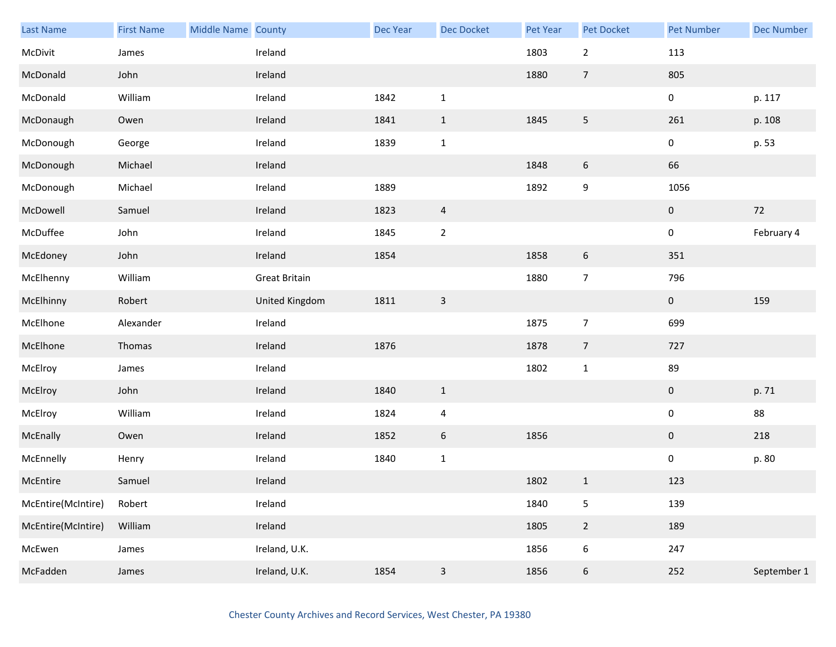| Last Name          | <b>First Name</b> | Middle Name County |                      | Dec Year | <b>Dec Docket</b> | Pet Year | Pet Docket       | <b>Pet Number</b> | <b>Dec Number</b> |
|--------------------|-------------------|--------------------|----------------------|----------|-------------------|----------|------------------|-------------------|-------------------|
| McDivit            | James             |                    | Ireland              |          |                   | 1803     | $\overline{2}$   | 113               |                   |
| McDonald           | John              |                    | Ireland              |          |                   | 1880     | $\overline{7}$   | 805               |                   |
| McDonald           | William           |                    | Ireland              | 1842     | $\mathbf 1$       |          |                  | $\mathbf 0$       | p. 117            |
| McDonaugh          | Owen              |                    | Ireland              | 1841     | $\mathbf{1}$      | 1845     | 5                | 261               | p. 108            |
| McDonough          | George            |                    | Ireland              | 1839     | $\mathbf 1$       |          |                  | $\mathbf 0$       | p. 53             |
| McDonough          | Michael           |                    | Ireland              |          |                   | 1848     | $\boldsymbol{6}$ | 66                |                   |
| McDonough          | Michael           |                    | Ireland              | 1889     |                   | 1892     | 9                | 1056              |                   |
| McDowell           | Samuel            |                    | Ireland              | 1823     | $\overline{a}$    |          |                  | $\mathbf 0$       | 72                |
| McDuffee           | John              |                    | Ireland              | 1845     | $\mathbf 2$       |          |                  | $\mathbf 0$       | February 4        |
| McEdoney           | John              |                    | Ireland              | 1854     |                   | 1858     | $\boldsymbol{6}$ | 351               |                   |
| McElhenny          | William           |                    | <b>Great Britain</b> |          |                   | 1880     | $\overline{7}$   | 796               |                   |
| McElhinny          | Robert            |                    | United Kingdom       | 1811     | $\mathbf{3}$      |          |                  | $\mathbf{0}$      | 159               |
| McElhone           | Alexander         |                    | Ireland              |          |                   | 1875     | $\overline{7}$   | 699               |                   |
| McElhone           | Thomas            |                    | Ireland              | 1876     |                   | 1878     | $\overline{7}$   | 727               |                   |
| McElroy            | James             |                    | Ireland              |          |                   | 1802     | $\mathbf{1}$     | 89                |                   |
| McElroy            | John              |                    | Ireland              | 1840     | $\mathbf{1}$      |          |                  | $\mathbf 0$       | p. 71             |
| McElroy            | William           |                    | Ireland              | 1824     | $\pmb{4}$         |          |                  | $\pmb{0}$         | 88                |
| McEnally           | Owen              |                    | Ireland              | 1852     | $\boldsymbol{6}$  | 1856     |                  | $\mathbf{0}$      | 218               |
| McEnnelly          | Henry             |                    | Ireland              | 1840     | $\mathbf 1$       |          |                  | $\mathbf 0$       | p. 80             |
| McEntire           | Samuel            |                    | Ireland              |          |                   | 1802     | $\mathbf{1}$     | 123               |                   |
| McEntire(McIntire) | Robert            |                    | Ireland              |          |                   | 1840     | 5                | 139               |                   |
| McEntire(McIntire) | William           |                    | Ireland              |          |                   | 1805     | $\overline{2}$   | 189               |                   |
| McEwen             | James             |                    | Ireland, U.K.        |          |                   | 1856     | 6                | 247               |                   |
| McFadden           | James             |                    | Ireland, U.K.        | 1854     | $\mathsf 3$       | 1856     | $\boldsymbol{6}$ | 252               | September 1       |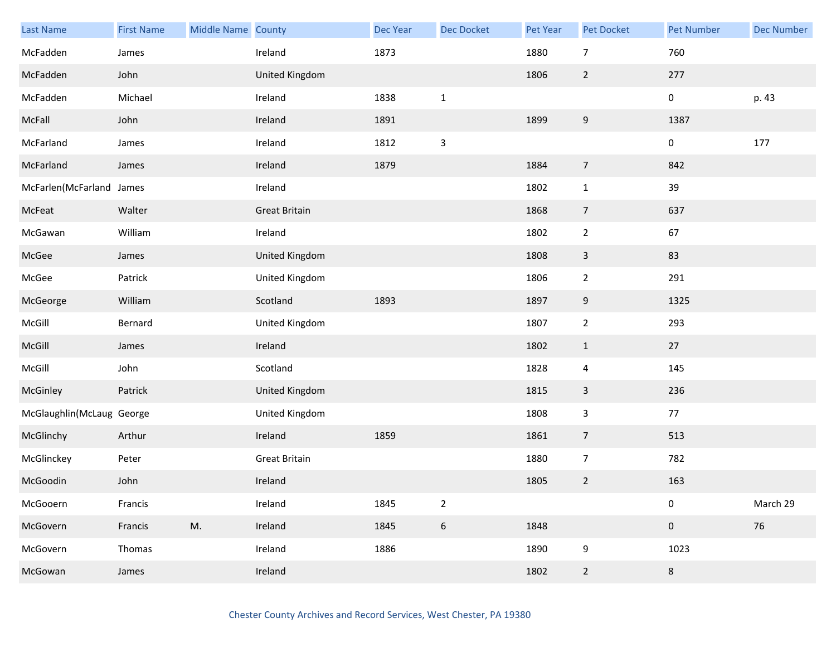| <b>Last Name</b>          | <b>First Name</b> | Middle Name County |                      | <b>Dec Year</b> | Dec Docket       | Pet Year | Pet Docket     | <b>Pet Number</b> | <b>Dec Number</b> |
|---------------------------|-------------------|--------------------|----------------------|-----------------|------------------|----------|----------------|-------------------|-------------------|
| McFadden                  | James             |                    | Ireland              | 1873            |                  | 1880     | $\overline{7}$ | 760               |                   |
| McFadden                  | John              |                    | United Kingdom       |                 |                  | 1806     | $\overline{2}$ | 277               |                   |
| McFadden                  | Michael           |                    | Ireland              | 1838            | $\mathbf{1}$     |          |                | $\pmb{0}$         | p. 43             |
| McFall                    | John              |                    | Ireland              | 1891            |                  | 1899     | 9              | 1387              |                   |
| McFarland                 | James             |                    | Ireland              | 1812            | $\mathsf{3}$     |          |                | $\pmb{0}$         | 177               |
| McFarland                 | James             |                    | Ireland              | 1879            |                  | 1884     | $\overline{7}$ | 842               |                   |
| McFarlen(McFarland James  |                   |                    | Ireland              |                 |                  | 1802     | $\mathbf{1}$   | 39                |                   |
| McFeat                    | Walter            |                    | <b>Great Britain</b> |                 |                  | 1868     | $\overline{7}$ | 637               |                   |
| McGawan                   | William           |                    | Ireland              |                 |                  | 1802     | $\overline{2}$ | 67                |                   |
| McGee                     | James             |                    | United Kingdom       |                 |                  | 1808     | $\overline{3}$ | 83                |                   |
| McGee                     | Patrick           |                    | United Kingdom       |                 |                  | 1806     | $\overline{2}$ | 291               |                   |
| McGeorge                  | William           |                    | Scotland             | 1893            |                  | 1897     | 9              | 1325              |                   |
| McGill                    | Bernard           |                    | United Kingdom       |                 |                  | 1807     | $\overline{2}$ | 293               |                   |
| McGill                    | James             |                    | Ireland              |                 |                  | 1802     | $\mathbf{1}$   | 27                |                   |
| McGill                    | John              |                    | Scotland             |                 |                  | 1828     | $\overline{4}$ | 145               |                   |
| McGinley                  | Patrick           |                    | United Kingdom       |                 |                  | 1815     | $\mathbf{3}$   | 236               |                   |
| McGlaughlin(McLaug George |                   |                    | United Kingdom       |                 |                  | 1808     | $\mathbf{3}$   | 77                |                   |
| McGlinchy                 | Arthur            |                    | Ireland              | 1859            |                  | 1861     | $\overline{7}$ | 513               |                   |
| McGlinckey                | Peter             |                    | <b>Great Britain</b> |                 |                  | 1880     | $\overline{7}$ | 782               |                   |
| McGoodin                  | John              |                    | Ireland              |                 |                  | 1805     | $\overline{2}$ | 163               |                   |
| McGooern                  | Francis           |                    | Ireland              | 1845            | $\overline{2}$   |          |                | $\pmb{0}$         | March 29          |
| McGovern                  | Francis           | M.                 | Ireland              | 1845            | $\boldsymbol{6}$ | 1848     |                | $\pmb{0}$         | 76                |
| McGovern                  | Thomas            |                    | Ireland              | 1886            |                  | 1890     | 9              | 1023              |                   |
| McGowan                   | James             |                    | Ireland              |                 |                  | 1802     | $\overline{2}$ | 8                 |                   |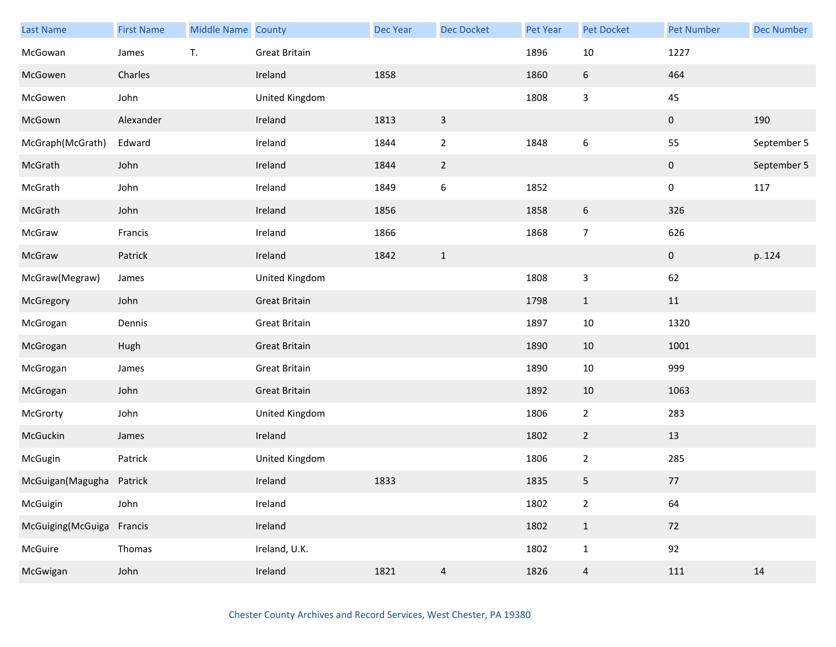| <b>Last Name</b>  | <b>First Name</b> | <b>Middle Name County</b> |                      | <b>Dec Year</b> | Dec Docket     | Pet Year | Pet Docket     | <b>Pet Number</b> | <b>Dec Number</b> |
|-------------------|-------------------|---------------------------|----------------------|-----------------|----------------|----------|----------------|-------------------|-------------------|
| McGowan           | James             | T.                        | <b>Great Britain</b> |                 |                | 1896     | $10\,$         | 1227              |                   |
| McGowen           | Charles           |                           | Ireland              | 1858            |                | 1860     | 6              | 464               |                   |
| McGowen           | John              |                           | United Kingdom       |                 |                | 1808     | 3              | 45                |                   |
| McGown            | Alexander         |                           | Ireland              | 1813            | $\mathbf{3}$   |          |                | $\mathbf 0$       | 190               |
| McGraph(McGrath)  | Edward            |                           | Ireland              | 1844            | $\overline{2}$ | 1848     | 6              | 55                | September 5       |
| McGrath           | John              |                           | Ireland              | 1844            | $\overline{2}$ |          |                | $\mathbf 0$       | September 5       |
| McGrath           | John              |                           | Ireland              | 1849            | $\,6\,$        | 1852     |                | 0                 | 117               |
| McGrath           | John              |                           | Ireland              | 1856            |                | 1858     | 6              | 326               |                   |
| McGraw            | Francis           |                           | Ireland              | 1866            |                | 1868     | $\overline{7}$ | 626               |                   |
| McGraw            | Patrick           |                           | Ireland              | 1842            | $\mathbf{1}$   |          |                | $\mathbf{0}$      | p. 124            |
| McGraw(Megraw)    | James             |                           | United Kingdom       |                 |                | 1808     | 3              | 62                |                   |
| McGregory         | John              |                           | <b>Great Britain</b> |                 |                | 1798     | $\mathbf{1}$   | 11                |                   |
| McGrogan          | Dennis            |                           | Great Britain        |                 |                | 1897     | 10             | 1320              |                   |
| McGrogan          | Hugh              |                           | <b>Great Britain</b> |                 |                | 1890     | 10             | 1001              |                   |
| McGrogan          | James             |                           | <b>Great Britain</b> |                 |                | 1890     | 10             | 999               |                   |
| McGrogan          | John              |                           | <b>Great Britain</b> |                 |                | 1892     | 10             | 1063              |                   |
| McGrorty          | John              |                           | United Kingdom       |                 |                | 1806     | $\mathbf{2}$   | 283               |                   |
| McGuckin          | James             |                           | Ireland              |                 |                | 1802     | $\overline{2}$ | 13                |                   |
| McGugin           | Patrick           |                           | United Kingdom       |                 |                | 1806     | $\overline{2}$ | 285               |                   |
| McGuigan (Magugha | Patrick           |                           | Ireland              | 1833            |                | 1835     | 5              | $77$              |                   |
| McGuigin          | John              |                           | Ireland              |                 |                | 1802     | $\overline{2}$ | 64                |                   |
| McGuiging(McGuiga | Francis           |                           | Ireland              |                 |                | 1802     | $\mathbf{1}$   | 72                |                   |
| McGuire           | Thomas            |                           | Ireland, U.K.        |                 |                | 1802     | $\mathbf{1}$   | 92                |                   |
| McGwigan          | John              |                           | Ireland              | 1821            | $\overline{a}$ | 1826     | $\overline{a}$ | 111               | 14                |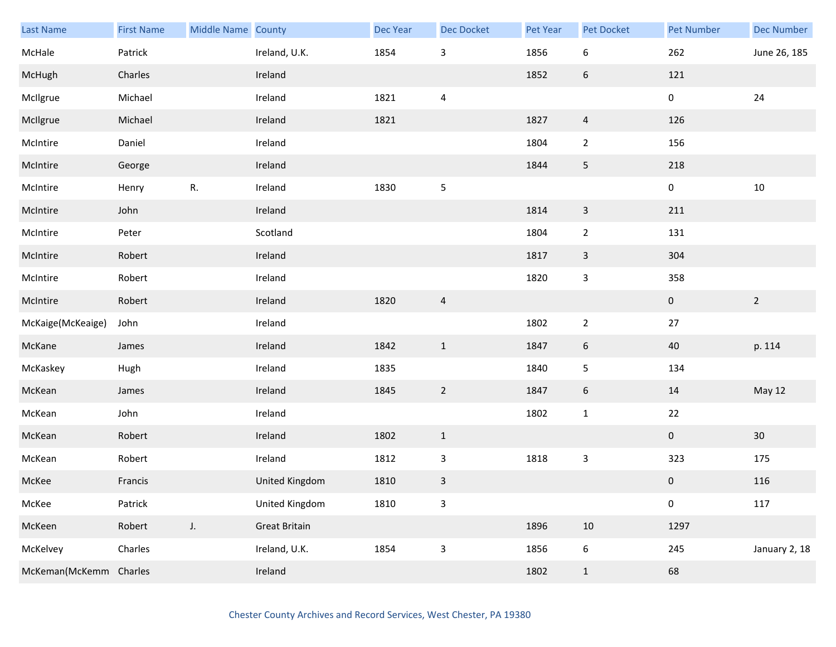| Last Name              | <b>First Name</b> | Middle Name County |                      | <b>Dec Year</b> | Dec Docket     | Pet Year | Pet Docket       | <b>Pet Number</b> | <b>Dec Number</b> |
|------------------------|-------------------|--------------------|----------------------|-----------------|----------------|----------|------------------|-------------------|-------------------|
| McHale                 | Patrick           |                    | Ireland, U.K.        | 1854            | $\mathsf{3}$   | 1856     | $\boldsymbol{6}$ | 262               | June 26, 185      |
| McHugh                 | Charles           |                    | Ireland              |                 |                | 1852     | 6                | 121               |                   |
| McIlgrue               | Michael           |                    | Ireland              | 1821            | $\overline{4}$ |          |                  | 0                 | 24                |
| McIlgrue               | Michael           |                    | Ireland              | 1821            |                | 1827     | $\overline{4}$   | 126               |                   |
| McIntire               | Daniel            |                    | Ireland              |                 |                | 1804     | $\overline{2}$   | 156               |                   |
| McIntire               | George            |                    | Ireland              |                 |                | 1844     | $\overline{5}$   | 218               |                   |
| McIntire               | Henry             | R.                 | Ireland              | 1830            | $\sf 5$        |          |                  | $\pmb{0}$         | $10\,$            |
| McIntire               | John              |                    | Ireland              |                 |                | 1814     | $\mathbf{3}$     | 211               |                   |
| McIntire               | Peter             |                    | Scotland             |                 |                | 1804     | $\overline{2}$   | 131               |                   |
| McIntire               | Robert            |                    | Ireland              |                 |                | 1817     | $\mathbf{3}$     | 304               |                   |
| McIntire               | Robert            |                    | Ireland              |                 |                | 1820     | $\mathsf{3}$     | 358               |                   |
| McIntire               | Robert            |                    | Ireland              | 1820            | $\overline{a}$ |          |                  | $\mathbf{0}$      | $\overline{2}$    |
| McKaige(McKeaige)      | John              |                    | Ireland              |                 |                | 1802     | $\overline{2}$   | $27\,$            |                   |
| McKane                 | James             |                    | Ireland              | 1842            | $\mathbf{1}$   | 1847     | 6                | 40                | p. 114            |
| McKaskey               | Hugh              |                    | Ireland              | 1835            |                | 1840     | 5                | 134               |                   |
| McKean                 | James             |                    | Ireland              | 1845            | $\overline{2}$ | 1847     | $6\phantom{.}6$  | 14                | May 12            |
| McKean                 | John              |                    | Ireland              |                 |                | 1802     | $\mathbf 1$      | 22                |                   |
| McKean                 | Robert            |                    | Ireland              | 1802            | $\mathbf{1}$   |          |                  | $\mathbf{0}$      | 30 <sup>°</sup>   |
| McKean                 | Robert            |                    | Ireland              | 1812            | $\mathsf{3}$   | 1818     | $\mathbf{3}$     | 323               | 175               |
| McKee                  | Francis           |                    | United Kingdom       | 1810            | $\mathsf 3$    |          |                  | $\mathbf 0$       | 116               |
| McKee                  | Patrick           |                    | United Kingdom       | 1810            | $\mathsf 3$    |          |                  | $\pmb{0}$         | 117               |
| McKeen                 | Robert            | J.                 | <b>Great Britain</b> |                 |                | 1896     | $10\,$           | 1297              |                   |
| McKelvey               | Charles           |                    | Ireland, U.K.        | 1854            | $\mathsf 3$    | 1856     | $\boldsymbol{6}$ | 245               | January 2, 18     |
| McKeman(McKemm Charles |                   |                    | Ireland              |                 |                | 1802     | $\mathbf{1}$     | 68                |                   |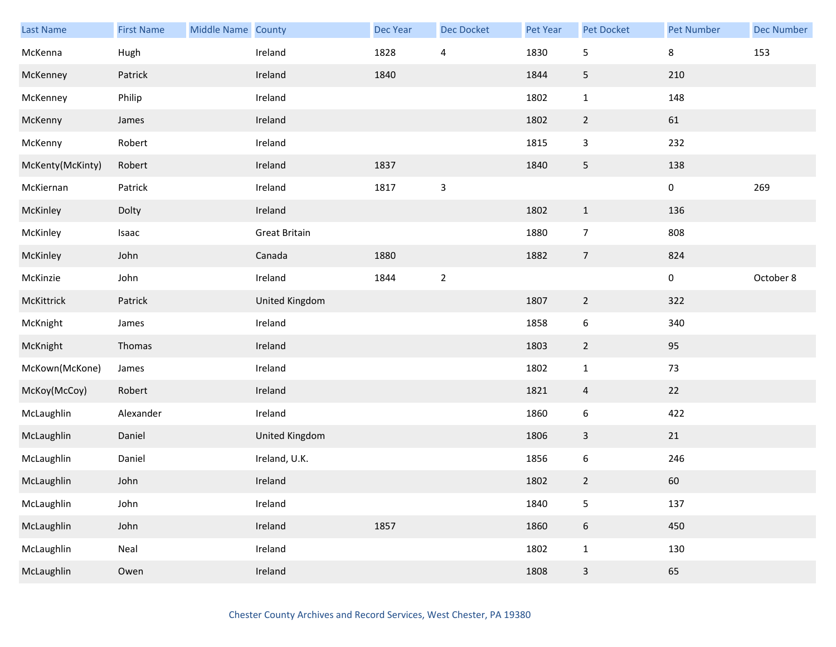| Last Name        | <b>First Name</b> | Middle Name County |                      | <b>Dec Year</b> | Dec Docket               | Pet Year | Pet Docket       | <b>Pet Number</b> | <b>Dec Number</b> |
|------------------|-------------------|--------------------|----------------------|-----------------|--------------------------|----------|------------------|-------------------|-------------------|
| McKenna          | Hugh              |                    | Ireland              | 1828            | $\overline{\mathcal{A}}$ | 1830     | 5                | 8                 | 153               |
| McKenney         | Patrick           |                    | Ireland              | 1840            |                          | 1844     | 5                | 210               |                   |
| McKenney         | Philip            |                    | Ireland              |                 |                          | 1802     | $\mathbf{1}$     | 148               |                   |
| McKenny          | James             |                    | Ireland              |                 |                          | 1802     | $\overline{2}$   | 61                |                   |
| McKenny          | Robert            |                    | Ireland              |                 |                          | 1815     | 3                | 232               |                   |
| McKenty(McKinty) | Robert            |                    | Ireland              | 1837            |                          | 1840     | 5                | 138               |                   |
| McKiernan        | Patrick           |                    | Ireland              | 1817            | $\mathsf 3$              |          |                  | 0                 | 269               |
| McKinley         | Dolty             |                    | Ireland              |                 |                          | 1802     | $\mathbf{1}$     | 136               |                   |
| McKinley         | Isaac             |                    | <b>Great Britain</b> |                 |                          | 1880     | $\overline{7}$   | 808               |                   |
| McKinley         | John              |                    | Canada               | 1880            |                          | 1882     | $\overline{7}$   | 824               |                   |
| McKinzie         | John              |                    | Ireland              | 1844            | $\overline{2}$           |          |                  | 0                 | October 8         |
| McKittrick       | Patrick           |                    | United Kingdom       |                 |                          | 1807     | $\overline{2}$   | 322               |                   |
| McKnight         | James             |                    | Ireland              |                 |                          | 1858     | 6                | 340               |                   |
| McKnight         | Thomas            |                    | Ireland              |                 |                          | 1803     | $\overline{2}$   | 95                |                   |
| McKown(McKone)   | James             |                    | Ireland              |                 |                          | 1802     | $\mathbf{1}$     | 73                |                   |
| McKoy(McCoy)     | Robert            |                    | Ireland              |                 |                          | 1821     | $\overline{4}$   | 22                |                   |
| McLaughlin       | Alexander         |                    | Ireland              |                 |                          | 1860     | 6                | 422               |                   |
| McLaughlin       | Daniel            |                    | United Kingdom       |                 |                          | 1806     | 3                | 21                |                   |
| McLaughlin       | Daniel            |                    | Ireland, U.K.        |                 |                          | 1856     | 6                | 246               |                   |
| McLaughlin       | John              |                    | Ireland              |                 |                          | 1802     | $\overline{2}$   | 60                |                   |
| McLaughlin       | John              |                    | Ireland              |                 |                          | 1840     | 5                | 137               |                   |
| McLaughlin       | John              |                    | Ireland              | 1857            |                          | 1860     | $\boldsymbol{6}$ | 450               |                   |
| McLaughlin       | Neal              |                    | Ireland              |                 |                          | 1802     | $\mathbf{1}$     | 130               |                   |
| McLaughlin       | Owen              |                    | Ireland              |                 |                          | 1808     | $\mathsf{3}$     | 65                |                   |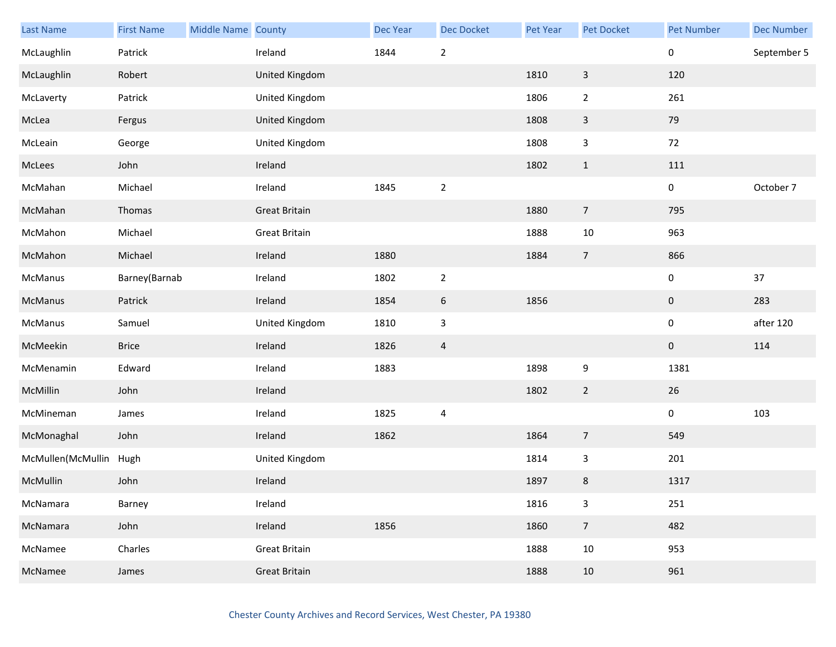| Last Name              | <b>First Name</b> | Middle Name County |                      | Dec Year | Dec Docket               | Pet Year | Pet Docket       | <b>Pet Number</b> | <b>Dec Number</b> |
|------------------------|-------------------|--------------------|----------------------|----------|--------------------------|----------|------------------|-------------------|-------------------|
| McLaughlin             | Patrick           |                    | Ireland              | 1844     | $\sqrt{2}$               |          |                  | 0                 | September 5       |
| McLaughlin             | Robert            |                    | United Kingdom       |          |                          | 1810     | $\mathsf{3}$     | 120               |                   |
| McLaverty              | Patrick           |                    | United Kingdom       |          |                          | 1806     | $\overline{2}$   | 261               |                   |
| McLea                  | Fergus            |                    | United Kingdom       |          |                          | 1808     | $\mathbf{3}$     | 79                |                   |
| McLeain                | George            |                    | United Kingdom       |          |                          | 1808     | $\mathbf{3}$     | 72                |                   |
| McLees                 | John              |                    | Ireland              |          |                          | 1802     | $1\,$            | 111               |                   |
| McMahan                | Michael           |                    | Ireland              | 1845     | $\overline{2}$           |          |                  | $\pmb{0}$         | October 7         |
| McMahan                | Thomas            |                    | <b>Great Britain</b> |          |                          | 1880     | $\overline{7}$   | 795               |                   |
| McMahon                | Michael           |                    | Great Britain        |          |                          | 1888     | $10\,$           | 963               |                   |
| McMahon                | Michael           |                    | Ireland              | 1880     |                          | 1884     | $\overline{7}$   | 866               |                   |
| McManus                | Barney(Barnab     |                    | Ireland              | 1802     | $\overline{2}$           |          |                  | $\pmb{0}$         | 37                |
| McManus                | Patrick           |                    | Ireland              | 1854     | $\boldsymbol{6}$         | 1856     |                  | $\pmb{0}$         | 283               |
| McManus                | Samuel            |                    | United Kingdom       | 1810     | $\overline{3}$           |          |                  | $\pmb{0}$         | after 120         |
| McMeekin               | <b>Brice</b>      |                    | Ireland              | 1826     | 4                        |          |                  | $\mathbf 0$       | 114               |
| McMenamin              | Edward            |                    | Ireland              | 1883     |                          | 1898     | $\boldsymbol{9}$ | 1381              |                   |
| McMillin               | John              |                    | Ireland              |          |                          | 1802     | $\overline{2}$   | 26                |                   |
| McMineman              | James             |                    | Ireland              | 1825     | $\overline{\mathcal{A}}$ |          |                  | $\pmb{0}$         | 103               |
| McMonaghal             | John              |                    | Ireland              | 1862     |                          | 1864     | $\overline{7}$   | 549               |                   |
| McMullen(McMullin Hugh |                   |                    | United Kingdom       |          |                          | 1814     | $\mathsf{3}$     | 201               |                   |
| McMullin               | John              |                    | Ireland              |          |                          | 1897     | $\bf 8$          | 1317              |                   |
| McNamara               | Barney            |                    | Ireland              |          |                          | 1816     | $\mathbf{3}$     | 251               |                   |
| McNamara               | John              |                    | Ireland              | 1856     |                          | 1860     | $\overline{7}$   | 482               |                   |
| McNamee                | Charles           |                    | <b>Great Britain</b> |          |                          | 1888     | 10               | 953               |                   |
| McNamee                | James             |                    | <b>Great Britain</b> |          |                          | 1888     | 10               | 961               |                   |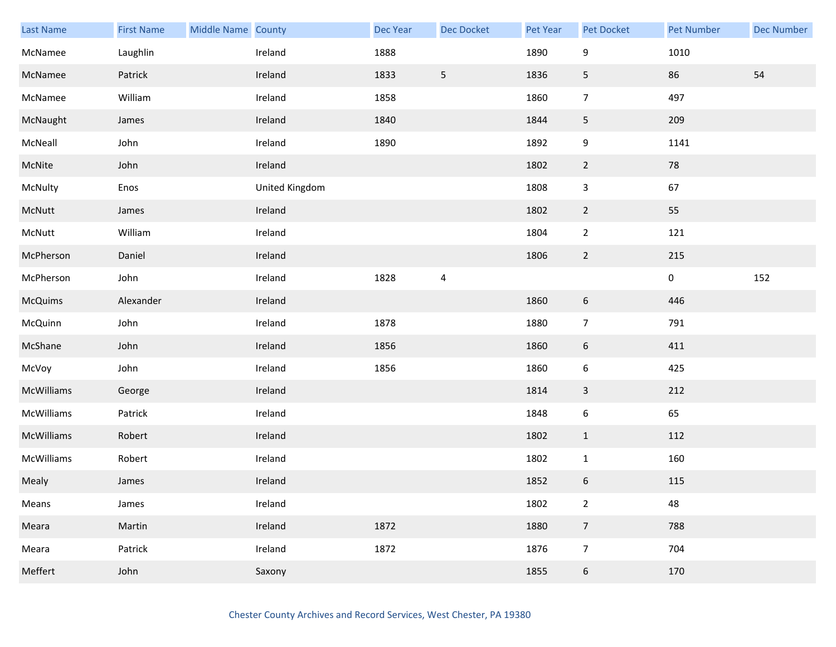| Last Name      | <b>First Name</b> | Middle Name County |                | Dec Year | Dec Docket      | Pet Year | <b>Pet Docket</b> | <b>Pet Number</b> | <b>Dec Number</b> |
|----------------|-------------------|--------------------|----------------|----------|-----------------|----------|-------------------|-------------------|-------------------|
| McNamee        | Laughlin          |                    | Ireland        | 1888     |                 | 1890     | 9                 | 1010              |                   |
| McNamee        | Patrick           |                    | Ireland        | 1833     | $5\phantom{.0}$ | 1836     | 5                 | 86                | 54                |
| McNamee        | William           |                    | Ireland        | 1858     |                 | 1860     | $\overline{7}$    | 497               |                   |
| McNaught       | James             |                    | Ireland        | 1840     |                 | 1844     | $5\phantom{.0}$   | 209               |                   |
| McNeall        | John              |                    | Ireland        | 1890     |                 | 1892     | 9                 | 1141              |                   |
| McNite         | John              |                    | Ireland        |          |                 | 1802     | $\overline{2}$    | 78                |                   |
| McNulty        | Enos              |                    | United Kingdom |          |                 | 1808     | 3                 | 67                |                   |
| McNutt         | James             |                    | Ireland        |          |                 | 1802     | $\overline{2}$    | 55                |                   |
| McNutt         | William           |                    | Ireland        |          |                 | 1804     | $\overline{2}$    | 121               |                   |
| McPherson      | Daniel            |                    | Ireland        |          |                 | 1806     | $\overline{2}$    | 215               |                   |
| McPherson      | John              |                    | Ireland        | 1828     | $\sqrt{4}$      |          |                   | $\pmb{0}$         | 152               |
| <b>McQuims</b> | Alexander         |                    | Ireland        |          |                 | 1860     | $6\,$             | 446               |                   |
| McQuinn        | John              |                    | Ireland        | 1878     |                 | 1880     | $\overline{7}$    | 791               |                   |
| McShane        | John              |                    | Ireland        | 1856     |                 | 1860     | $6\,$             | 411               |                   |
| McVoy          | John              |                    | Ireland        | 1856     |                 | 1860     | $\boldsymbol{6}$  | 425               |                   |
| McWilliams     | George            |                    | Ireland        |          |                 | 1814     | $\mathbf{3}$      | 212               |                   |
| McWilliams     | Patrick           |                    | Ireland        |          |                 | 1848     | $\boldsymbol{6}$  | 65                |                   |
| McWilliams     | Robert            |                    | Ireland        |          |                 | 1802     | $\mathbf{1}$      | 112               |                   |
| McWilliams     | Robert            |                    | Ireland        |          |                 | 1802     | $\mathbf{1}$      | 160               |                   |
| Mealy          | James             |                    | Ireland        |          |                 | 1852     | $\boldsymbol{6}$  | 115               |                   |
| Means          | James             |                    | Ireland        |          |                 | 1802     | $\overline{2}$    | 48                |                   |
| Meara          | Martin            |                    | Ireland        | 1872     |                 | 1880     | $\overline{7}$    | 788               |                   |
| Meara          | Patrick           |                    | Ireland        | 1872     |                 | 1876     | $\overline{7}$    | 704               |                   |
| Meffert        | John              |                    | Saxony         |          |                 | 1855     | $6\,$             | 170               |                   |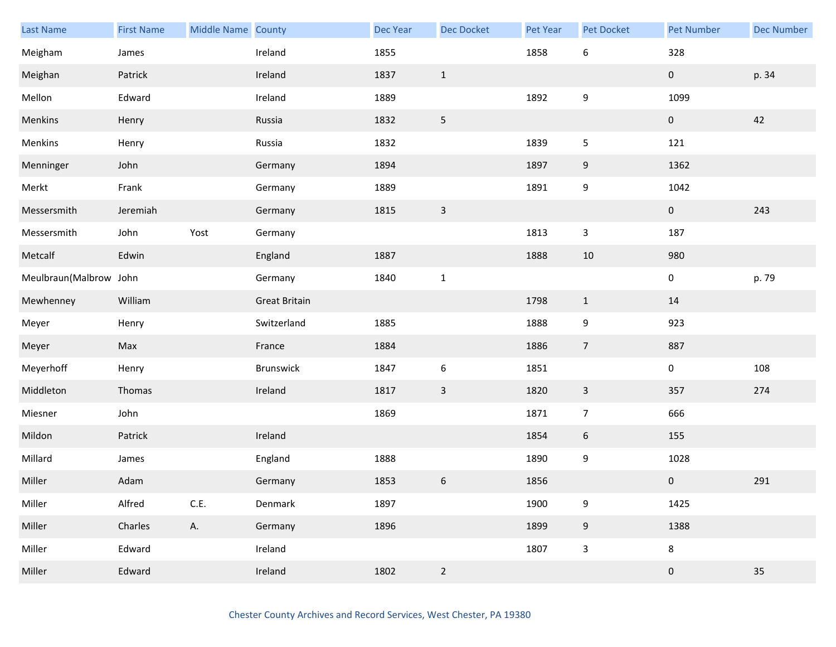| <b>Last Name</b>       | <b>First Name</b> | Middle Name County |                      | <b>Dec Year</b> | <b>Dec Docket</b> | Pet Year | <b>Pet Docket</b> | <b>Pet Number</b> | <b>Dec Number</b> |
|------------------------|-------------------|--------------------|----------------------|-----------------|-------------------|----------|-------------------|-------------------|-------------------|
| Meigham                | James             |                    | Ireland              | 1855            |                   | 1858     | $\boldsymbol{6}$  | 328               |                   |
| Meighan                | Patrick           |                    | Ireland              | 1837            | $\mathbf{1}$      |          |                   | $\mathbf 0$       | p. 34             |
| Mellon                 | Edward            |                    | Ireland              | 1889            |                   | 1892     | 9                 | 1099              |                   |
| Menkins                | Henry             |                    | Russia               | 1832            | $\sqrt{5}$        |          |                   | $\mathbf 0$       | 42                |
| Menkins                | Henry             |                    | Russia               | 1832            |                   | 1839     | 5                 | 121               |                   |
| Menninger              | John              |                    | Germany              | 1894            |                   | 1897     | 9                 | 1362              |                   |
| Merkt                  | Frank             |                    | Germany              | 1889            |                   | 1891     | 9                 | 1042              |                   |
| Messersmith            | Jeremiah          |                    | Germany              | 1815            | $\mathsf 3$       |          |                   | $\boldsymbol{0}$  | 243               |
| Messersmith            | John              | Yost               | Germany              |                 |                   | 1813     | $\mathbf{3}$      | 187               |                   |
| Metcalf                | Edwin             |                    | England              | 1887            |                   | 1888     | $10\,$            | 980               |                   |
| Meulbraun(Malbrow John |                   |                    | Germany              | 1840            | $\mathbf{1}$      |          |                   | $\pmb{0}$         | p. 79             |
| Mewhenney              | William           |                    | <b>Great Britain</b> |                 |                   | 1798     | $\mathbf{1}$      | 14                |                   |
| Meyer                  | Henry             |                    | Switzerland          | 1885            |                   | 1888     | 9                 | 923               |                   |
| Meyer                  | Max               |                    | France               | 1884            |                   | 1886     | $\overline{7}$    | 887               |                   |
| Meyerhoff              | Henry             |                    | Brunswick            | 1847            | $\boldsymbol{6}$  | 1851     |                   | $\pmb{0}$         | 108               |
| Middleton              | Thomas            |                    | Ireland              | 1817            | $\mathbf{3}$      | 1820     | $\mathbf{3}$      | 357               | 274               |
| Miesner                | John              |                    |                      | 1869            |                   | 1871     | $\overline{7}$    | 666               |                   |
| Mildon                 | Patrick           |                    | Ireland              |                 |                   | 1854     | $6\,$             | 155               |                   |
| Millard                | James             |                    | England              | 1888            |                   | 1890     | 9                 | 1028              |                   |
| Miller                 | Adam              |                    | Germany              | 1853            | $\boldsymbol{6}$  | 1856     |                   | $\mathbf 0$       | 291               |
| Miller                 | Alfred            | C.E.               | Denmark              | 1897            |                   | 1900     | 9                 | 1425              |                   |
| Miller                 | Charles           | A.                 | Germany              | 1896            |                   | 1899     | $\boldsymbol{9}$  | 1388              |                   |
| Miller                 | Edward            |                    | Ireland              |                 |                   | 1807     | $\mathbf{3}$      | $\bf 8$           |                   |
| Miller                 | Edward            |                    | Ireland              | 1802            | $\overline{2}$    |          |                   | $\pmb{0}$         | 35                |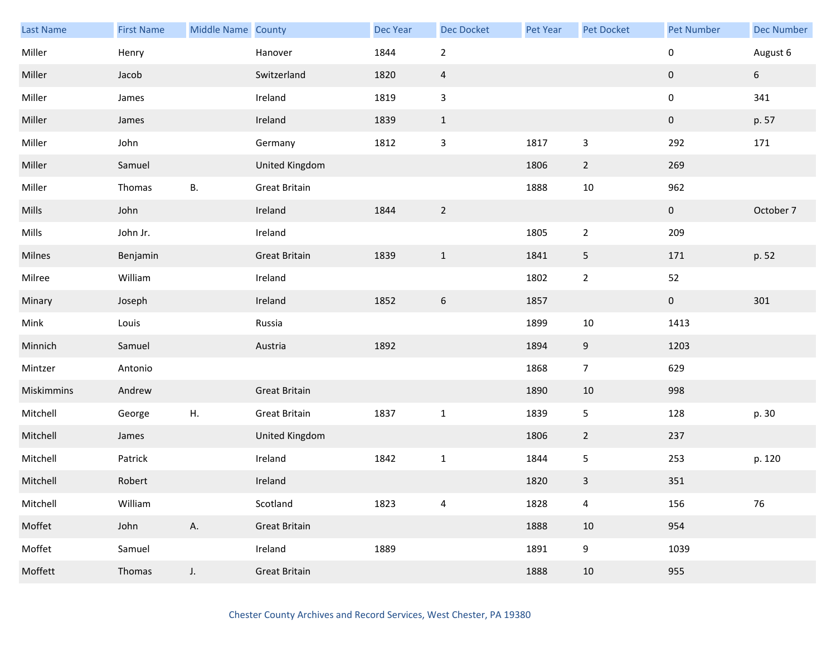| <b>Last Name</b> | <b>First Name</b> | Middle Name County |                      | Dec Year | <b>Dec Docket</b> | Pet Year | Pet Docket     | <b>Pet Number</b> | <b>Dec Number</b> |
|------------------|-------------------|--------------------|----------------------|----------|-------------------|----------|----------------|-------------------|-------------------|
| Miller           | Henry             |                    | Hanover              | 1844     | $\mathbf 2$       |          |                | 0                 | August 6          |
| Miller           | Jacob             |                    | Switzerland          | 1820     | $\overline{4}$    |          |                | 0                 | $6\phantom{.}$    |
| Miller           | James             |                    | Ireland              | 1819     | $\mathbf{3}$      |          |                | 0                 | 341               |
| Miller           | James             |                    | Ireland              | 1839     | $1\,$             |          |                | $\pmb{0}$         | p. 57             |
| Miller           | John              |                    | Germany              | 1812     | $\mathbf{3}$      | 1817     | 3              | 292               | 171               |
| Miller           | Samuel            |                    | United Kingdom       |          |                   | 1806     | $\overline{2}$ | 269               |                   |
| Miller           | Thomas            | В.                 | <b>Great Britain</b> |          |                   | 1888     | 10             | 962               |                   |
| Mills            | John              |                    | Ireland              | 1844     | $\overline{2}$    |          |                | $\mathbf 0$       | October 7         |
| Mills            | John Jr.          |                    | Ireland              |          |                   | 1805     | $\overline{2}$ | 209               |                   |
| Milnes           | Benjamin          |                    | <b>Great Britain</b> | 1839     | $\mathbf{1}$      | 1841     | 5              | 171               | p. 52             |
| Milree           | William           |                    | Ireland              |          |                   | 1802     | $\overline{2}$ | 52                |                   |
| Minary           | Joseph            |                    | Ireland              | 1852     | $\boldsymbol{6}$  | 1857     |                | $\mathbf 0$       | 301               |
| Mink             | Louis             |                    | Russia               |          |                   | 1899     | 10             | 1413              |                   |
| Minnich          | Samuel            |                    | Austria              | 1892     |                   | 1894     | 9              | 1203              |                   |
| Mintzer          | Antonio           |                    |                      |          |                   | 1868     | $\overline{7}$ | 629               |                   |
| Miskimmins       | Andrew            |                    | <b>Great Britain</b> |          |                   | 1890     | 10             | 998               |                   |
| Mitchell         | George            | Η.                 | <b>Great Britain</b> | 1837     | $\mathbf 1$       | 1839     | 5              | 128               | p. 30             |
| Mitchell         | James             |                    | United Kingdom       |          |                   | 1806     | $\overline{2}$ | 237               |                   |
| Mitchell         | Patrick           |                    | Ireland              | 1842     | $1\,$             | 1844     | 5              | 253               | p. 120            |
| Mitchell         | Robert            |                    | Ireland              |          |                   | 1820     | $\mathbf{3}$   | 351               |                   |
| Mitchell         | William           |                    | Scotland             | 1823     | 4                 | 1828     | 4              | 156               | $76\,$            |
| Moffet           | John              | А.                 | <b>Great Britain</b> |          |                   | 1888     | 10             | 954               |                   |
| Moffet           | Samuel            |                    | Ireland              | 1889     |                   | 1891     | 9              | 1039              |                   |
| Moffett          | Thomas            | $J_{\star}$        | <b>Great Britain</b> |          |                   | 1888     | 10             | 955               |                   |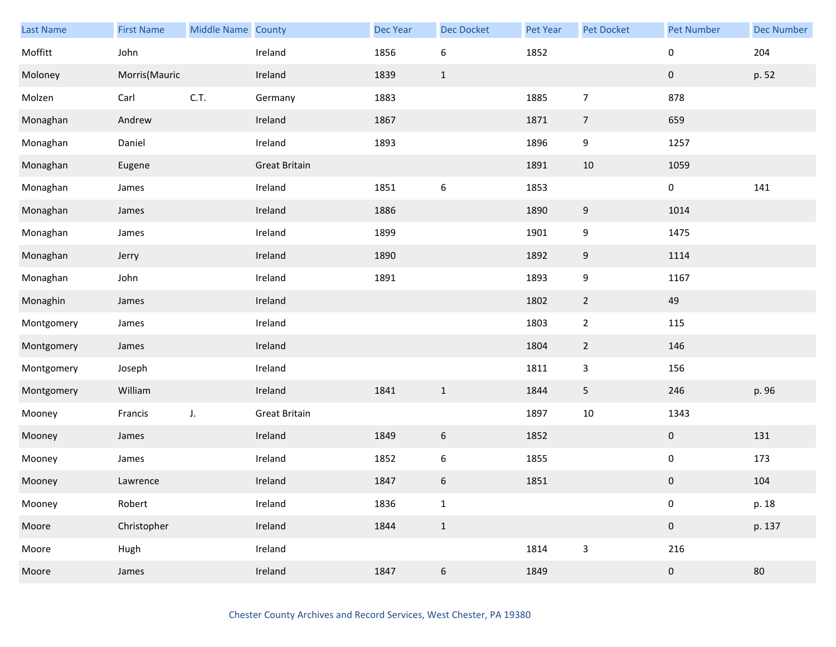| Last Name  | <b>First Name</b> | Middle Name County |                      | <b>Dec Year</b> | Dec Docket       | Pet Year | Pet Docket     | <b>Pet Number</b> | <b>Dec Number</b> |
|------------|-------------------|--------------------|----------------------|-----------------|------------------|----------|----------------|-------------------|-------------------|
| Moffitt    | John              |                    | Ireland              | 1856            | $\boldsymbol{6}$ | 1852     |                | 0                 | 204               |
| Moloney    | Morris(Mauric     |                    | Ireland              | 1839            | $\mathbf{1}$     |          |                | $\pmb{0}$         | p. 52             |
| Molzen     | Carl              | C.T.               | Germany              | 1883            |                  | 1885     | $\overline{7}$ | 878               |                   |
| Monaghan   | Andrew            |                    | Ireland              | 1867            |                  | 1871     | $\overline{7}$ | 659               |                   |
| Monaghan   | Daniel            |                    | Ireland              | 1893            |                  | 1896     | 9              | 1257              |                   |
| Monaghan   | Eugene            |                    | <b>Great Britain</b> |                 |                  | 1891     | 10             | 1059              |                   |
| Monaghan   | James             |                    | Ireland              | 1851            | $\boldsymbol{6}$ | 1853     |                | 0                 | 141               |
| Monaghan   | James             |                    | Ireland              | 1886            |                  | 1890     | 9              | 1014              |                   |
| Monaghan   | James             |                    | Ireland              | 1899            |                  | 1901     | 9              | 1475              |                   |
| Monaghan   | Jerry             |                    | Ireland              | 1890            |                  | 1892     | 9              | 1114              |                   |
| Monaghan   | John              |                    | Ireland              | 1891            |                  | 1893     | 9              | 1167              |                   |
| Monaghin   | James             |                    | Ireland              |                 |                  | 1802     | $\overline{2}$ | 49                |                   |
| Montgomery | James             |                    | Ireland              |                 |                  | 1803     | $\mathbf{2}$   | 115               |                   |
| Montgomery | James             |                    | Ireland              |                 |                  | 1804     | $\overline{2}$ | 146               |                   |
| Montgomery | Joseph            |                    | Ireland              |                 |                  | 1811     | $\overline{3}$ | 156               |                   |
| Montgomery | William           |                    | Ireland              | 1841            | $\,1\,$          | 1844     | 5              | 246               | p. 96             |
| Mooney     | Francis           | J.                 | <b>Great Britain</b> |                 |                  | 1897     | $10\,$         | 1343              |                   |
| Mooney     | James             |                    | Ireland              | 1849            | $6\,$            | 1852     |                | $\mathbf 0$       | 131               |
| Mooney     | James             |                    | Ireland              | 1852            | $\boldsymbol{6}$ | 1855     |                | 0                 | 173               |
| Mooney     | Lawrence          |                    | Ireland              | 1847            | $\boldsymbol{6}$ | 1851     |                | $\pmb{0}$         | 104               |
| Mooney     | Robert            |                    | Ireland              | 1836            | $\mathbf 1$      |          |                | $\mathbf 0$       | p. 18             |
| Moore      | Christopher       |                    | Ireland              | 1844            | $\,1\,$          |          |                | $\pmb{0}$         | p. 137            |
| Moore      | Hugh              |                    | Ireland              |                 |                  | 1814     | $\mathbf{3}$   | 216               |                   |
| Moore      | James             |                    | Ireland              | 1847            | $\boldsymbol{6}$ | 1849     |                | $\pmb{0}$         | 80                |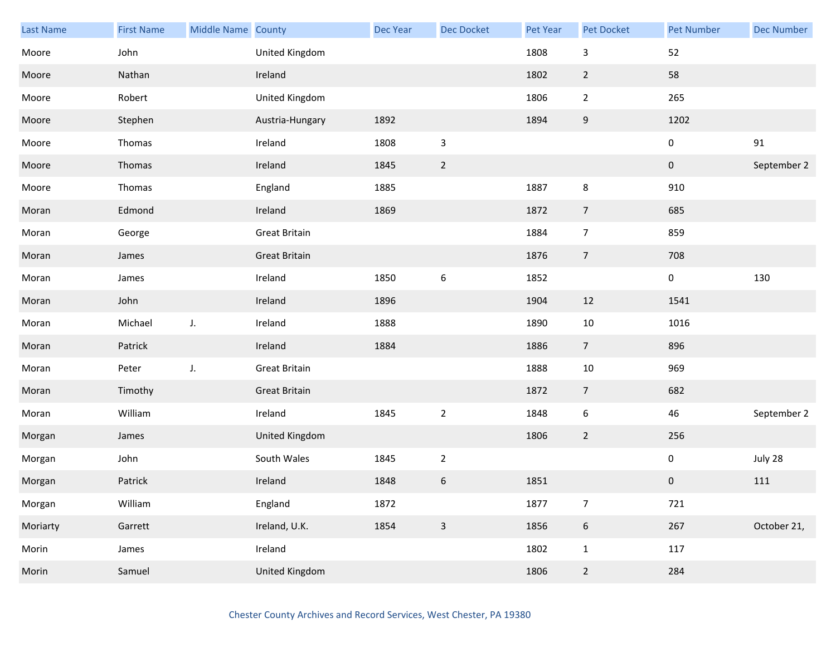| <b>Last Name</b> | <b>First Name</b> | Middle Name County |                      | Dec Year | <b>Dec Docket</b> | Pet Year | Pet Docket     | <b>Pet Number</b> | <b>Dec Number</b> |
|------------------|-------------------|--------------------|----------------------|----------|-------------------|----------|----------------|-------------------|-------------------|
| Moore            | John              |                    | United Kingdom       |          |                   | 1808     | 3              | 52                |                   |
| Moore            | Nathan            |                    | Ireland              |          |                   | 1802     | $\overline{2}$ | 58                |                   |
| Moore            | Robert            |                    | United Kingdom       |          |                   | 1806     | $\overline{2}$ | 265               |                   |
| Moore            | Stephen           |                    | Austria-Hungary      | 1892     |                   | 1894     | 9              | 1202              |                   |
| Moore            | Thomas            |                    | Ireland              | 1808     | $\mathbf{3}$      |          |                | 0                 | 91                |
| Moore            | Thomas            |                    | Ireland              | 1845     | $\sqrt{2}$        |          |                | $\mathbf 0$       | September 2       |
| Moore            | Thomas            |                    | England              | 1885     |                   | 1887     | 8              | 910               |                   |
| Moran            | Edmond            |                    | Ireland              | 1869     |                   | 1872     | $\overline{7}$ | 685               |                   |
| Moran            | George            |                    | <b>Great Britain</b> |          |                   | 1884     | $\overline{7}$ | 859               |                   |
| Moran            | James             |                    | <b>Great Britain</b> |          |                   | 1876     | $\overline{7}$ | 708               |                   |
| Moran            | James             |                    | Ireland              | 1850     | $\boldsymbol{6}$  | 1852     |                | 0                 | 130               |
| Moran            | John              |                    | Ireland              | 1896     |                   | 1904     | 12             | 1541              |                   |
| Moran            | Michael           | J.                 | Ireland              | 1888     |                   | 1890     | 10             | 1016              |                   |
| Moran            | Patrick           |                    | Ireland              | 1884     |                   | 1886     | $\overline{7}$ | 896               |                   |
| Moran            | Peter             | J.                 | <b>Great Britain</b> |          |                   | 1888     | $10\,$         | 969               |                   |
| Moran            | Timothy           |                    | <b>Great Britain</b> |          |                   | 1872     | $\overline{7}$ | 682               |                   |
| Moran            | William           |                    | Ireland              | 1845     | $\sqrt{2}$        | 1848     | 6              | 46                | September 2       |
| Morgan           | James             |                    | United Kingdom       |          |                   | 1806     | $\overline{2}$ | 256               |                   |
| Morgan           | John              |                    | South Wales          | 1845     | $\mathbf 2$       |          |                | 0                 | July 28           |
| Morgan           | Patrick           |                    | Ireland              | 1848     | $\,$ 6 $\,$       | 1851     |                | $\pmb{0}$         | 111               |
| Morgan           | William           |                    | England              | 1872     |                   | 1877     | $\overline{7}$ | 721               |                   |
| Moriarty         | Garrett           |                    | Ireland, U.K.        | 1854     | $\mathsf 3$       | 1856     | $\sqrt{6}$     | 267               | October 21,       |
| Morin            | James             |                    | Ireland              |          |                   | 1802     | $\mathbf{1}$   | 117               |                   |
| Morin            | Samuel            |                    | United Kingdom       |          |                   | 1806     | $\overline{2}$ | 284               |                   |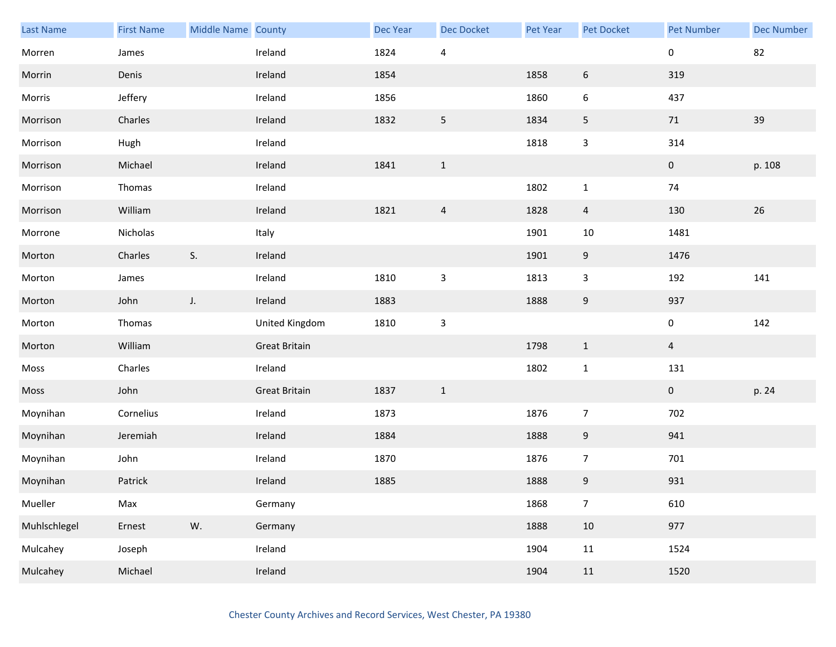| Last Name    | <b>First Name</b> | Middle Name County |                      | <b>Dec Year</b> | <b>Dec Docket</b> | Pet Year | Pet Docket       | <b>Pet Number</b> | <b>Dec Number</b> |
|--------------|-------------------|--------------------|----------------------|-----------------|-------------------|----------|------------------|-------------------|-------------------|
| Morren       | James             |                    | Ireland              | 1824            | $\overline{4}$    |          |                  | $\pmb{0}$         | 82                |
| Morrin       | Denis             |                    | Ireland              | 1854            |                   | 1858     | $\boldsymbol{6}$ | 319               |                   |
| Morris       | Jeffery           |                    | Ireland              | 1856            |                   | 1860     | 6                | 437               |                   |
| Morrison     | Charles           |                    | Ireland              | 1832            | $5\phantom{.0}$   | 1834     | 5                | 71                | 39                |
| Morrison     | Hugh              |                    | Ireland              |                 |                   | 1818     | $\mathsf{3}$     | 314               |                   |
| Morrison     | Michael           |                    | Ireland              | 1841            | $\mathbf{1}$      |          |                  | $\pmb{0}$         | p. 108            |
| Morrison     | Thomas            |                    | Ireland              |                 |                   | 1802     | $\mathbf 1$      | 74                |                   |
| Morrison     | William           |                    | Ireland              | 1821            | $\overline{4}$    | 1828     | $\overline{4}$   | 130               | 26                |
| Morrone      | Nicholas          |                    | Italy                |                 |                   | 1901     | $10\,$           | 1481              |                   |
| Morton       | Charles           | S.                 | Ireland              |                 |                   | 1901     | 9                | 1476              |                   |
| Morton       | James             |                    | Ireland              | 1810            | $\mathsf{3}$      | 1813     | $\mathbf{3}$     | 192               | 141               |
| Morton       | John              | $J_{\star}$        | Ireland              | 1883            |                   | 1888     | 9                | 937               |                   |
| Morton       | Thomas            |                    | United Kingdom       | 1810            | $\mathsf{3}$      |          |                  | $\pmb{0}$         | 142               |
| Morton       | William           |                    | <b>Great Britain</b> |                 |                   | 1798     | $\mathbf{1}$     | $\overline{4}$    |                   |
| Moss         | Charles           |                    | Ireland              |                 |                   | 1802     | $\mathbf{1}$     | 131               |                   |
| Moss         | John              |                    | <b>Great Britain</b> | 1837            | $\mathbf{1}$      |          |                  | $\mathbf{0}$      | p. 24             |
| Moynihan     | Cornelius         |                    | Ireland              | 1873            |                   | 1876     | $\overline{7}$   | 702               |                   |
| Moynihan     | Jeremiah          |                    | Ireland              | 1884            |                   | 1888     | 9                | 941               |                   |
| Moynihan     | John              |                    | Ireland              | 1870            |                   | 1876     | $\overline{7}$   | 701               |                   |
| Moynihan     | Patrick           |                    | Ireland              | 1885            |                   | 1888     | 9                | 931               |                   |
| Mueller      | Max               |                    | Germany              |                 |                   | 1868     | $\overline{7}$   | 610               |                   |
| Muhlschlegel | Ernest            | W.                 | Germany              |                 |                   | 1888     | $10\,$           | 977               |                   |
| Mulcahey     | Joseph            |                    | Ireland              |                 |                   | 1904     | 11               | 1524              |                   |
| Mulcahey     | Michael           |                    | Ireland              |                 |                   | 1904     | $11\,$           | 1520              |                   |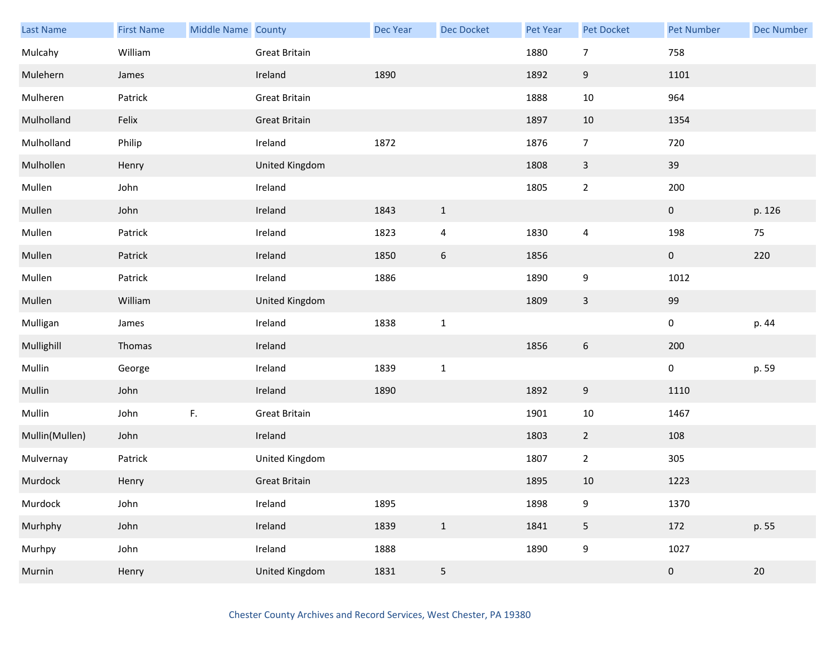| Last Name      | <b>First Name</b> | Middle Name County |                      | <b>Dec Year</b> | Dec Docket      | Pet Year | Pet Docket       | <b>Pet Number</b> | <b>Dec Number</b> |
|----------------|-------------------|--------------------|----------------------|-----------------|-----------------|----------|------------------|-------------------|-------------------|
| Mulcahy        | William           |                    | Great Britain        |                 |                 | 1880     | $\overline{7}$   | 758               |                   |
| Mulehern       | James             |                    | Ireland              | 1890            |                 | 1892     | $9\,$            | 1101              |                   |
| Mulheren       | Patrick           |                    | Great Britain        |                 |                 | 1888     | $10\,$           | 964               |                   |
| Mulholland     | Felix             |                    | Great Britain        |                 |                 | 1897     | 10               | 1354              |                   |
| Mulholland     | Philip            |                    | Ireland              | 1872            |                 | 1876     | $\overline{7}$   | 720               |                   |
| Mulhollen      | Henry             |                    | United Kingdom       |                 |                 | 1808     | $\mathbf{3}$     | 39                |                   |
| Mullen         | John              |                    | Ireland              |                 |                 | 1805     | $\mathbf 2$      | 200               |                   |
| Mullen         | John              |                    | Ireland              | 1843            | $\mathbf{1}$    |          |                  | $\mathbf 0$       | p. 126            |
| Mullen         | Patrick           |                    | Ireland              | 1823            | $\overline{a}$  | 1830     | $\overline{4}$   | 198               | 75                |
| Mullen         | Patrick           |                    | Ireland              | 1850            | $6\,$           | 1856     |                  | $\pmb{0}$         | 220               |
| Mullen         | Patrick           |                    | Ireland              | 1886            |                 | 1890     | 9                | 1012              |                   |
| Mullen         | William           |                    | United Kingdom       |                 |                 | 1809     | $\mathsf{3}$     | 99                |                   |
| Mulligan       | James             |                    | Ireland              | 1838            | $\mathbf{1}$    |          |                  | $\pmb{0}$         | p. 44             |
| Mullighill     | Thomas            |                    | Ireland              |                 |                 | 1856     | $\boldsymbol{6}$ | 200               |                   |
| Mullin         | George            |                    | Ireland              | 1839            | $\mathbf 1$     |          |                  | $\pmb{0}$         | p. 59             |
| Mullin         | John              |                    | Ireland              | 1890            |                 | 1892     | $\boldsymbol{9}$ | 1110              |                   |
| Mullin         | John              | $\mathsf F.$       | Great Britain        |                 |                 | 1901     | $10\,$           | 1467              |                   |
| Mullin(Mullen) | John              |                    | Ireland              |                 |                 | 1803     | $\overline{2}$   | 108               |                   |
| Mulvernay      | Patrick           |                    | United Kingdom       |                 |                 | 1807     | $\overline{2}$   | 305               |                   |
| Murdock        | Henry             |                    | <b>Great Britain</b> |                 |                 | 1895     | 10               | 1223              |                   |
| Murdock        | John              |                    | Ireland              | 1895            |                 | 1898     | $\boldsymbol{9}$ | 1370              |                   |
| Murhphy        | John              |                    | Ireland              | 1839            | $\mathbf{1}$    | 1841     | $\overline{5}$   | 172               | p. 55             |
| Murhpy         | John              |                    | Ireland              | 1888            |                 | 1890     | $\boldsymbol{9}$ | 1027              |                   |
| Murnin         | Henry             |                    | United Kingdom       | 1831            | $5\phantom{.0}$ |          |                  | $\pmb{0}$         | $20\,$            |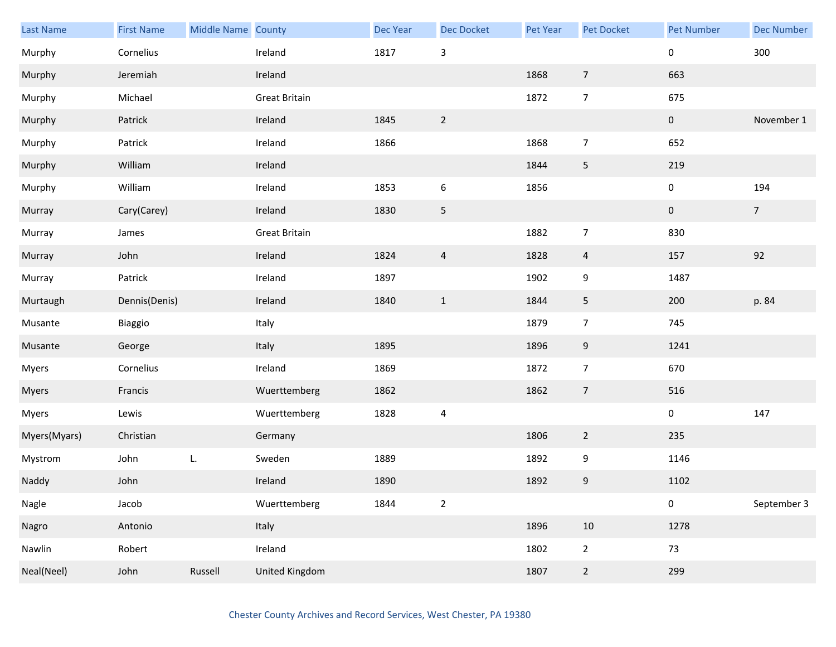| Last Name    | <b>First Name</b> | Middle Name County |                      | Dec Year | <b>Dec Docket</b>         | <b>Pet Year</b> | Pet Docket     | Pet Number     | <b>Dec Number</b> |
|--------------|-------------------|--------------------|----------------------|----------|---------------------------|-----------------|----------------|----------------|-------------------|
| Murphy       | Cornelius         |                    | Ireland              | 1817     | $\ensuremath{\mathsf{3}}$ |                 |                | 0              | 300               |
| Murphy       | Jeremiah          |                    | Ireland              |          |                           | 1868            | $\overline{7}$ | 663            |                   |
| Murphy       | Michael           |                    | <b>Great Britain</b> |          |                           | 1872            | $\overline{7}$ | 675            |                   |
| Murphy       | Patrick           |                    | Ireland              | 1845     | $\overline{2}$            |                 |                | $\overline{0}$ | November 1        |
| Murphy       | Patrick           |                    | Ireland              | 1866     |                           | 1868            | $\overline{7}$ | 652            |                   |
| Murphy       | William           |                    | Ireland              |          |                           | 1844            | $\sqrt{5}$     | 219            |                   |
| Murphy       | William           |                    | Ireland              | 1853     | $\boldsymbol{6}$          | 1856            |                | 0              | 194               |
| Murray       | Cary(Carey)       |                    | Ireland              | 1830     | 5                         |                 |                | $\overline{0}$ | 7 <sup>7</sup>    |
| Murray       | James             |                    | <b>Great Britain</b> |          |                           | 1882            | $\overline{7}$ | 830            |                   |
| Murray       | John              |                    | Ireland              | 1824     | $\overline{4}$            | 1828            | $\overline{4}$ | 157            | 92                |
| Murray       | Patrick           |                    | Ireland              | 1897     |                           | 1902            | 9              | 1487           |                   |
| Murtaugh     | Dennis(Denis)     |                    | Ireland              | 1840     | $\mathbf{1}$              | 1844            | 5              | 200            | p. 84             |
| Musante      | Biaggio           |                    | Italy                |          |                           | 1879            | $\overline{7}$ | 745            |                   |
| Musante      | George            |                    | Italy                | 1895     |                           | 1896            | 9              | 1241           |                   |
| Myers        | Cornelius         |                    | Ireland              | 1869     |                           | 1872            | $\overline{7}$ | 670            |                   |
| Myers        | Francis           |                    | Wuerttemberg         | 1862     |                           | 1862            | $\overline{7}$ | 516            |                   |
| Myers        | Lewis             |                    | Wuerttemberg         | 1828     | $\sqrt{4}$                |                 |                | 0              | 147               |
| Myers(Myars) | Christian         |                    | Germany              |          |                           | 1806            | $\overline{2}$ | 235            |                   |
| Mystrom      | John              | L.                 | Sweden               | 1889     |                           | 1892            | 9              | 1146           |                   |
| Naddy        | John              |                    | Ireland              | 1890     |                           | 1892            | 9              | 1102           |                   |
| Nagle        | Jacob             |                    | Wuerttemberg         | 1844     | $\overline{2}$            |                 |                | 0              | September 3       |
| Nagro        | Antonio           |                    | Italy                |          |                           | 1896            | 10             | 1278           |                   |
| Nawlin       | Robert            |                    | Ireland              |          |                           | 1802            | $\overline{2}$ | 73             |                   |
| Neal(Neel)   | John              | Russell            | United Kingdom       |          |                           | 1807            | $\overline{2}$ | 299            |                   |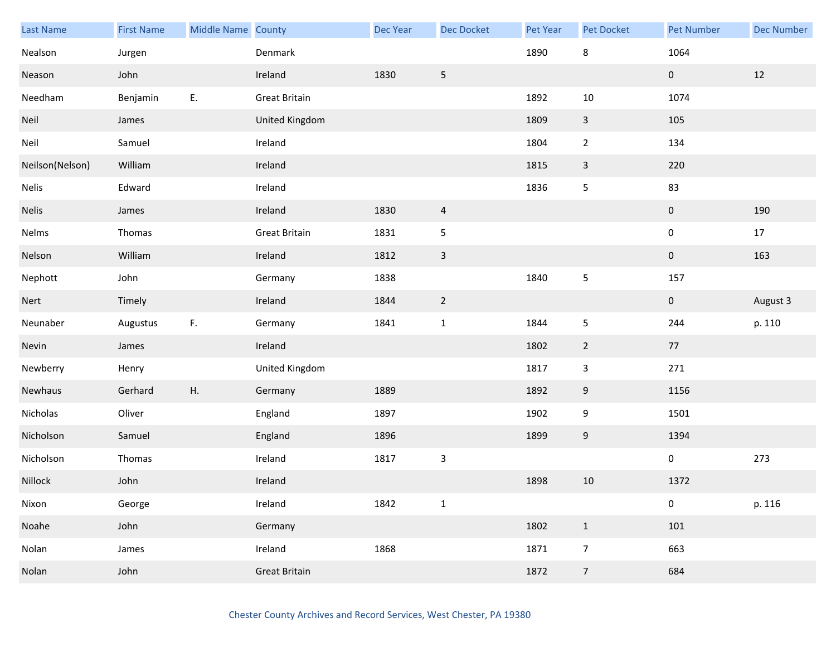| Last Name       | <b>First Name</b> | Middle Name County |                      | Dec Year | <b>Dec Docket</b> | Pet Year | Pet Docket     | <b>Pet Number</b> | <b>Dec Number</b> |
|-----------------|-------------------|--------------------|----------------------|----------|-------------------|----------|----------------|-------------------|-------------------|
| Nealson         | Jurgen            |                    | Denmark              |          |                   | 1890     | 8              | 1064              |                   |
| Neason          | John              |                    | Ireland              | 1830     | 5                 |          |                | $\mathbf 0$       | 12                |
| Needham         | Benjamin          | Ε.                 | <b>Great Britain</b> |          |                   | 1892     | 10             | 1074              |                   |
| Neil            | James             |                    | United Kingdom       |          |                   | 1809     | $\overline{3}$ | 105               |                   |
| Neil            | Samuel            |                    | Ireland              |          |                   | 1804     | $\overline{2}$ | 134               |                   |
| Neilson(Nelson) | William           |                    | Ireland              |          |                   | 1815     | $\mathbf{3}$   | 220               |                   |
| <b>Nelis</b>    | Edward            |                    | Ireland              |          |                   | 1836     | 5              | 83                |                   |
| Nelis           | James             |                    | Ireland              | 1830     | $\overline{4}$    |          |                | $\pmb{0}$         | 190               |
| Nelms           | Thomas            |                    | <b>Great Britain</b> | 1831     | $\sqrt{5}$        |          |                | 0                 | 17                |
| Nelson          | William           |                    | Ireland              | 1812     | $\mathsf 3$       |          |                | $\pmb{0}$         | 163               |
| Nephott         | John              |                    | Germany              | 1838     |                   | 1840     | 5              | 157               |                   |
| Nert            | Timely            |                    | Ireland              | 1844     | $\overline{2}$    |          |                | $\mathbf{0}$      | August 3          |
| Neunaber        | Augustus          | F.                 | Germany              | 1841     | $\mathbf 1$       | 1844     | 5              | 244               | p. 110            |
| Nevin           | James             |                    | Ireland              |          |                   | 1802     | $\overline{2}$ | 77                |                   |
| Newberry        | Henry             |                    | United Kingdom       |          |                   | 1817     | 3              | 271               |                   |
| Newhaus         | Gerhard           | Η.                 | Germany              | 1889     |                   | 1892     | 9              | 1156              |                   |
| Nicholas        | Oliver            |                    | England              | 1897     |                   | 1902     | 9              | 1501              |                   |
| Nicholson       | Samuel            |                    | England              | 1896     |                   | 1899     | 9              | 1394              |                   |
| Nicholson       | Thomas            |                    | Ireland              | 1817     | $\mathsf 3$       |          |                | $\pmb{0}$         | 273               |
| Nillock         | John              |                    | Ireland              |          |                   | 1898     | $10\,$         | 1372              |                   |
| Nixon           | George            |                    | Ireland              | 1842     | $\mathbf 1$       |          |                | 0                 | p. 116            |
| Noahe           | John              |                    | Germany              |          |                   | 1802     | $\mathbf{1}$   | 101               |                   |
| Nolan           | James             |                    | Ireland              | 1868     |                   | 1871     | $\overline{7}$ | 663               |                   |
| Nolan           | John              |                    | <b>Great Britain</b> |          |                   | 1872     | $\overline{7}$ | 684               |                   |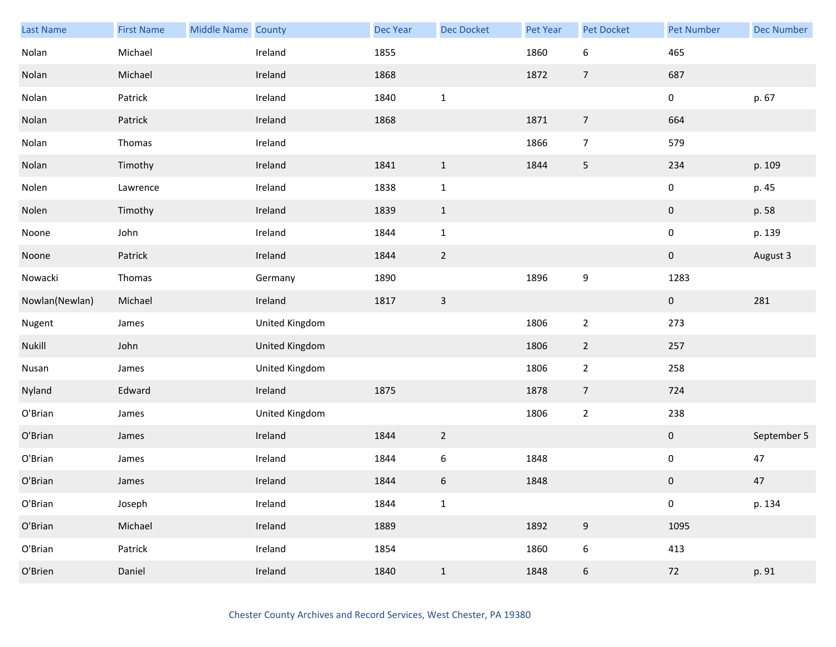| <b>Last Name</b> | <b>First Name</b> | Middle Name County |                | Dec Year | <b>Dec Docket</b> | Pet Year | Pet Docket       | <b>Pet Number</b> | <b>Dec Number</b> |
|------------------|-------------------|--------------------|----------------|----------|-------------------|----------|------------------|-------------------|-------------------|
| Nolan            | Michael           |                    | Ireland        | 1855     |                   | 1860     | $\boldsymbol{6}$ | 465               |                   |
| Nolan            | Michael           |                    | Ireland        | 1868     |                   | 1872     | $\overline{7}$   | 687               |                   |
| Nolan            | Patrick           |                    | Ireland        | 1840     | $\mathbf{1}$      |          |                  | $\mathbf 0$       | p. 67             |
| Nolan            | Patrick           |                    | Ireland        | 1868     |                   | 1871     | $\overline{7}$   | 664               |                   |
| Nolan            | Thomas            |                    | Ireland        |          |                   | 1866     | $\overline{7}$   | 579               |                   |
| Nolan            | Timothy           |                    | Ireland        | 1841     | $\mathbf{1}$      | 1844     | $\sqrt{5}$       | 234               | p. 109            |
| Nolen            | Lawrence          |                    | Ireland        | 1838     | $\mathbf 1$       |          |                  | $\pmb{0}$         | p. 45             |
| Nolen            | Timothy           |                    | Ireland        | 1839     | $\mathbf{1}$      |          |                  | $\pmb{0}$         | p. 58             |
| Noone            | John              |                    | Ireland        | 1844     | $\mathbf 1$       |          |                  | $\pmb{0}$         | p. 139            |
| Noone            | Patrick           |                    | Ireland        | 1844     | $\overline{2}$    |          |                  | $\mathbf 0$       | August 3          |
| Nowacki          | Thomas            |                    | Germany        | 1890     |                   | 1896     | 9                | 1283              |                   |
| Nowlan(Newlan)   | Michael           |                    | Ireland        | 1817     | $\mathsf{3}$      |          |                  | $\mathbf{0}$      | 281               |
| Nugent           | James             |                    | United Kingdom |          |                   | 1806     | $\mathbf 2$      | 273               |                   |
| Nukill           | John              |                    | United Kingdom |          |                   | 1806     | $\overline{2}$   | 257               |                   |
| Nusan            | James             |                    | United Kingdom |          |                   | 1806     | $\overline{2}$   | 258               |                   |
| Nyland           | Edward            |                    | Ireland        | 1875     |                   | 1878     | $\overline{7}$   | 724               |                   |
| O'Brian          | James             |                    | United Kingdom |          |                   | 1806     | $\overline{2}$   | 238               |                   |
| O'Brian          | James             |                    | Ireland        | 1844     | $\overline{2}$    |          |                  | $\mathbf 0$       | September 5       |
| O'Brian          | James             |                    | Ireland        | 1844     | 6                 | 1848     |                  | $\pmb{0}$         | 47                |
| O'Brian          | James             |                    | Ireland        | 1844     | $\boldsymbol{6}$  | 1848     |                  | 0                 | 47                |
| O'Brian          | Joseph            |                    | Ireland        | 1844     | $\mathbf 1$       |          |                  | $\pmb{0}$         | p. 134            |
| O'Brian          | Michael           |                    | Ireland        | 1889     |                   | 1892     | $\boldsymbol{9}$ | 1095              |                   |
| O'Brian          | Patrick           |                    | Ireland        | 1854     |                   | 1860     | $\boldsymbol{6}$ | 413               |                   |
| O'Brien          | Daniel            |                    | Ireland        | 1840     | $\mathbf{1}$      | 1848     | $\boldsymbol{6}$ | $72\,$            | p. 91             |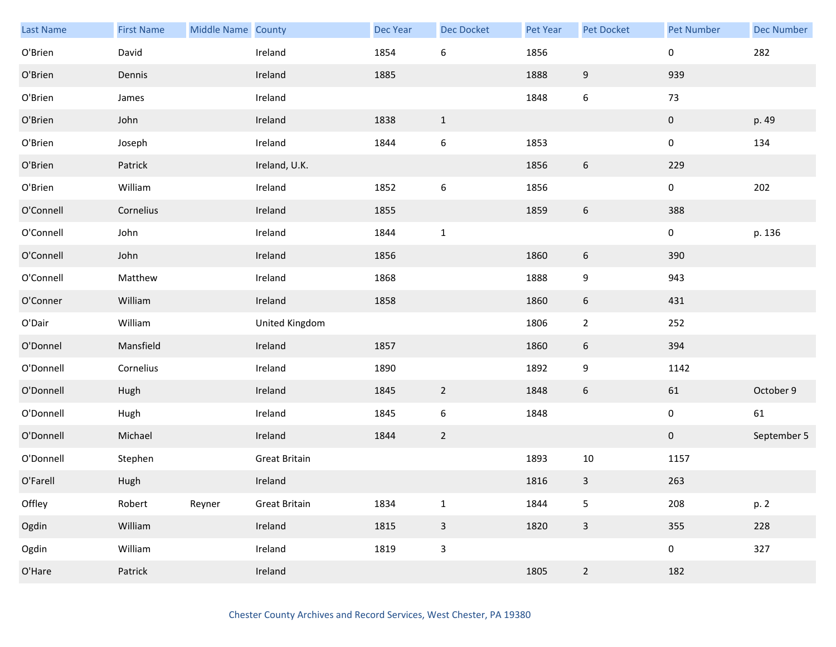| Last Name | <b>First Name</b> | Middle Name County |                      | Dec Year | <b>Dec Docket</b> | Pet Year | Pet Docket       | <b>Pet Number</b> | <b>Dec Number</b> |
|-----------|-------------------|--------------------|----------------------|----------|-------------------|----------|------------------|-------------------|-------------------|
| O'Brien   | David             |                    | Ireland              | 1854     | $\,6\,$           | 1856     |                  | 0                 | 282               |
| O'Brien   | Dennis            |                    | Ireland              | 1885     |                   | 1888     | $\boldsymbol{9}$ | 939               |                   |
| O'Brien   | James             |                    | Ireland              |          |                   | 1848     | $\boldsymbol{6}$ | 73                |                   |
| O'Brien   | John              |                    | Ireland              | 1838     | $\mathbf{1}$      |          |                  | $\mathbf 0$       | p. 49             |
| O'Brien   | Joseph            |                    | Ireland              | 1844     | $\boldsymbol{6}$  | 1853     |                  | $\mathbf 0$       | 134               |
| O'Brien   | Patrick           |                    | Ireland, U.K.        |          |                   | 1856     | $\boldsymbol{6}$ | 229               |                   |
| O'Brien   | William           |                    | Ireland              | 1852     | $\boldsymbol{6}$  | 1856     |                  | $\mathbf 0$       | 202               |
| O'Connell | Cornelius         |                    | Ireland              | 1855     |                   | 1859     | $\boldsymbol{6}$ | 388               |                   |
| O'Connell | John              |                    | Ireland              | 1844     | $\mathbf 1$       |          |                  | $\mathbf 0$       | p. 136            |
| O'Connell | John              |                    | Ireland              | 1856     |                   | 1860     | $\boldsymbol{6}$ | 390               |                   |
| O'Connell | Matthew           |                    | Ireland              | 1868     |                   | 1888     | $\boldsymbol{9}$ | 943               |                   |
| O'Conner  | William           |                    | Ireland              | 1858     |                   | 1860     | 6                | 431               |                   |
| O'Dair    | William           |                    | United Kingdom       |          |                   | 1806     | $\overline{2}$   | 252               |                   |
| O'Donnel  | Mansfield         |                    | Ireland              | 1857     |                   | 1860     | $\boldsymbol{6}$ | 394               |                   |
| O'Donnell | Cornelius         |                    | Ireland              | 1890     |                   | 1892     | $\boldsymbol{9}$ | 1142              |                   |
| O'Donnell | Hugh              |                    | Ireland              | 1845     | $\overline{2}$    | 1848     | 6                | 61                | October 9         |
| O'Donnell | Hugh              |                    | Ireland              | 1845     | $\boldsymbol{6}$  | 1848     |                  | $\mathbf 0$       | 61                |
| O'Donnell | Michael           |                    | Ireland              | 1844     | $\overline{2}$    |          |                  | $\overline{0}$    | September 5       |
| O'Donnell | Stephen           |                    | <b>Great Britain</b> |          |                   | 1893     | $10\,$           | 1157              |                   |
| O'Farell  | Hugh              |                    | Ireland              |          |                   | 1816     | 3                | 263               |                   |
| Offley    | Robert            | Reyner             | <b>Great Britain</b> | 1834     | $\mathbf 1$       | 1844     | 5                | 208               | p. 2              |
| Ogdin     | William           |                    | Ireland              | 1815     | $\mathbf{3}$      | 1820     | $\mathbf{3}$     | 355               | 228               |
| Ogdin     | William           |                    | Ireland              | 1819     | $\mathbf{3}$      |          |                  | $\mathbf 0$       | 327               |
| O'Hare    | Patrick           |                    | Ireland              |          |                   | 1805     | $\overline{2}$   | 182               |                   |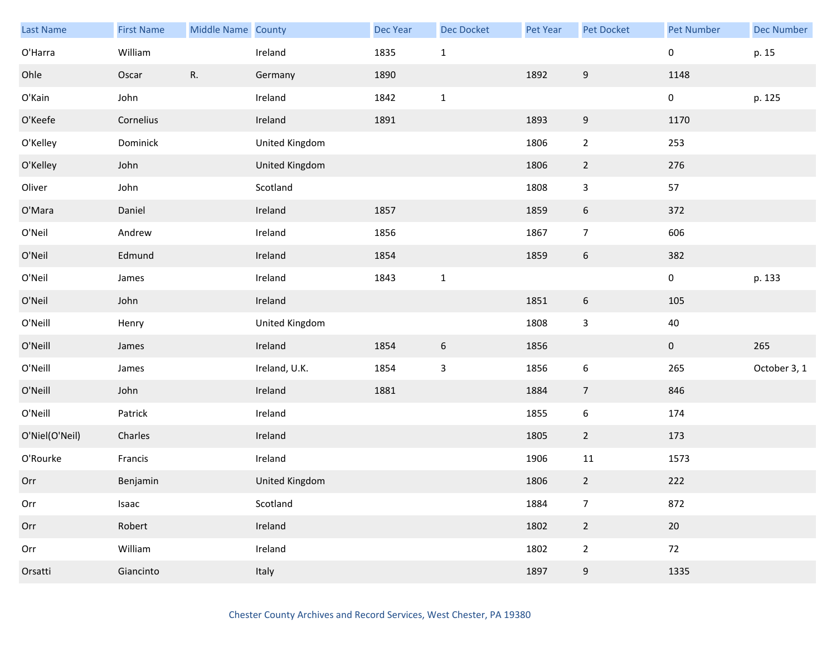| <b>Last Name</b> | <b>First Name</b> | Middle Name County |                | Dec Year | Dec Docket      | Pet Year | <b>Pet Docket</b> | <b>Pet Number</b> | <b>Dec Number</b> |
|------------------|-------------------|--------------------|----------------|----------|-----------------|----------|-------------------|-------------------|-------------------|
| O'Harra          | William           |                    | Ireland        | 1835     | $\mathbf{1}$    |          |                   | 0                 | p. 15             |
| Ohle             | Oscar             | R.                 | Germany        | 1890     |                 | 1892     | $\boldsymbol{9}$  | 1148              |                   |
| O'Kain           | John              |                    | Ireland        | 1842     | $\mathbf{1}$    |          |                   | 0                 | p. 125            |
| O'Keefe          | Cornelius         |                    | Ireland        | 1891     |                 | 1893     | 9                 | 1170              |                   |
| O'Kelley         | Dominick          |                    | United Kingdom |          |                 | 1806     | $\overline{2}$    | 253               |                   |
| O'Kelley         | John              |                    | United Kingdom |          |                 | 1806     | $\overline{2}$    | 276               |                   |
| Oliver           | John              |                    | Scotland       |          |                 | 1808     | 3                 | 57                |                   |
| O'Mara           | Daniel            |                    | Ireland        | 1857     |                 | 1859     | $\boldsymbol{6}$  | 372               |                   |
| O'Neil           | Andrew            |                    | Ireland        | 1856     |                 | 1867     | $\overline{7}$    | 606               |                   |
| O'Neil           | Edmund            |                    | Ireland        | 1854     |                 | 1859     | $\boldsymbol{6}$  | 382               |                   |
| O'Neil           | James             |                    | Ireland        | 1843     | $\mathbf 1$     |          |                   | 0                 | p. 133            |
| O'Neil           | John              |                    | Ireland        |          |                 | 1851     | $\boldsymbol{6}$  | 105               |                   |
| O'Neill          | Henry             |                    | United Kingdom |          |                 | 1808     | 3                 | $40\,$            |                   |
| O'Neill          | James             |                    | Ireland        | 1854     | $6\phantom{.}6$ | 1856     |                   | $\mathbf 0$       | 265               |
| O'Neill          | James             |                    | Ireland, U.K.  | 1854     | $\mathbf{3}$    | 1856     | $\boldsymbol{6}$  | 265               | October 3, 1      |
| O'Neill          | John              |                    | Ireland        | 1881     |                 | 1884     | $\overline{7}$    | 846               |                   |
| O'Neill          | Patrick           |                    | Ireland        |          |                 | 1855     | $\boldsymbol{6}$  | 174               |                   |
| O'Niel(O'Neil)   | Charles           |                    | Ireland        |          |                 | 1805     | $\overline{2}$    | 173               |                   |
| O'Rourke         | Francis           |                    | Ireland        |          |                 | 1906     | 11                | 1573              |                   |
| Orr              | Benjamin          |                    | United Kingdom |          |                 | 1806     | $\overline{2}$    | 222               |                   |
| Orr              | Isaac             |                    | Scotland       |          |                 | 1884     | $\overline{7}$    | 872               |                   |
| Orr              | Robert            |                    | Ireland        |          |                 | 1802     | $\overline{2}$    | 20                |                   |
| Orr              | William           |                    | Ireland        |          |                 | 1802     | $\overline{2}$    | 72                |                   |
| Orsatti          | Giancinto         |                    | Italy          |          |                 | 1897     | 9                 | 1335              |                   |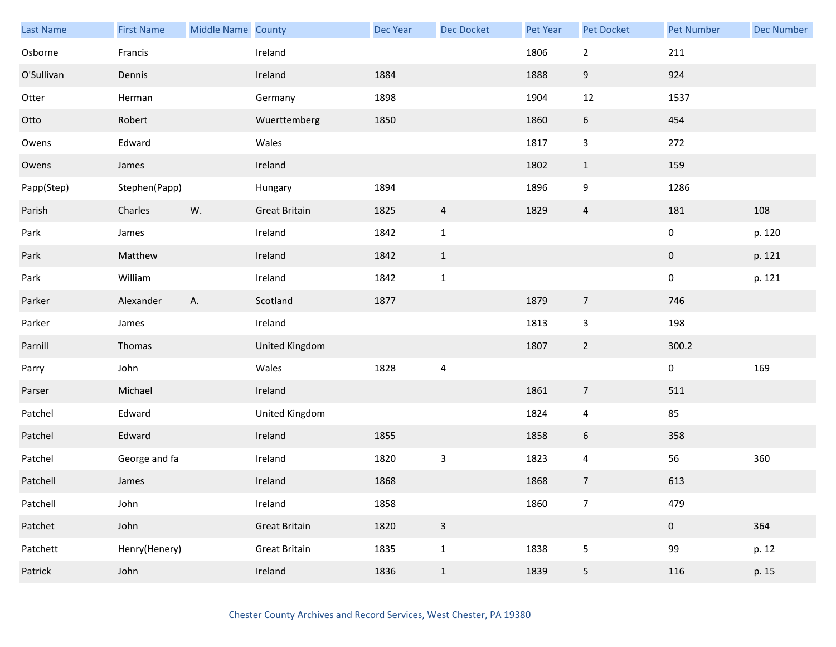| Last Name  | <b>First Name</b> | Middle Name County |                      | <b>Dec Year</b> | Dec Docket     | Pet Year | Pet Docket     | <b>Pet Number</b> | <b>Dec Number</b> |
|------------|-------------------|--------------------|----------------------|-----------------|----------------|----------|----------------|-------------------|-------------------|
| Osborne    | Francis           |                    | Ireland              |                 |                | 1806     | $\overline{2}$ | 211               |                   |
| O'Sullivan | Dennis            |                    | Ireland              | 1884            |                | 1888     | 9              | 924               |                   |
| Otter      | Herman            |                    | Germany              | 1898            |                | 1904     | 12             | 1537              |                   |
| Otto       | Robert            |                    | Wuerttemberg         | 1850            |                | 1860     | 6              | 454               |                   |
| Owens      | Edward            |                    | Wales                |                 |                | 1817     | 3              | 272               |                   |
| Owens      | James             |                    | Ireland              |                 |                | 1802     | $\mathbf{1}$   | 159               |                   |
| Papp(Step) | Stephen(Papp)     |                    | Hungary              | 1894            |                | 1896     | 9              | 1286              |                   |
| Parish     | Charles           | W.                 | <b>Great Britain</b> | 1825            | $\overline{4}$ | 1829     | $\overline{4}$ | 181               | 108               |
| Park       | James             |                    | Ireland              | 1842            | $\mathbf{1}$   |          |                | $\pmb{0}$         | p. 120            |
| Park       | Matthew           |                    | Ireland              | 1842            | $\mathbf{1}$   |          |                | $\pmb{0}$         | p. 121            |
| Park       | William           |                    | Ireland              | 1842            | $\mathbf{1}$   |          |                | $\pmb{0}$         | p. 121            |
| Parker     | Alexander         | Α.                 | Scotland             | 1877            |                | 1879     | $\overline{7}$ | 746               |                   |
| Parker     | James             |                    | Ireland              |                 |                | 1813     | $\mathbf{3}$   | 198               |                   |
| Parnill    | Thomas            |                    | United Kingdom       |                 |                | 1807     | $\overline{2}$ | 300.2             |                   |
| Parry      | John              |                    | Wales                | 1828            | $\overline{4}$ |          |                | $\pmb{0}$         | 169               |
| Parser     | Michael           |                    | Ireland              |                 |                | 1861     | $\overline{7}$ | 511               |                   |
| Patchel    | Edward            |                    | United Kingdom       |                 |                | 1824     | 4              | 85                |                   |
| Patchel    | Edward            |                    | Ireland              | 1855            |                | 1858     | 6              | 358               |                   |
| Patchel    | George and fa     |                    | Ireland              | 1820            | $\mathsf{3}$   | 1823     | 4              | 56                | 360               |
| Patchell   | James             |                    | Ireland              | 1868            |                | 1868     | $\overline{7}$ | 613               |                   |
| Patchell   | John              |                    | Ireland              | 1858            |                | 1860     | $\overline{7}$ | 479               |                   |
| Patchet    | John              |                    | <b>Great Britain</b> | 1820            | $\mathsf 3$    |          |                | $\pmb{0}$         | 364               |
| Patchett   | Henry(Henery)     |                    | <b>Great Britain</b> | 1835            | $\mathbf{1}$   | 1838     | 5              | 99                | p. 12             |
| Patrick    | John              |                    | Ireland              | 1836            | $\,1\,$        | 1839     | 5              | 116               | p. 15             |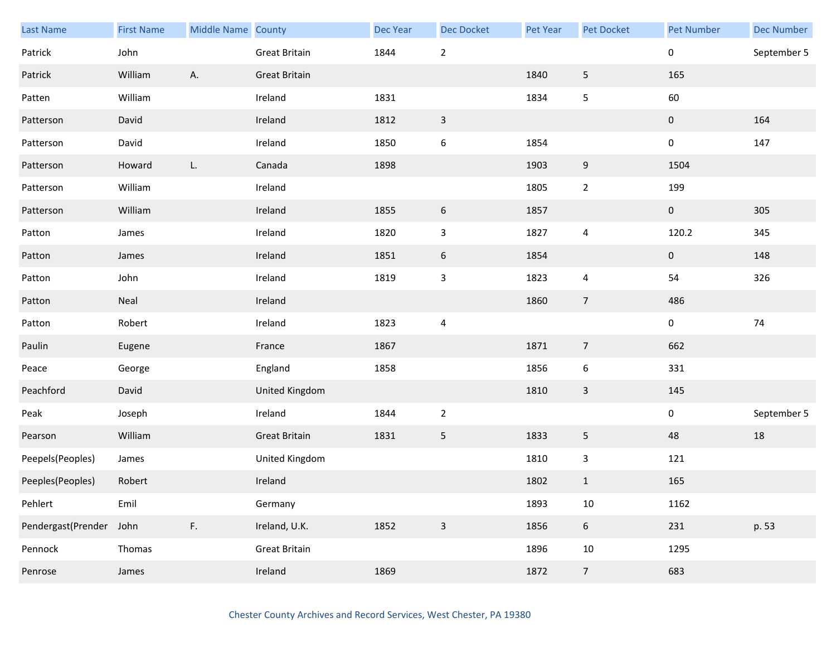| Last Name          | <b>First Name</b> | Middle Name County |                      | <b>Dec Year</b> | Dec Docket               | Pet Year | Pet Docket       | <b>Pet Number</b> | <b>Dec Number</b> |
|--------------------|-------------------|--------------------|----------------------|-----------------|--------------------------|----------|------------------|-------------------|-------------------|
| Patrick            | John              |                    | <b>Great Britain</b> | 1844            | $\mathbf 2$              |          |                  | $\pmb{0}$         | September 5       |
| Patrick            | William           | Α.                 | <b>Great Britain</b> |                 |                          | 1840     | 5                | 165               |                   |
| Patten             | William           |                    | Ireland              | 1831            |                          | 1834     | 5                | 60                |                   |
| Patterson          | David             |                    | Ireland              | 1812            | $\mathbf{3}$             |          |                  | $\mathbf 0$       | 164               |
| Patterson          | David             |                    | Ireland              | 1850            | $\boldsymbol{6}$         | 1854     |                  | $\boldsymbol{0}$  | 147               |
| Patterson          | Howard            | L.                 | Canada               | 1898            |                          | 1903     | 9                | 1504              |                   |
| Patterson          | William           |                    | Ireland              |                 |                          | 1805     | $\overline{2}$   | 199               |                   |
| Patterson          | William           |                    | Ireland              | 1855            | $\boldsymbol{6}$         | 1857     |                  | $\boldsymbol{0}$  | 305               |
| Patton             | James             |                    | Ireland              | 1820            | $\mathsf 3$              | 1827     | 4                | 120.2             | 345               |
| Patton             | James             |                    | Ireland              | 1851            | $\boldsymbol{6}$         | 1854     |                  | $\mathbf 0$       | 148               |
| Patton             | John              |                    | Ireland              | 1819            | $\mathsf 3$              | 1823     | 4                | 54                | 326               |
| Patton             | Neal              |                    | Ireland              |                 |                          | 1860     | $\overline{7}$   | 486               |                   |
| Patton             | Robert            |                    | Ireland              | 1823            | $\overline{\mathcal{A}}$ |          |                  | $\boldsymbol{0}$  | 74                |
| Paulin             | Eugene            |                    | France               | 1867            |                          | 1871     | $\overline{7}$   | 662               |                   |
| Peace              | George            |                    | England              | 1858            |                          | 1856     | $\boldsymbol{6}$ | 331               |                   |
| Peachford          | David             |                    | United Kingdom       |                 |                          | 1810     | $\mathbf{3}$     | 145               |                   |
| Peak               | Joseph            |                    | Ireland              | 1844            | $\sqrt{2}$               |          |                  | $\pmb{0}$         | September 5       |
| Pearson            | William           |                    | <b>Great Britain</b> | 1831            | 5                        | 1833     | 5                | 48                | 18                |
| Peepels(Peoples)   | James             |                    | United Kingdom       |                 |                          | 1810     | $\mathbf{3}$     | 121               |                   |
| Peeples(Peoples)   | Robert            |                    | Ireland              |                 |                          | 1802     | $\mathbf{1}$     | 165               |                   |
| Pehlert            | Emil              |                    | Germany              |                 |                          | 1893     | $10\,$           | 1162              |                   |
| Pendergast(Prender | John              | F.                 | Ireland, U.K.        | 1852            | $\mathbf{3}$             | 1856     | $6\,$            | 231               | p. 53             |
| Pennock            | Thomas            |                    | <b>Great Britain</b> |                 |                          | 1896     | $10\,$           | 1295              |                   |
| Penrose            | James             |                    | Ireland              | 1869            |                          | 1872     | $\overline{7}$   | 683               |                   |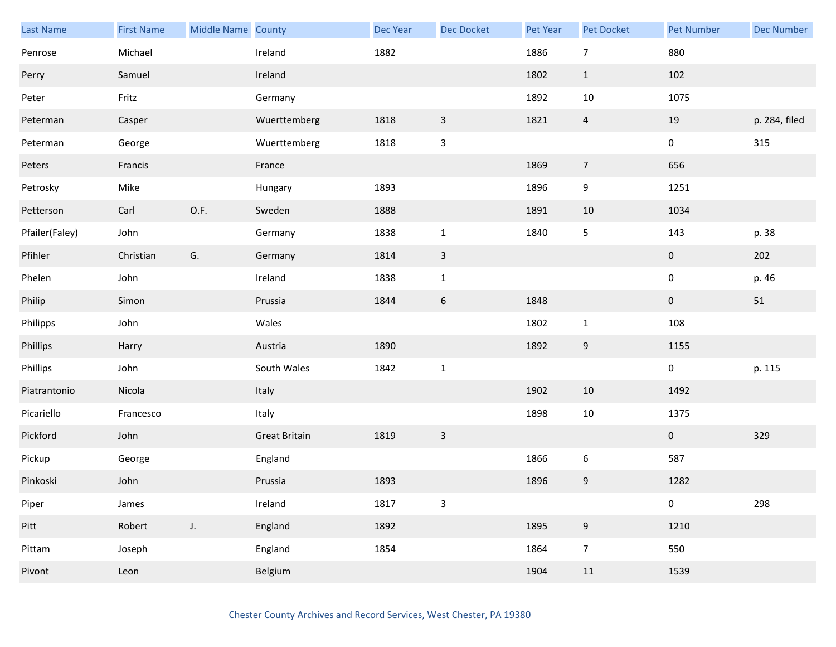| Last Name      | <b>First Name</b> | Middle Name County |                      | <b>Dec Year</b> | <b>Dec Docket</b> | Pet Year | Pet Docket     | <b>Pet Number</b> | <b>Dec Number</b> |
|----------------|-------------------|--------------------|----------------------|-----------------|-------------------|----------|----------------|-------------------|-------------------|
| Penrose        | Michael           |                    | Ireland              | 1882            |                   | 1886     | $\overline{7}$ | 880               |                   |
| Perry          | Samuel            |                    | Ireland              |                 |                   | 1802     | $\mathbf{1}$   | 102               |                   |
| Peter          | Fritz             |                    | Germany              |                 |                   | 1892     | 10             | 1075              |                   |
| Peterman       | Casper            |                    | Wuerttemberg         | 1818            | $\mathbf{3}$      | 1821     | $\overline{4}$ | 19                | p. 284, filed     |
| Peterman       | George            |                    | Wuerttemberg         | 1818            | $\mathbf{3}$      |          |                | $\mathbf 0$       | 315               |
| Peters         | Francis           |                    | France               |                 |                   | 1869     | $\overline{7}$ | 656               |                   |
| Petrosky       | Mike              |                    | Hungary              | 1893            |                   | 1896     | 9              | 1251              |                   |
| Petterson      | Carl              | O.F.               | Sweden               | 1888            |                   | 1891     | $10\,$         | 1034              |                   |
| Pfailer(Faley) | John              |                    | Germany              | 1838            | $\mathbf{1}$      | 1840     | 5              | 143               | p. 38             |
| Pfihler        | Christian         | G.                 | Germany              | 1814            | $\mathbf{3}$      |          |                | $\mathbf 0$       | 202               |
| Phelen         | John              |                    | Ireland              | 1838            | $\mathbf{1}$      |          |                | $\pmb{0}$         | p. 46             |
| Philip         | Simon             |                    | Prussia              | 1844            | $\sqrt{6}$        | 1848     |                | $\bf{0}$          | 51                |
| Philipps       | John              |                    | Wales                |                 |                   | 1802     | $\mathbf 1$    | 108               |                   |
| Phillips       | Harry             |                    | Austria              | 1890            |                   | 1892     | 9              | 1155              |                   |
| Phillips       | John              |                    | South Wales          | 1842            | $\mathbf 1$       |          |                | $\pmb{0}$         | p. 115            |
| Piatrantonio   | Nicola            |                    | Italy                |                 |                   | 1902     | 10             | 1492              |                   |
| Picariello     | Francesco         |                    | Italy                |                 |                   | 1898     | $10\,$         | 1375              |                   |
| Pickford       | John              |                    | <b>Great Britain</b> | 1819            | $\mathsf{3}$      |          |                | $\mathbf{0}$      | 329               |
| Pickup         | George            |                    | England              |                 |                   | 1866     | 6              | 587               |                   |
| Pinkoski       | John              |                    | Prussia              | 1893            |                   | 1896     | 9              | 1282              |                   |
| Piper          | James             |                    | Ireland              | 1817            | $\mathbf{3}$      |          |                | $\pmb{0}$         | 298               |
| Pitt           | Robert            | $J_{\star}$        | England              | 1892            |                   | 1895     | 9              | 1210              |                   |
| Pittam         | Joseph            |                    | England              | 1854            |                   | 1864     | $\overline{7}$ | 550               |                   |
| Pivont         | Leon              |                    | Belgium              |                 |                   | 1904     | 11             | 1539              |                   |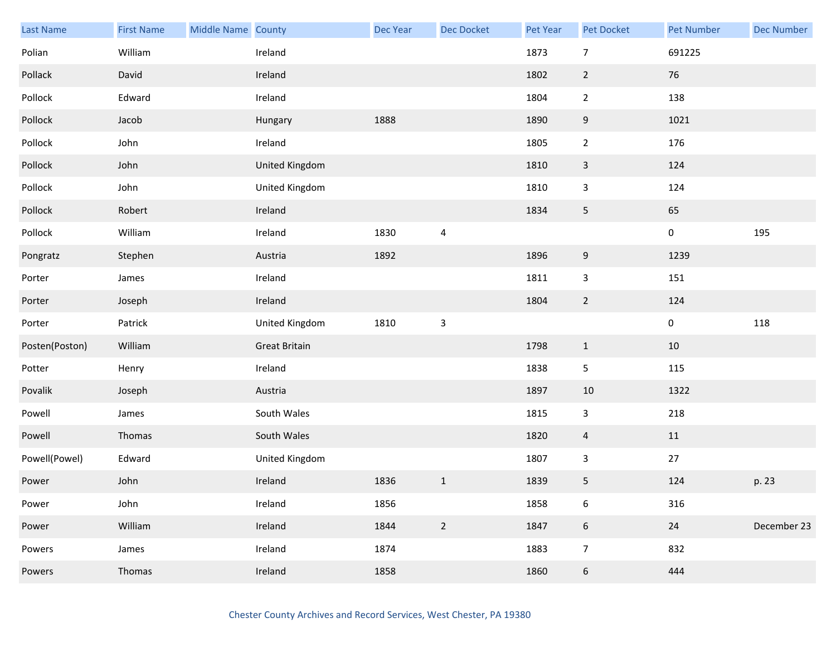| Last Name      | <b>First Name</b> | Middle Name County |                      | Dec Year | Dec Docket     | Pet Year | Pet Docket       | <b>Pet Number</b> | <b>Dec Number</b> |
|----------------|-------------------|--------------------|----------------------|----------|----------------|----------|------------------|-------------------|-------------------|
| Polian         | William           |                    | Ireland              |          |                | 1873     | $\overline{7}$   | 691225            |                   |
| Pollack        | David             |                    | Ireland              |          |                | 1802     | $\overline{2}$   | 76                |                   |
| Pollock        | Edward            |                    | Ireland              |          |                | 1804     | $\overline{2}$   | 138               |                   |
| Pollock        | Jacob             |                    | Hungary              | 1888     |                | 1890     | 9                | 1021              |                   |
| Pollock        | John              |                    | Ireland              |          |                | 1805     | $\overline{2}$   | 176               |                   |
| Pollock        | John              |                    | United Kingdom       |          |                | 1810     | $\mathbf{3}$     | 124               |                   |
| Pollock        | John              |                    | United Kingdom       |          |                | 1810     | 3                | 124               |                   |
| Pollock        | Robert            |                    | Ireland              |          |                | 1834     | 5                | 65                |                   |
| Pollock        | William           |                    | Ireland              | 1830     | 4              |          |                  | $\pmb{0}$         | 195               |
| Pongratz       | Stephen           |                    | Austria              | 1892     |                | 1896     | $\boldsymbol{9}$ | 1239              |                   |
| Porter         | James             |                    | Ireland              |          |                | 1811     | 3                | 151               |                   |
| Porter         | Joseph            |                    | Ireland              |          |                | 1804     | $\overline{2}$   | 124               |                   |
| Porter         | Patrick           |                    | United Kingdom       | 1810     | $\mathsf 3$    |          |                  | $\pmb{0}$         | 118               |
| Posten(Poston) | William           |                    | <b>Great Britain</b> |          |                | 1798     | $\mathbf{1}$     | 10                |                   |
| Potter         | Henry             |                    | Ireland              |          |                | 1838     | 5                | 115               |                   |
| Povalik        | Joseph            |                    | Austria              |          |                | 1897     | 10               | 1322              |                   |
| Powell         | James             |                    | South Wales          |          |                | 1815     | $\mathbf{3}$     | 218               |                   |
| Powell         | Thomas            |                    | South Wales          |          |                | 1820     | $\overline{4}$   | 11                |                   |
| Powell(Powel)  | Edward            |                    | United Kingdom       |          |                | 1807     | $\mathbf{3}$     | $27\,$            |                   |
| Power          | John              |                    | Ireland              | 1836     | $\mathbf{1}$   | 1839     | 5                | 124               | p. 23             |
| Power          | John              |                    | Ireland              | 1856     |                | 1858     | $\boldsymbol{6}$ | 316               |                   |
| Power          | William           |                    | Ireland              | 1844     | $\overline{2}$ | 1847     | $\sqrt{6}$       | $24\,$            | December 23       |
| Powers         | James             |                    | Ireland              | 1874     |                | 1883     | $\overline{7}$   | 832               |                   |
| Powers         | Thomas            |                    | Ireland              | 1858     |                | 1860     | $6\,$            | 444               |                   |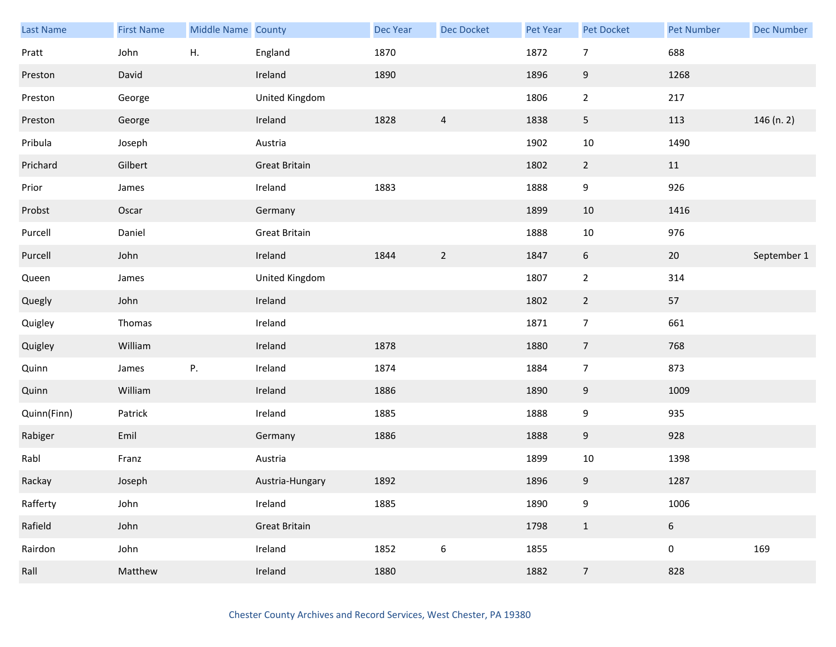| Last Name   | <b>First Name</b> | Middle Name County |                      | <b>Dec Year</b> | <b>Dec Docket</b> | Pet Year | <b>Pet Docket</b> | <b>Pet Number</b> | <b>Dec Number</b> |
|-------------|-------------------|--------------------|----------------------|-----------------|-------------------|----------|-------------------|-------------------|-------------------|
| Pratt       | John              | Η.                 | England              | 1870            |                   | 1872     | $\overline{7}$    | 688               |                   |
| Preston     | David             |                    | Ireland              | 1890            |                   | 1896     | $9\,$             | 1268              |                   |
| Preston     | George            |                    | United Kingdom       |                 |                   | 1806     | $\overline{2}$    | 217               |                   |
| Preston     | George            |                    | Ireland              | 1828            | $\overline{a}$    | 1838     | 5 <sub>1</sub>    | 113               | 146 (n. 2)        |
| Pribula     | Joseph            |                    | Austria              |                 |                   | 1902     | 10                | 1490              |                   |
| Prichard    | Gilbert           |                    | <b>Great Britain</b> |                 |                   | 1802     | $\overline{2}$    | 11                |                   |
| Prior       | James             |                    | Ireland              | 1883            |                   | 1888     | 9                 | 926               |                   |
| Probst      | Oscar             |                    | Germany              |                 |                   | 1899     | $10\,$            | 1416              |                   |
| Purcell     | Daniel            |                    | <b>Great Britain</b> |                 |                   | 1888     | $10\,$            | 976               |                   |
| Purcell     | John              |                    | Ireland              | 1844            | $\sqrt{2}$        | 1847     | $\sqrt{6}$        | $20\,$            | September 1       |
| Queen       | James             |                    | United Kingdom       |                 |                   | 1807     | $\overline{2}$    | 314               |                   |
| Quegly      | John              |                    | Ireland              |                 |                   | 1802     | $\overline{2}$    | 57                |                   |
| Quigley     | Thomas            |                    | Ireland              |                 |                   | 1871     | $\overline{7}$    | 661               |                   |
| Quigley     | William           |                    | Ireland              | 1878            |                   | 1880     | $\overline{7}$    | 768               |                   |
| Quinn       | James             | Ρ.                 | Ireland              | 1874            |                   | 1884     | $\overline{7}$    | 873               |                   |
| Quinn       | William           |                    | Ireland              | 1886            |                   | 1890     | 9                 | 1009              |                   |
| Quinn(Finn) | Patrick           |                    | Ireland              | 1885            |                   | 1888     | 9                 | 935               |                   |
| Rabiger     | Emil              |                    | Germany              | 1886            |                   | 1888     | 9                 | 928               |                   |
| Rabl        | Franz             |                    | Austria              |                 |                   | 1899     | $10\,$            | 1398              |                   |
| Rackay      | Joseph            |                    | Austria-Hungary      | 1892            |                   | 1896     | 9                 | 1287              |                   |
| Rafferty    | John              |                    | Ireland              | 1885            |                   | 1890     | 9                 | 1006              |                   |
| Rafield     | John              |                    | <b>Great Britain</b> |                 |                   | 1798     | $\mathbf{1}$      | $6\,$             |                   |
| Rairdon     | John              |                    | Ireland              | 1852            | $\boldsymbol{6}$  | 1855     |                   | $\mathbf 0$       | 169               |
| Rall        | Matthew           |                    | Ireland              | 1880            |                   | 1882     | $\overline{7}$    | 828               |                   |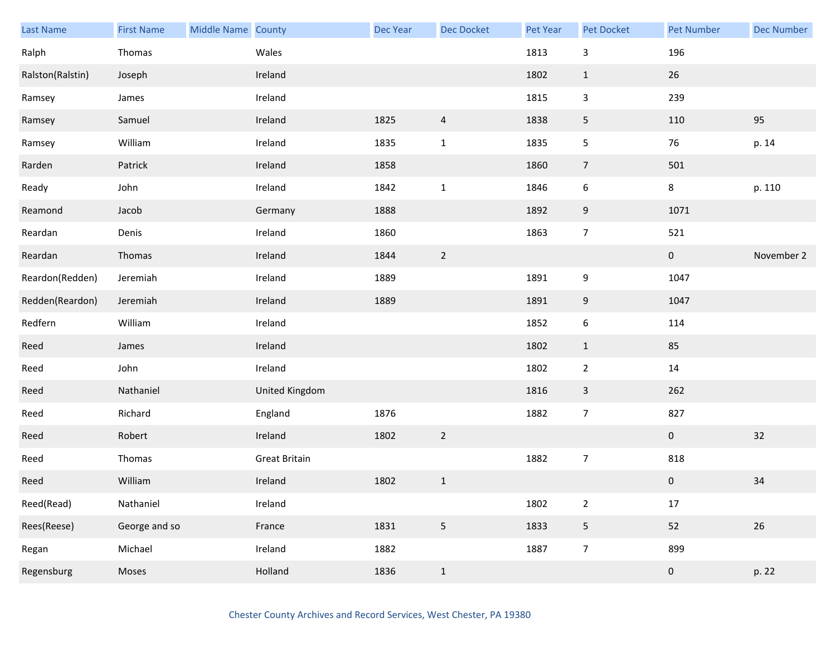| <b>Last Name</b> | <b>First Name</b> | Middle Name County |                      | Dec Year | <b>Dec Docket</b> | Pet Year | Pet Docket       | <b>Pet Number</b> | <b>Dec Number</b> |
|------------------|-------------------|--------------------|----------------------|----------|-------------------|----------|------------------|-------------------|-------------------|
| Ralph            | Thomas            |                    | Wales                |          |                   | 1813     | 3                | 196               |                   |
| Ralston(Ralstin) | Joseph            |                    | Ireland              |          |                   | 1802     | $\mathbf{1}$     | 26                |                   |
| Ramsey           | James             |                    | Ireland              |          |                   | 1815     | 3                | 239               |                   |
| Ramsey           | Samuel            |                    | Ireland              | 1825     | $\overline{4}$    | 1838     | 5                | 110               | 95                |
| Ramsey           | William           |                    | Ireland              | 1835     | $\mathbf{1}$      | 1835     | 5                | 76                | p. 14             |
| Rarden           | Patrick           |                    | Ireland              | 1858     |                   | 1860     | $\overline{7}$   | 501               |                   |
| Ready            | John              |                    | Ireland              | 1842     | $\mathbf 1$       | 1846     | 6                | 8                 | p. 110            |
| Reamond          | Jacob             |                    | Germany              | 1888     |                   | 1892     | $\boldsymbol{9}$ | 1071              |                   |
| Reardan          | Denis             |                    | Ireland              | 1860     |                   | 1863     | $\overline{7}$   | 521               |                   |
| Reardan          | Thomas            |                    | Ireland              | 1844     | $\sqrt{2}$        |          |                  | $\pmb{0}$         | November 2        |
| Reardon(Redden)  | Jeremiah          |                    | Ireland              | 1889     |                   | 1891     | 9                | 1047              |                   |
| Redden(Reardon)  | Jeremiah          |                    | Ireland              | 1889     |                   | 1891     | 9                | 1047              |                   |
| Redfern          | William           |                    | Ireland              |          |                   | 1852     | 6                | 114               |                   |
| Reed             | James             |                    | Ireland              |          |                   | 1802     | $\mathbf{1}$     | 85                |                   |
| Reed             | John              |                    | Ireland              |          |                   | 1802     | $\overline{2}$   | $14\,$            |                   |
| Reed             | Nathaniel         |                    | United Kingdom       |          |                   | 1816     | 3                | 262               |                   |
| Reed             | Richard           |                    | England              | 1876     |                   | 1882     | $\overline{7}$   | 827               |                   |
| Reed             | Robert            |                    | Ireland              | 1802     | $\overline{2}$    |          |                  | $\overline{0}$    | 32                |
| Reed             | Thomas            |                    | <b>Great Britain</b> |          |                   | 1882     | $\overline{7}$   | 818               |                   |
| Reed             | William           |                    | Ireland              | 1802     | $\mathbf 1$       |          |                  | $\pmb{0}$         | 34                |
| Reed(Read)       | Nathaniel         |                    | Ireland              |          |                   | 1802     | $\overline{2}$   | $17\,$            |                   |
| Rees(Reese)      | George and so     |                    | France               | 1831     | $\overline{5}$    | 1833     | 5                | 52                | 26                |
| Regan            | Michael           |                    | Ireland              | 1882     |                   | 1887     | $\overline{7}$   | 899               |                   |
| Regensburg       | Moses             |                    | Holland              | 1836     | $\,1$             |          |                  | $\pmb{0}$         | p. 22             |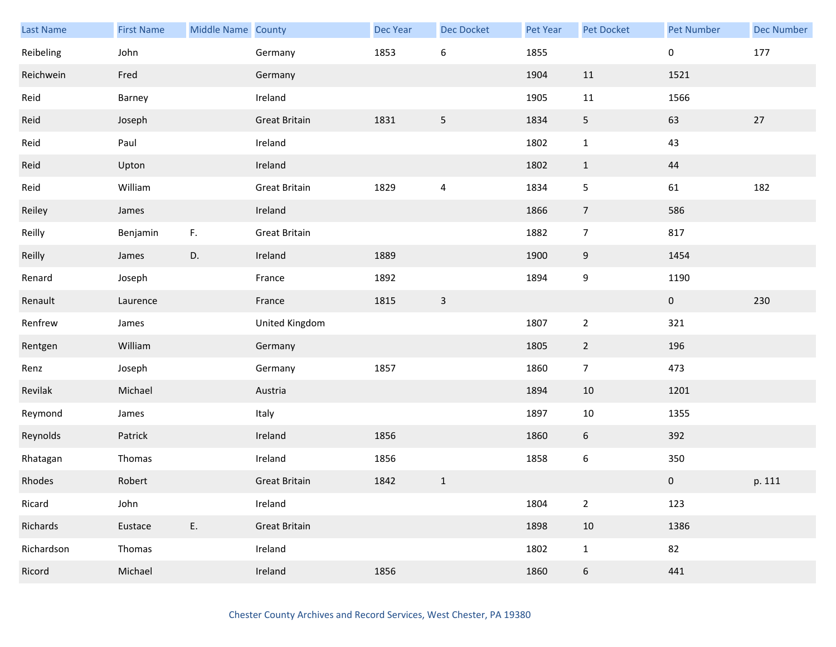| Last Name  | <b>First Name</b> | Middle Name County |                      | Dec Year | <b>Dec Docket</b> | Pet Year | Pet Docket       | <b>Pet Number</b> | <b>Dec Number</b> |
|------------|-------------------|--------------------|----------------------|----------|-------------------|----------|------------------|-------------------|-------------------|
| Reibeling  | John              |                    | Germany              | 1853     | $\boldsymbol{6}$  | 1855     |                  | 0                 | 177               |
| Reichwein  | Fred              |                    | Germany              |          |                   | 1904     | 11               | 1521              |                   |
| Reid       | Barney            |                    | Ireland              |          |                   | 1905     | $11\,$           | 1566              |                   |
| Reid       | Joseph            |                    | <b>Great Britain</b> | 1831     | 5                 | 1834     | 5 <sub>5</sub>   | 63                | 27                |
| Reid       | Paul              |                    | Ireland              |          |                   | 1802     | $\mathbf{1}$     | 43                |                   |
| Reid       | Upton             |                    | Ireland              |          |                   | 1802     | $\mathbf{1}$     | 44                |                   |
| Reid       | William           |                    | <b>Great Britain</b> | 1829     | $\overline{4}$    | 1834     | 5                | 61                | 182               |
| Reiley     | James             |                    | Ireland              |          |                   | 1866     | $\overline{7}$   | 586               |                   |
| Reilly     | Benjamin          | F.                 | <b>Great Britain</b> |          |                   | 1882     | $\overline{7}$   | 817               |                   |
| Reilly     | James             | D.                 | Ireland              | 1889     |                   | 1900     | 9                | 1454              |                   |
| Renard     | Joseph            |                    | France               | 1892     |                   | 1894     | 9                | 1190              |                   |
| Renault    | Laurence          |                    | France               | 1815     | $\mathbf{3}$      |          |                  | $\mathbf 0$       | 230               |
| Renfrew    | James             |                    | United Kingdom       |          |                   | 1807     | $\overline{2}$   | 321               |                   |
| Rentgen    | William           |                    | Germany              |          |                   | 1805     | $\overline{2}$   | 196               |                   |
| Renz       | Joseph            |                    | Germany              | 1857     |                   | 1860     | $\overline{7}$   | 473               |                   |
| Revilak    | Michael           |                    | Austria              |          |                   | 1894     | 10               | 1201              |                   |
| Reymond    | James             |                    | Italy                |          |                   | 1897     | $10\,$           | 1355              |                   |
| Reynolds   | Patrick           |                    | Ireland              | 1856     |                   | 1860     | 6                | 392               |                   |
| Rhatagan   | Thomas            |                    | Ireland              | 1856     |                   | 1858     | $\boldsymbol{6}$ | 350               |                   |
| Rhodes     | Robert            |                    | <b>Great Britain</b> | 1842     | $\mathbf 1$       |          |                  | $\pmb{0}$         | p. 111            |
| Ricard     | John              |                    | Ireland              |          |                   | 1804     | $\overline{2}$   | 123               |                   |
| Richards   | Eustace           | E.                 | <b>Great Britain</b> |          |                   | 1898     | 10               | 1386              |                   |
| Richardson | Thomas            |                    | Ireland              |          |                   | 1802     | $\mathbf{1}$     | 82                |                   |
| Ricord     | Michael           |                    | Ireland              | 1856     |                   | 1860     | 6                | 441               |                   |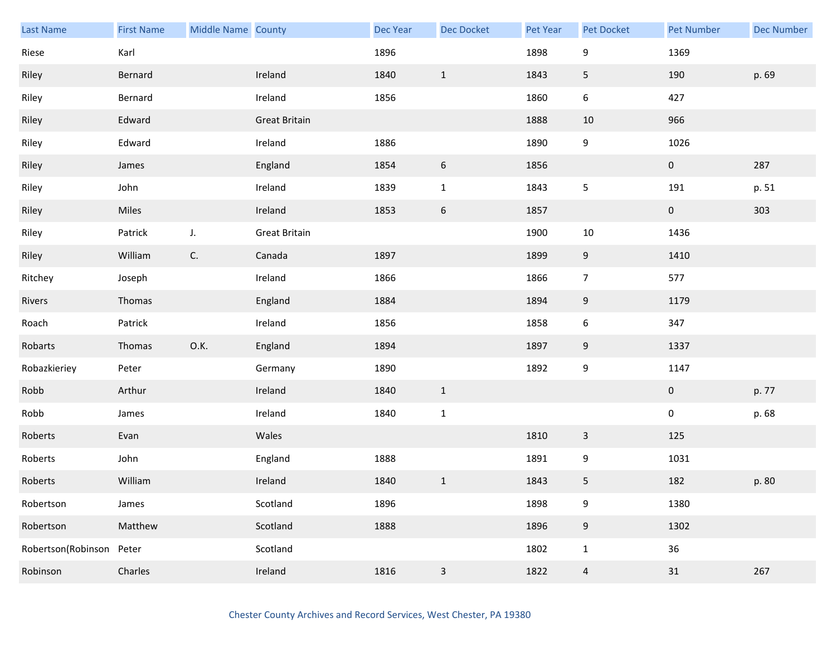| Last Name                | <b>First Name</b> | Middle Name County |                      | Dec Year | <b>Dec Docket</b> | Pet Year | Pet Docket       | <b>Pet Number</b> | <b>Dec Number</b> |
|--------------------------|-------------------|--------------------|----------------------|----------|-------------------|----------|------------------|-------------------|-------------------|
| Riese                    | Karl              |                    |                      | 1896     |                   | 1898     | 9                | 1369              |                   |
| Riley                    | Bernard           |                    | Ireland              | 1840     | $\mathbf{1}$      | 1843     | 5                | 190               | p. 69             |
| Riley                    | Bernard           |                    | Ireland              | 1856     |                   | 1860     | 6                | 427               |                   |
| Riley                    | Edward            |                    | <b>Great Britain</b> |          |                   | 1888     | 10               | 966               |                   |
| Riley                    | Edward            |                    | Ireland              | 1886     |                   | 1890     | 9                | 1026              |                   |
| Riley                    | James             |                    | England              | 1854     | $\boldsymbol{6}$  | 1856     |                  | $\pmb{0}$         | 287               |
| Riley                    | John              |                    | Ireland              | 1839     | $1\,$             | 1843     | 5                | 191               | p. 51             |
| Riley                    | Miles             |                    | Ireland              | 1853     | $\boldsymbol{6}$  | 1857     |                  | $\mathbf 0$       | 303               |
| Riley                    | Patrick           | J.                 | <b>Great Britain</b> |          |                   | 1900     | $10\,$           | 1436              |                   |
| Riley                    | William           | C.                 | Canada               | 1897     |                   | 1899     | 9                | 1410              |                   |
| Ritchey                  | Joseph            |                    | Ireland              | 1866     |                   | 1866     | $\overline{7}$   | 577               |                   |
| Rivers                   | Thomas            |                    | England              | 1884     |                   | 1894     | 9                | 1179              |                   |
| Roach                    | Patrick           |                    | Ireland              | 1856     |                   | 1858     | 6                | 347               |                   |
| Robarts                  | Thomas            | 0.K.               | England              | 1894     |                   | 1897     | 9                | 1337              |                   |
| Robazkieriey             | Peter             |                    | Germany              | 1890     |                   | 1892     | 9                | 1147              |                   |
| Robb                     | Arthur            |                    | Ireland              | 1840     | $1\,$             |          |                  | $\mathbf 0$       | p. 77             |
| Robb                     | James             |                    | Ireland              | 1840     | $\mathbf 1$       |          |                  | $\pmb{0}$         | p. 68             |
| Roberts                  | Evan              |                    | Wales                |          |                   | 1810     | 3                | 125               |                   |
| Roberts                  | John              |                    | England              | 1888     |                   | 1891     | 9                | 1031              |                   |
| Roberts                  | William           |                    | Ireland              | 1840     | $\mathbf 1$       | 1843     | 5                | 182               | p. 80             |
| Robertson                | James             |                    | Scotland             | 1896     |                   | 1898     | 9                | 1380              |                   |
| Robertson                | Matthew           |                    | Scotland             | 1888     |                   | 1896     | $\boldsymbol{9}$ | 1302              |                   |
| Robertson(Robinson Peter |                   |                    | Scotland             |          |                   | 1802     | $\mathbf{1}$     | $36\,$            |                   |
| Robinson                 | Charles           |                    | Ireland              | 1816     | $\mathsf 3$       | 1822     | $\overline{a}$   | 31                | 267               |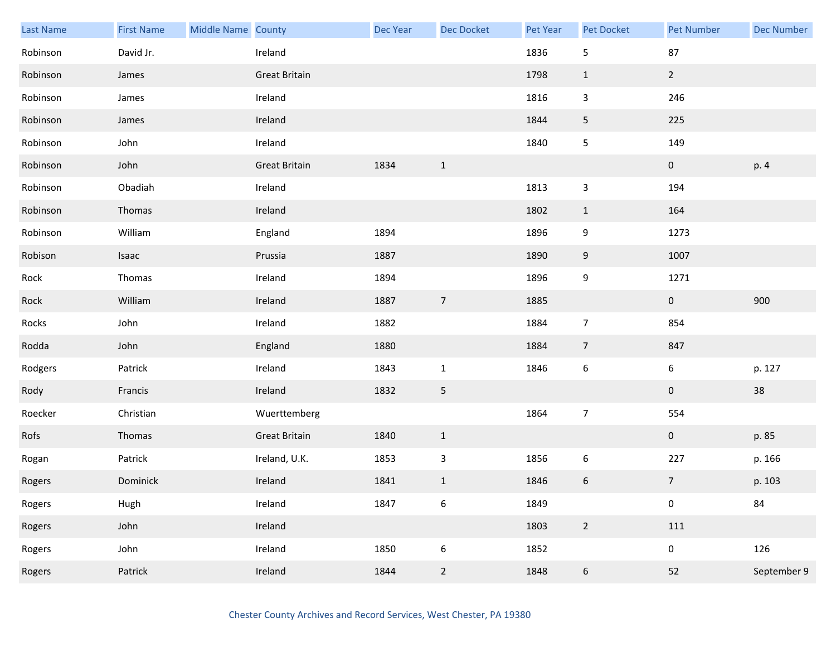| Last Name | <b>First Name</b> | Middle Name County |                      | Dec Year | Dec Docket       | Pet Year | Pet Docket       | <b>Pet Number</b> | <b>Dec Number</b> |
|-----------|-------------------|--------------------|----------------------|----------|------------------|----------|------------------|-------------------|-------------------|
| Robinson  | David Jr.         |                    | Ireland              |          |                  | 1836     | 5                | 87                |                   |
| Robinson  | James             |                    | <b>Great Britain</b> |          |                  | 1798     | $\mathbf{1}$     | $2^{\circ}$       |                   |
| Robinson  | James             |                    | Ireland              |          |                  | 1816     | 3                | 246               |                   |
| Robinson  | James             |                    | Ireland              |          |                  | 1844     | 5                | 225               |                   |
| Robinson  | John              |                    | Ireland              |          |                  | 1840     | 5                | 149               |                   |
| Robinson  | John              |                    | <b>Great Britain</b> | 1834     | $\mathbf{1}$     |          |                  | $\pmb{0}$         | p. 4              |
| Robinson  | Obadiah           |                    | Ireland              |          |                  | 1813     | 3                | 194               |                   |
| Robinson  | Thomas            |                    | Ireland              |          |                  | 1802     | $\mathbf{1}$     | 164               |                   |
| Robinson  | William           |                    | England              | 1894     |                  | 1896     | 9                | 1273              |                   |
| Robison   | Isaac             |                    | Prussia              | 1887     |                  | 1890     | 9                | 1007              |                   |
| Rock      | Thomas            |                    | Ireland              | 1894     |                  | 1896     | 9                | 1271              |                   |
| Rock      | William           |                    | Ireland              | 1887     | $\overline{7}$   | 1885     |                  | $\mathbf{0}$      | 900               |
| Rocks     | John              |                    | Ireland              | 1882     |                  | 1884     | $\overline{7}$   | 854               |                   |
| Rodda     | John              |                    | England              | 1880     |                  | 1884     | $\overline{7}$   | 847               |                   |
| Rodgers   | Patrick           |                    | Ireland              | 1843     | $\mathbf 1$      | 1846     | $\boldsymbol{6}$ | 6                 | p. 127            |
| Rody      | Francis           |                    | Ireland              | 1832     | $5\phantom{.0}$  |          |                  | $\mathbf 0$       | 38                |
| Roecker   | Christian         |                    | Wuerttemberg         |          |                  | 1864     | $\overline{7}$   | 554               |                   |
| Rofs      | Thomas            |                    | <b>Great Britain</b> | 1840     | $\mathbf{1}$     |          |                  | $\mathbf{0}$      | p. 85             |
| Rogan     | Patrick           |                    | Ireland, U.K.        | 1853     | $\mathsf 3$      | 1856     | $\boldsymbol{6}$ | 227               | p. 166            |
| Rogers    | Dominick          |                    | Ireland              | 1841     | $1\,$            | 1846     | 6                | $\overline{7}$    | p. 103            |
| Rogers    | Hugh              |                    | Ireland              | 1847     | $\boldsymbol{6}$ | 1849     |                  | $\pmb{0}$         | 84                |
| Rogers    | John              |                    | Ireland              |          |                  | 1803     | $\overline{2}$   | 111               |                   |
| Rogers    | John              |                    | Ireland              | 1850     | $\boldsymbol{6}$ | 1852     |                  | $\mathbf 0$       | 126               |
| Rogers    | Patrick           |                    | Ireland              | 1844     | $\sqrt{2}$       | 1848     | $\boldsymbol{6}$ | 52                | September 9       |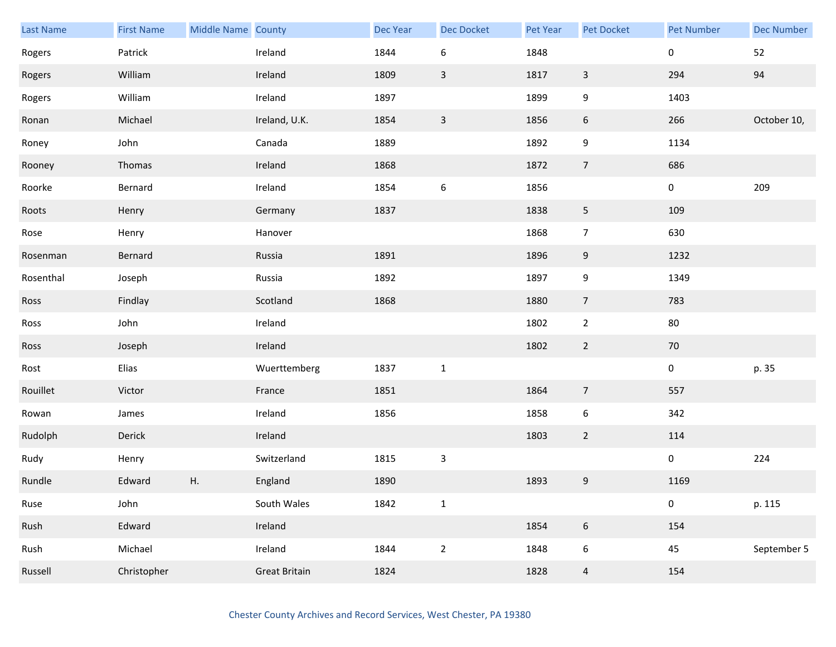| <b>Last Name</b> | <b>First Name</b> | Middle Name County |                      | Dec Year | Dec Docket       | Pet Year | Pet Docket       | <b>Pet Number</b> | <b>Dec Number</b> |
|------------------|-------------------|--------------------|----------------------|----------|------------------|----------|------------------|-------------------|-------------------|
| Rogers           | Patrick           |                    | Ireland              | 1844     | 6                | 1848     |                  | 0                 | 52                |
| Rogers           | William           |                    | Ireland              | 1809     | $\mathbf{3}$     | 1817     | $\mathbf{3}$     | 294               | 94                |
| Rogers           | William           |                    | Ireland              | 1897     |                  | 1899     | 9                | 1403              |                   |
| Ronan            | Michael           |                    | Ireland, U.K.        | 1854     | $\overline{3}$   | 1856     | $6\phantom{.}6$  | 266               | October 10,       |
| Roney            | John              |                    | Canada               | 1889     |                  | 1892     | 9                | 1134              |                   |
| Rooney           | Thomas            |                    | Ireland              | 1868     |                  | 1872     | $\overline{7}$   | 686               |                   |
| Roorke           | Bernard           |                    | Ireland              | 1854     | $\boldsymbol{6}$ | 1856     |                  | 0                 | 209               |
| Roots            | Henry             |                    | Germany              | 1837     |                  | 1838     | 5                | 109               |                   |
| Rose             | Henry             |                    | Hanover              |          |                  | 1868     | $\overline{7}$   | 630               |                   |
| Rosenman         | Bernard           |                    | Russia               | 1891     |                  | 1896     | 9                | 1232              |                   |
| Rosenthal        | Joseph            |                    | Russia               | 1892     |                  | 1897     | 9                | 1349              |                   |
| Ross             | Findlay           |                    | Scotland             | 1868     |                  | 1880     | $\overline{7}$   | 783               |                   |
| Ross             | John              |                    | Ireland              |          |                  | 1802     | $\overline{2}$   | 80                |                   |
| Ross             | Joseph            |                    | Ireland              |          |                  | 1802     | $\overline{2}$   | 70                |                   |
| Rost             | Elias             |                    | Wuerttemberg         | 1837     | $\mathbf 1$      |          |                  | $\pmb{0}$         | p. 35             |
| Rouillet         | Victor            |                    | France               | 1851     |                  | 1864     | $\overline{7}$   | 557               |                   |
| Rowan            | James             |                    | Ireland              | 1856     |                  | 1858     | 6                | 342               |                   |
| Rudolph          | Derick            |                    | Ireland              |          |                  | 1803     | $\overline{2}$   | 114               |                   |
| Rudy             | Henry             |                    | Switzerland          | 1815     | 3                |          |                  | 0                 | 224               |
| Rundle           | Edward            | Η.                 | England              | 1890     |                  | 1893     | $\boldsymbol{9}$ | 1169              |                   |
| Ruse             | John              |                    | South Wales          | 1842     | $\mathbf 1$      |          |                  | 0                 | p. 115            |
| Rush             | Edward            |                    | Ireland              |          |                  | 1854     | $\,$ 6 $\,$      | 154               |                   |
| Rush             | Michael           |                    | Ireland              | 1844     | $\overline{2}$   | 1848     | 6                | 45                | September 5       |
| Russell          | Christopher       |                    | <b>Great Britain</b> | 1824     |                  | 1828     | $\overline{4}$   | 154               |                   |